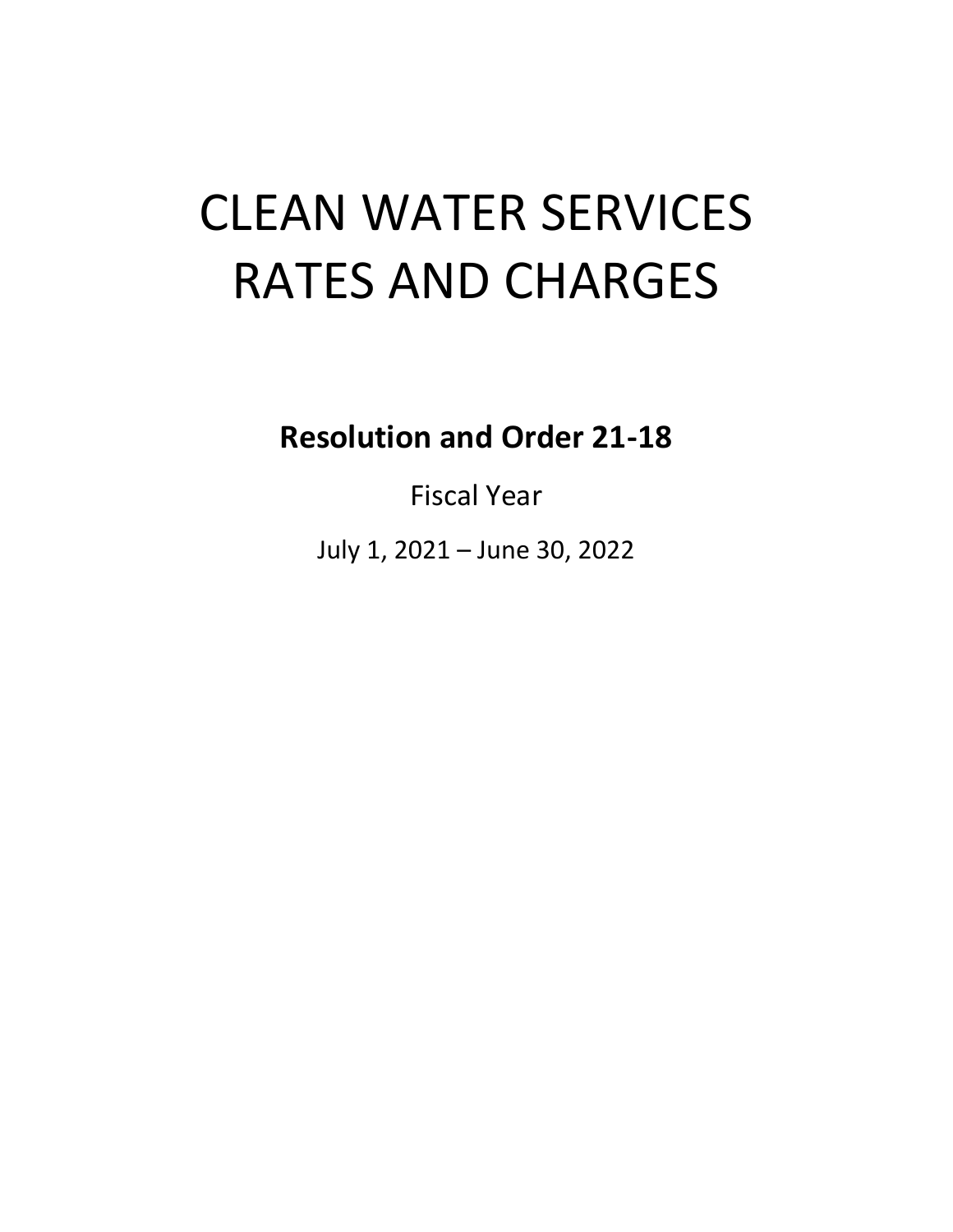# CLEAN WATER SERVICES RATES AND CHARGES

**Resolution and Order 21-18**

Fiscal Year

July 1, 2021 – June 30, 2022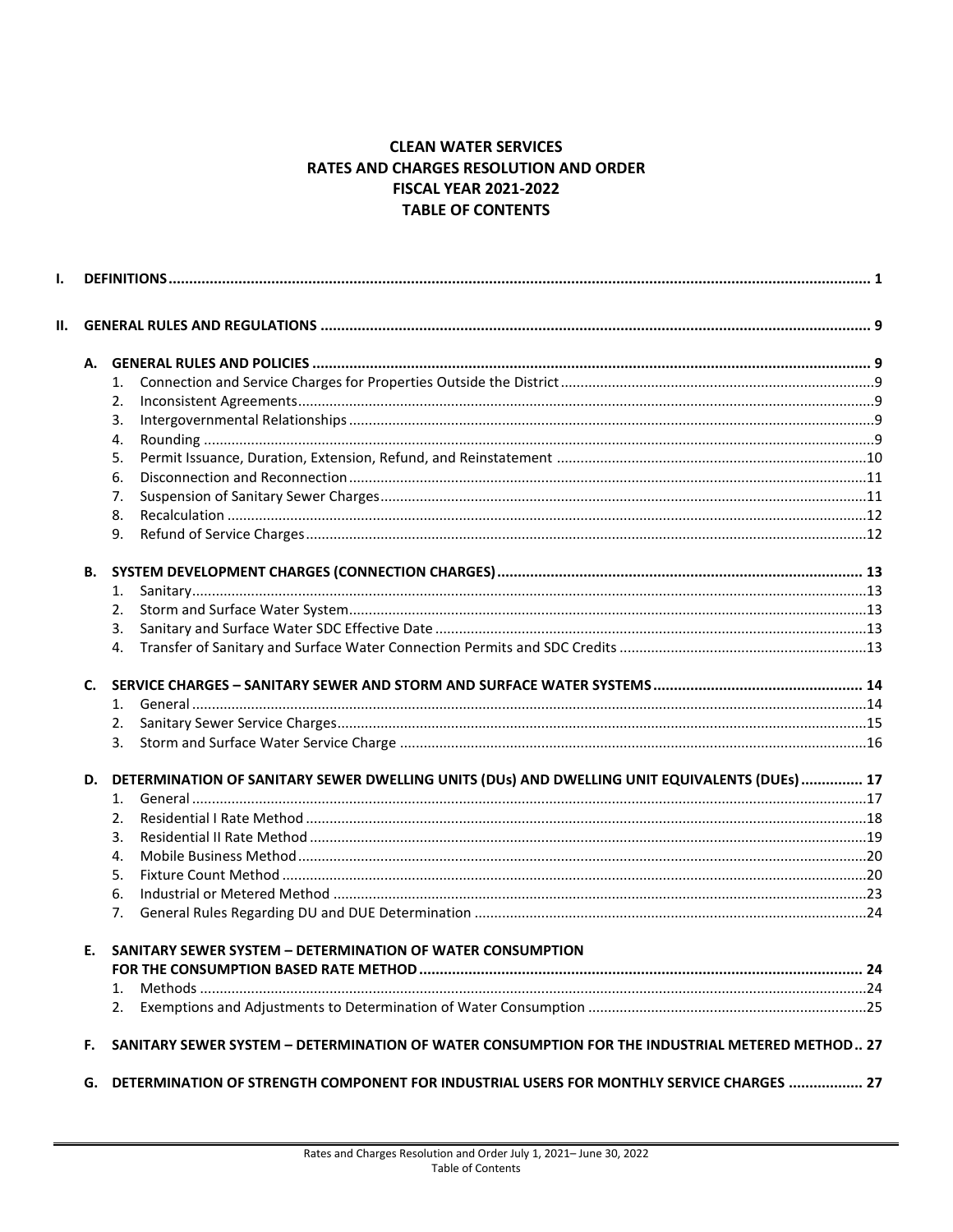#### **CLEAN WATER SERVICES** RATES AND CHARGES RESOLUTION AND ORDER **FISCAL YEAR 2021-2022 TABLE OF CONTENTS**

| Ш.        |    |                                                                                                 |  |  |  |
|-----------|----|-------------------------------------------------------------------------------------------------|--|--|--|
| А.        |    |                                                                                                 |  |  |  |
|           | 1. |                                                                                                 |  |  |  |
|           | 2. |                                                                                                 |  |  |  |
|           | 3. |                                                                                                 |  |  |  |
|           | 4. |                                                                                                 |  |  |  |
|           | 5. |                                                                                                 |  |  |  |
|           | 6. |                                                                                                 |  |  |  |
|           | 7. |                                                                                                 |  |  |  |
|           | 8. |                                                                                                 |  |  |  |
|           | 9. |                                                                                                 |  |  |  |
| <b>B.</b> |    |                                                                                                 |  |  |  |
|           | 1. |                                                                                                 |  |  |  |
|           | 2. |                                                                                                 |  |  |  |
|           | 3. |                                                                                                 |  |  |  |
|           | 4. |                                                                                                 |  |  |  |
| C.        |    |                                                                                                 |  |  |  |
|           | 1. |                                                                                                 |  |  |  |
|           | 2. |                                                                                                 |  |  |  |
|           | 3. |                                                                                                 |  |  |  |
| D.        |    | DETERMINATION OF SANITARY SEWER DWELLING UNITS (DUs) AND DWELLING UNIT EQUIVALENTS (DUEs)  17   |  |  |  |
|           | 1. |                                                                                                 |  |  |  |
|           | 2. |                                                                                                 |  |  |  |
|           | 3. |                                                                                                 |  |  |  |
|           | 4. |                                                                                                 |  |  |  |
|           | 5. |                                                                                                 |  |  |  |
|           | 6. |                                                                                                 |  |  |  |
|           | 7. |                                                                                                 |  |  |  |
| Е.        |    | <b>SANITARY SEWER SYSTEM - DETERMINATION OF WATER CONSUMPTION</b>                               |  |  |  |
|           |    |                                                                                                 |  |  |  |
|           | 1. |                                                                                                 |  |  |  |
|           | 2. |                                                                                                 |  |  |  |
| F.        |    | SANITARY SEWER SYSTEM - DETERMINATION OF WATER CONSUMPTION FOR THE INDUSTRIAL METERED METHOD 27 |  |  |  |
| G.        |    | DETERMINATION OF STRENGTH COMPONENT FOR INDUSTRIAL USERS FOR MONTHLY SERVICE CHARGES  27        |  |  |  |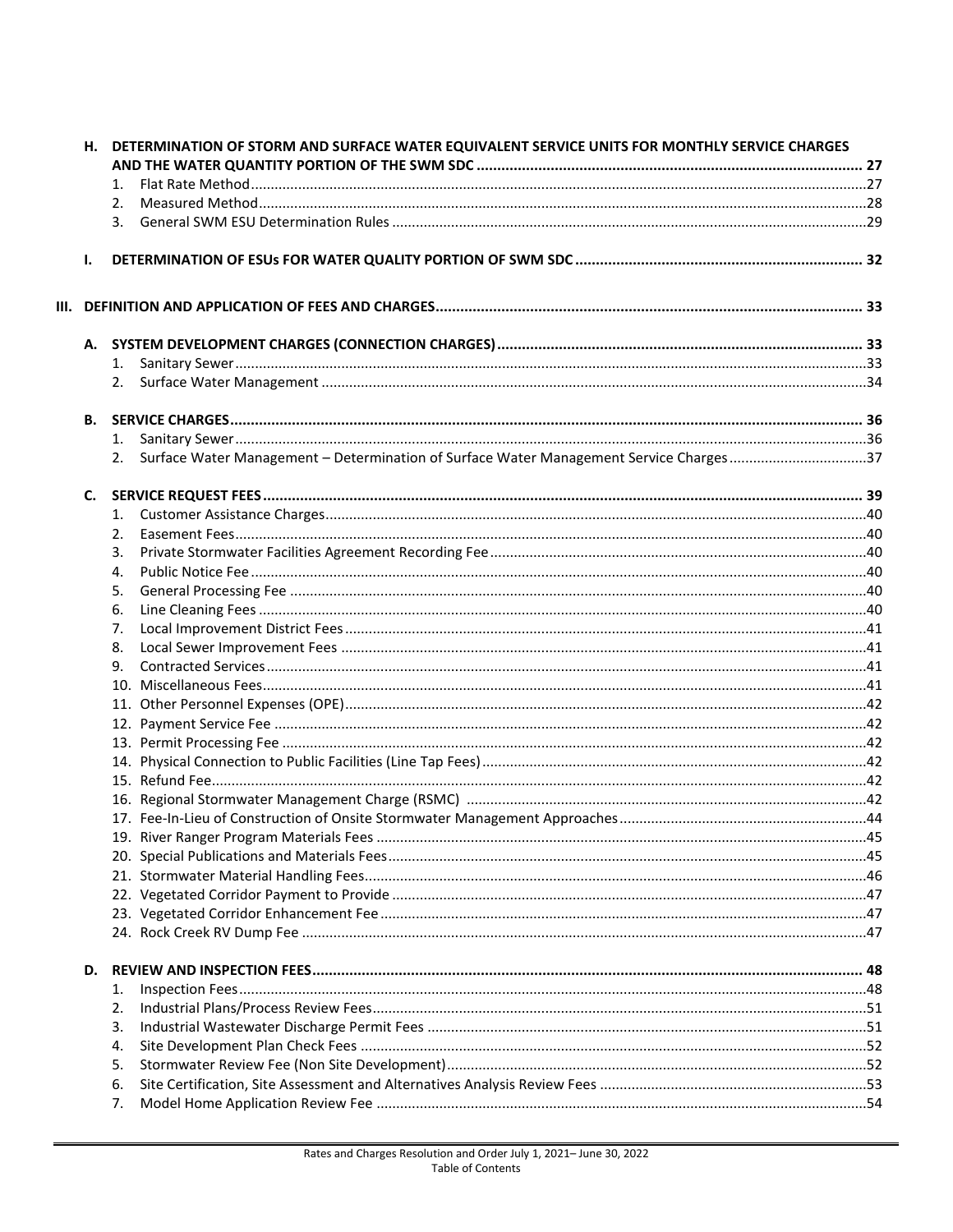|                | H. DETERMINATION OF STORM AND SURFACE WATER EQUIVALENT SERVICE UNITS FOR MONTHLY SERVICE CHARGES |                                                                                        |  |  |
|----------------|--------------------------------------------------------------------------------------------------|----------------------------------------------------------------------------------------|--|--|
|                |                                                                                                  |                                                                                        |  |  |
|                | 1.                                                                                               |                                                                                        |  |  |
|                | 2.                                                                                               |                                                                                        |  |  |
|                | 3.                                                                                               |                                                                                        |  |  |
| Ι.             |                                                                                                  |                                                                                        |  |  |
|                |                                                                                                  |                                                                                        |  |  |
|                |                                                                                                  |                                                                                        |  |  |
|                | 1.                                                                                               |                                                                                        |  |  |
|                | 2.                                                                                               |                                                                                        |  |  |
| В.             |                                                                                                  |                                                                                        |  |  |
|                | 1.                                                                                               |                                                                                        |  |  |
|                |                                                                                                  | Surface Water Management - Determination of Surface Water Management Service Charges37 |  |  |
|                |                                                                                                  |                                                                                        |  |  |
| $\mathsf{C}$ . |                                                                                                  |                                                                                        |  |  |
|                | 1.                                                                                               |                                                                                        |  |  |
|                | 2.                                                                                               |                                                                                        |  |  |
|                | 3.                                                                                               |                                                                                        |  |  |
|                | 4.                                                                                               |                                                                                        |  |  |
|                | 5.                                                                                               |                                                                                        |  |  |
|                | 6.                                                                                               |                                                                                        |  |  |
|                | 7.                                                                                               |                                                                                        |  |  |
|                | 8.                                                                                               |                                                                                        |  |  |
|                | 9.                                                                                               |                                                                                        |  |  |
|                |                                                                                                  |                                                                                        |  |  |
|                |                                                                                                  |                                                                                        |  |  |
|                |                                                                                                  |                                                                                        |  |  |
|                |                                                                                                  |                                                                                        |  |  |
|                |                                                                                                  |                                                                                        |  |  |
|                |                                                                                                  |                                                                                        |  |  |
|                |                                                                                                  |                                                                                        |  |  |
|                |                                                                                                  |                                                                                        |  |  |
|                |                                                                                                  |                                                                                        |  |  |
|                |                                                                                                  |                                                                                        |  |  |
|                |                                                                                                  |                                                                                        |  |  |
|                |                                                                                                  |                                                                                        |  |  |
|                |                                                                                                  |                                                                                        |  |  |
|                |                                                                                                  |                                                                                        |  |  |
|                | 1.                                                                                               |                                                                                        |  |  |
|                | 2.                                                                                               |                                                                                        |  |  |
|                | 3.                                                                                               |                                                                                        |  |  |
|                | 4.                                                                                               |                                                                                        |  |  |
|                | 5.                                                                                               |                                                                                        |  |  |
|                | 6.                                                                                               |                                                                                        |  |  |
|                | 7.                                                                                               |                                                                                        |  |  |
|                |                                                                                                  |                                                                                        |  |  |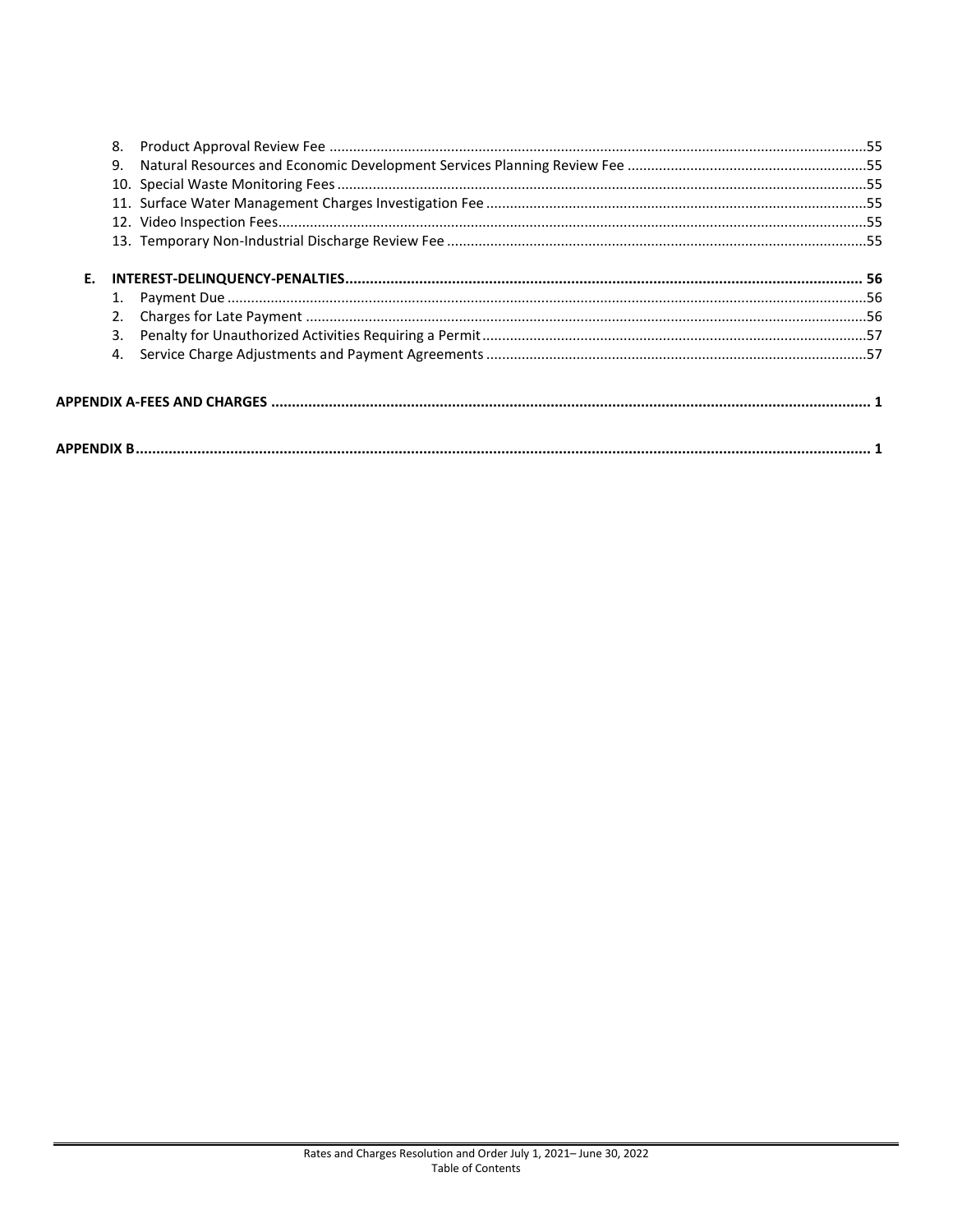|    | 8. |  |  |  |
|----|----|--|--|--|
|    | 9. |  |  |  |
|    |    |  |  |  |
|    |    |  |  |  |
|    |    |  |  |  |
|    |    |  |  |  |
| Е. |    |  |  |  |
|    |    |  |  |  |
|    | 2. |  |  |  |
|    | 3. |  |  |  |
|    |    |  |  |  |
|    |    |  |  |  |
|    |    |  |  |  |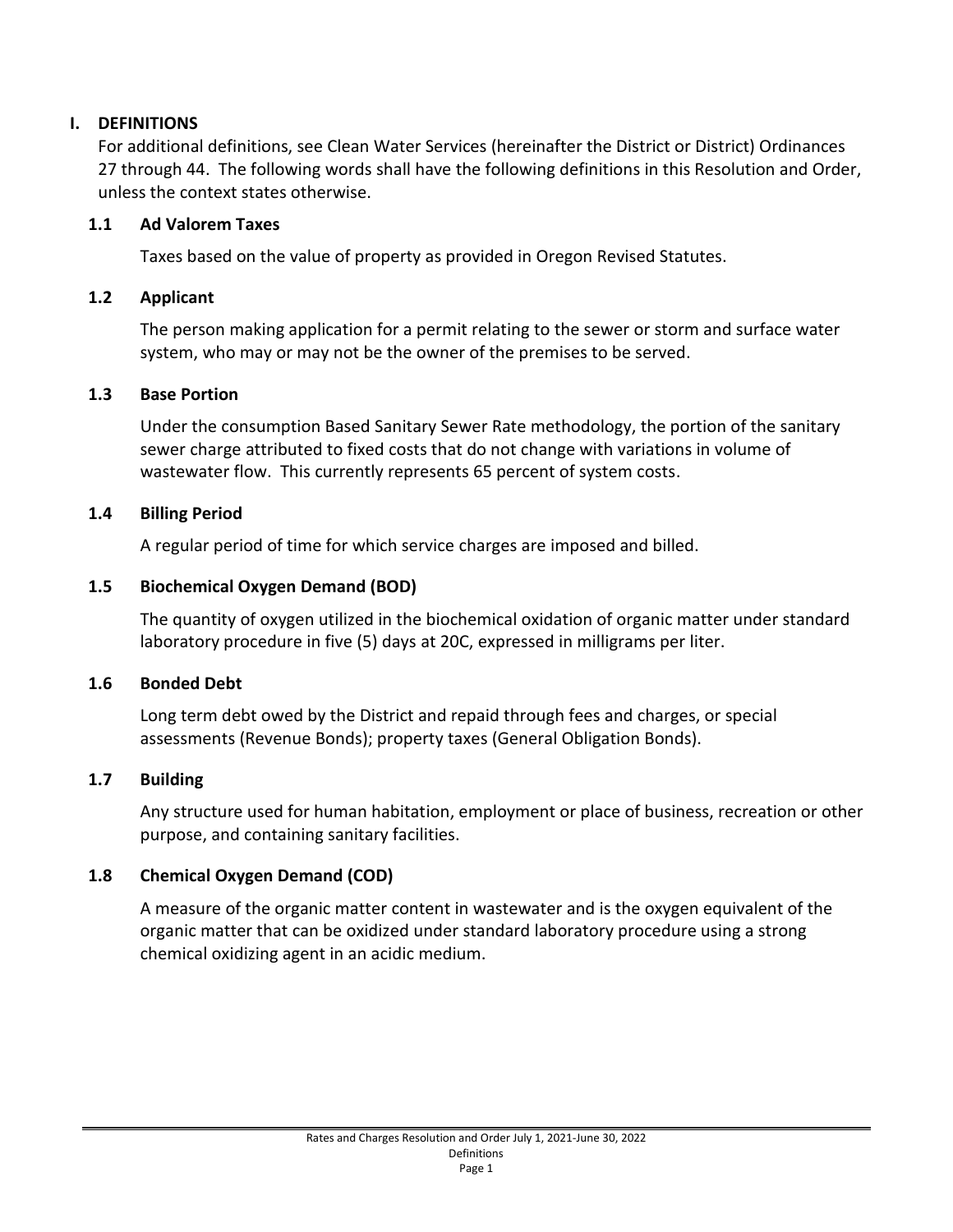## <span id="page-4-0"></span>**I. DEFINITIONS**

For additional definitions, see Clean Water Services (hereinafter the District or District) Ordinances 27 through 44. The following words shall have the following definitions in this Resolution and Order, unless the context states otherwise.

#### **1.1 Ad Valorem Taxes**

Taxes based on the value of property as provided in Oregon Revised Statutes.

#### **1.2 Applicant**

The person making application for a permit relating to the sewer or storm and surface water system, who may or may not be the owner of the premises to be served.

#### **1.3 Base Portion**

Under the consumption Based Sanitary Sewer Rate methodology, the portion of the sanitary sewer charge attributed to fixed costs that do not change with variations in volume of wastewater flow. This currently represents 65 percent of system costs.

#### **1.4 Billing Period**

A regular period of time for which service charges are imposed and billed.

#### **1.5 Biochemical Oxygen Demand (BOD)**

The quantity of oxygen utilized in the biochemical oxidation of organic matter under standard laboratory procedure in five (5) days at 20C, expressed in milligrams per liter.

#### **1.6 Bonded Debt**

Long term debt owed by the District and repaid through fees and charges, or special assessments (Revenue Bonds); property taxes (General Obligation Bonds).

#### **1.7 Building**

Any structure used for human habitation, employment or place of business, recreation or other purpose, and containing sanitary facilities.

#### **1.8 Chemical Oxygen Demand (COD)**

A measure of the organic matter content in wastewater and is the oxygen equivalent of the organic matter that can be oxidized under standard laboratory procedure using a strong chemical oxidizing agent in an acidic medium.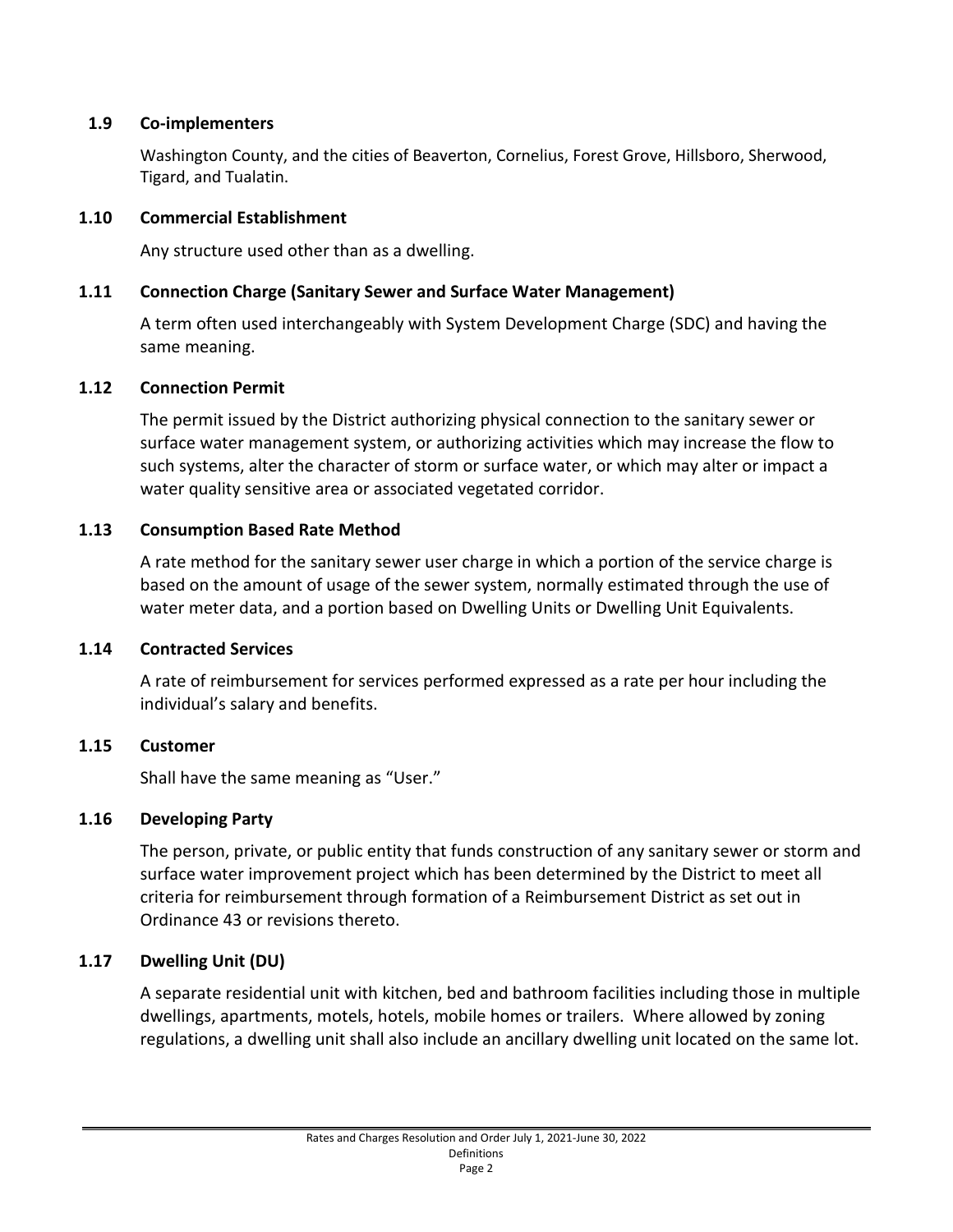#### **1.9 Co-implementers**

Washington County, and the cities of Beaverton, Cornelius, Forest Grove, Hillsboro, Sherwood, Tigard, and Tualatin.

#### **1.10 Commercial Establishment**

Any structure used other than as a dwelling.

#### **1.11 Connection Charge (Sanitary Sewer and Surface Water Management)**

A term often used interchangeably with System Development Charge (SDC) and having the same meaning.

#### **1.12 Connection Permit**

The permit issued by the District authorizing physical connection to the sanitary sewer or surface water management system, or authorizing activities which may increase the flow to such systems, alter the character of storm or surface water, or which may alter or impact a water quality sensitive area or associated vegetated corridor.

#### **1.13 Consumption Based Rate Method**

A rate method for the sanitary sewer user charge in which a portion of the service charge is based on the amount of usage of the sewer system, normally estimated through the use of water meter data, and a portion based on Dwelling Units or Dwelling Unit Equivalents.

#### **1.14 Contracted Services**

A rate of reimbursement for services performed expressed as a rate per hour including the individual's salary and benefits.

#### **1.15 Customer**

Shall have the same meaning as "User."

#### **1.16 Developing Party**

The person, private, or public entity that funds construction of any sanitary sewer or storm and surface water improvement project which has been determined by the District to meet all criteria for reimbursement through formation of a Reimbursement District as set out in Ordinance 43 or revisions thereto.

#### **1.17 Dwelling Unit (DU)**

A separate residential unit with kitchen, bed and bathroom facilities including those in multiple dwellings, apartments, motels, hotels, mobile homes or trailers. Where allowed by zoning regulations, a dwelling unit shall also include an ancillary dwelling unit located on the same lot.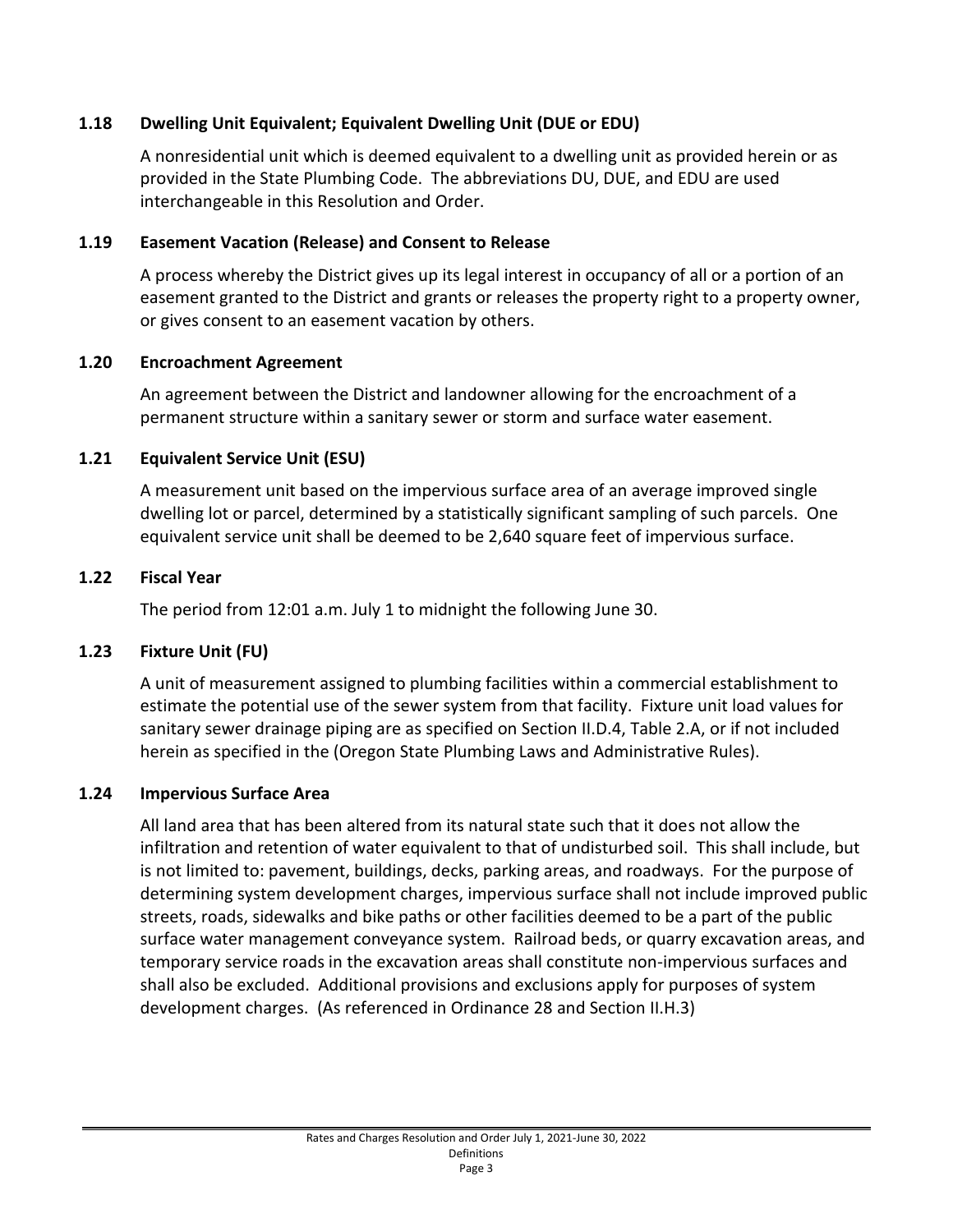# **1.18 Dwelling Unit Equivalent; Equivalent Dwelling Unit (DUE or EDU)**

A nonresidential unit which is deemed equivalent to a dwelling unit as provided herein or as provided in the State Plumbing Code. The abbreviations DU, DUE, and EDU are used interchangeable in this Resolution and Order.

# **1.19 Easement Vacation (Release) and Consent to Release**

A process whereby the District gives up its legal interest in occupancy of all or a portion of an easement granted to the District and grants or releases the property right to a property owner, or gives consent to an easement vacation by others.

# **1.20 Encroachment Agreement**

An agreement between the District and landowner allowing for the encroachment of a permanent structure within a sanitary sewer or storm and surface water easement.

# **1.21 Equivalent Service Unit (ESU)**

A measurement unit based on the impervious surface area of an average improved single dwelling lot or parcel, determined by a statistically significant sampling of such parcels. One equivalent service unit shall be deemed to be 2,640 square feet of impervious surface.

# **1.22 Fiscal Year**

The period from 12:01 a.m. July 1 to midnight the following June 30.

# **1.23 Fixture Unit (FU)**

A unit of measurement assigned to plumbing facilities within a commercial establishment to estimate the potential use of the sewer system from that facility. Fixture unit load values for sanitary sewer drainage piping are as specified on Section II.D.4, Table 2.A, or if not included herein as specified in the (Oregon State Plumbing Laws and Administrative Rules).

# **1.24 Impervious Surface Area**

All land area that has been altered from its natural state such that it does not allow the infiltration and retention of water equivalent to that of undisturbed soil. This shall include, but is not limited to: pavement, buildings, decks, parking areas, and roadways. For the purpose of determining system development charges, impervious surface shall not include improved public streets, roads, sidewalks and bike paths or other facilities deemed to be a part of the public surface water management conveyance system. Railroad beds, or quarry excavation areas, and temporary service roads in the excavation areas shall constitute non-impervious surfaces and shall also be excluded. Additional provisions and exclusions apply for purposes of system development charges. (As referenced in Ordinance 28 and Section II.H.3)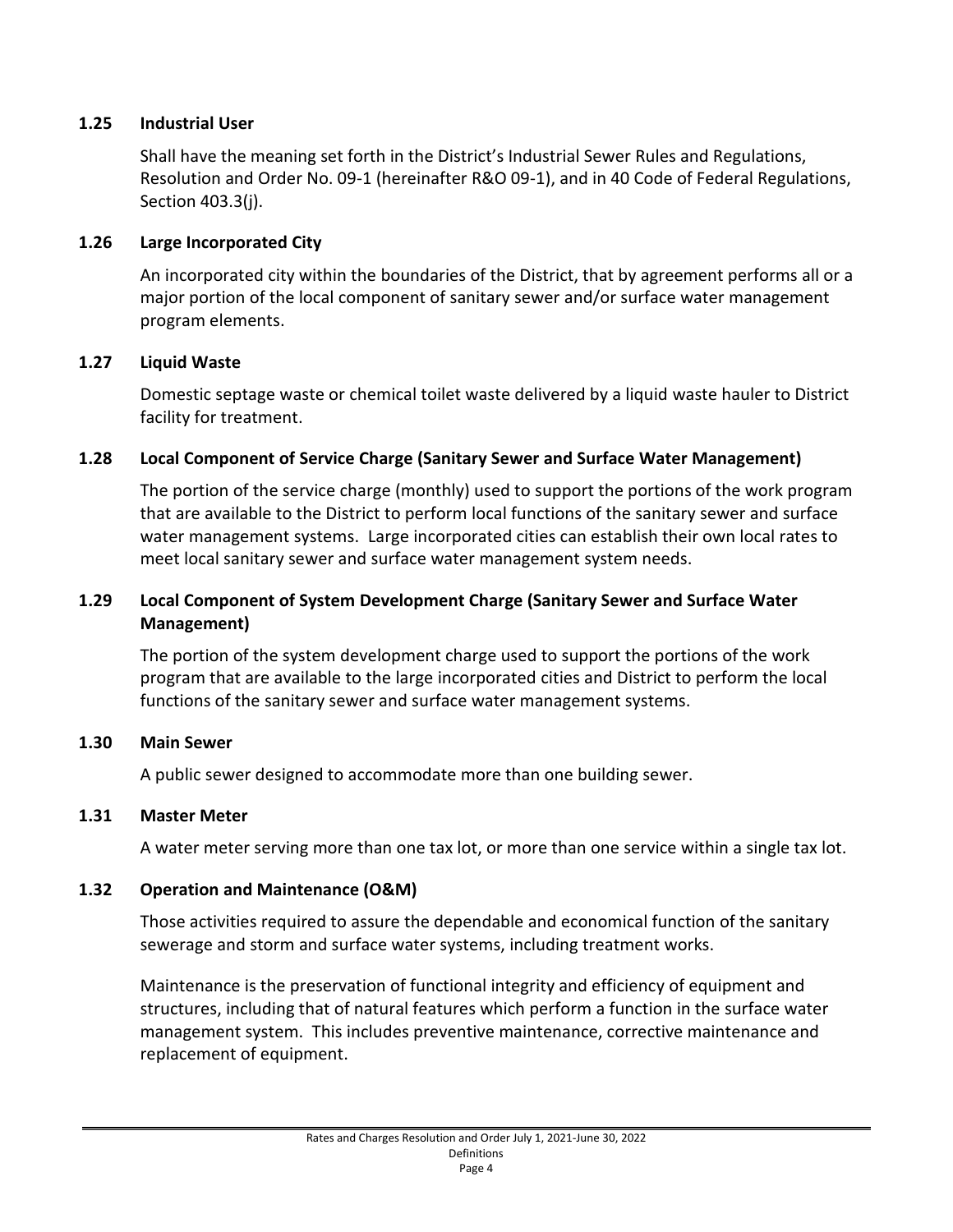#### **1.25 Industrial User**

Shall have the meaning set forth in the District's Industrial Sewer Rules and Regulations, Resolution and Order No. 09-1 (hereinafter R&O 09-1), and in 40 Code of Federal Regulations, Section 403.3(j).

#### **1.26 Large Incorporated City**

An incorporated city within the boundaries of the District, that by agreement performs all or a major portion of the local component of sanitary sewer and/or surface water management program elements.

#### **1.27 Liquid Waste**

Domestic septage waste or chemical toilet waste delivered by a liquid waste hauler to District facility for treatment.

#### **1.28 Local Component of Service Charge (Sanitary Sewer and Surface Water Management)**

The portion of the service charge (monthly) used to support the portions of the work program that are available to the District to perform local functions of the sanitary sewer and surface water management systems. Large incorporated cities can establish their own local rates to meet local sanitary sewer and surface water management system needs.

#### **1.29 Local Component of System Development Charge (Sanitary Sewer and Surface Water Management)**

The portion of the system development charge used to support the portions of the work program that are available to the large incorporated cities and District to perform the local functions of the sanitary sewer and surface water management systems.

#### **1.30 Main Sewer**

A public sewer designed to accommodate more than one building sewer.

#### **1.31 Master Meter**

A water meter serving more than one tax lot, or more than one service within a single tax lot.

#### **1.32 Operation and Maintenance (O&M)**

Those activities required to assure the dependable and economical function of the sanitary sewerage and storm and surface water systems, including treatment works.

Maintenance is the preservation of functional integrity and efficiency of equipment and structures, including that of natural features which perform a function in the surface water management system. This includes preventive maintenance, corrective maintenance and replacement of equipment.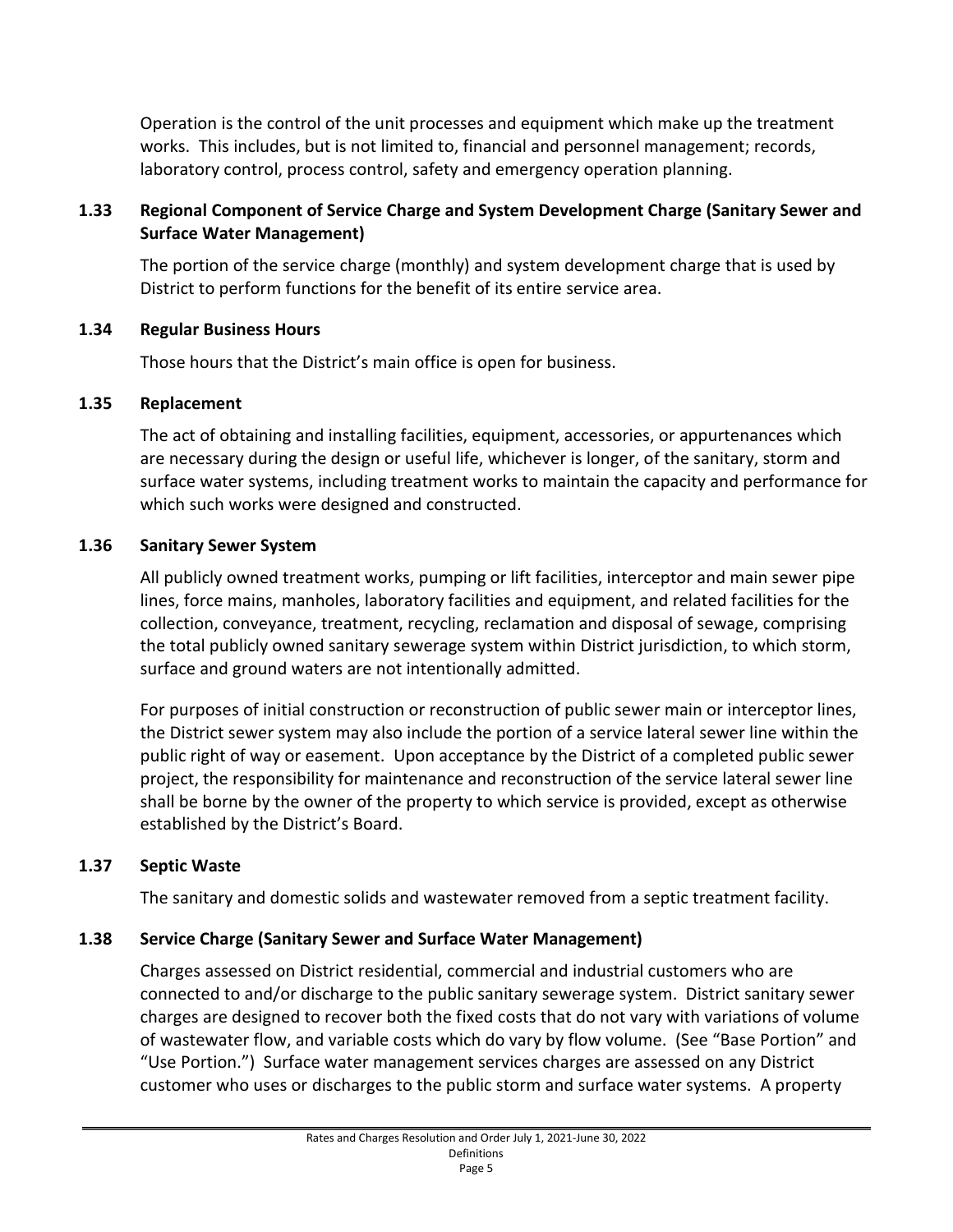Operation is the control of the unit processes and equipment which make up the treatment works. This includes, but is not limited to, financial and personnel management; records, laboratory control, process control, safety and emergency operation planning.

# **1.33 Regional Component of Service Charge and System Development Charge (Sanitary Sewer and Surface Water Management)**

The portion of the service charge (monthly) and system development charge that is used by District to perform functions for the benefit of its entire service area.

#### **1.34 Regular Business Hours**

Those hours that the District's main office is open for business.

#### **1.35 Replacement**

The act of obtaining and installing facilities, equipment, accessories, or appurtenances which are necessary during the design or useful life, whichever is longer, of the sanitary, storm and surface water systems, including treatment works to maintain the capacity and performance for which such works were designed and constructed.

#### **1.36 Sanitary Sewer System**

All publicly owned treatment works, pumping or lift facilities, interceptor and main sewer pipe lines, force mains, manholes, laboratory facilities and equipment, and related facilities for the collection, conveyance, treatment, recycling, reclamation and disposal of sewage, comprising the total publicly owned sanitary sewerage system within District jurisdiction, to which storm, surface and ground waters are not intentionally admitted.

For purposes of initial construction or reconstruction of public sewer main or interceptor lines, the District sewer system may also include the portion of a service lateral sewer line within the public right of way or easement. Upon acceptance by the District of a completed public sewer project, the responsibility for maintenance and reconstruction of the service lateral sewer line shall be borne by the owner of the property to which service is provided, except as otherwise established by the District's Board.

#### **1.37 Septic Waste**

The sanitary and domestic solids and wastewater removed from a septic treatment facility.

#### **1.38 Service Charge (Sanitary Sewer and Surface Water Management)**

Charges assessed on District residential, commercial and industrial customers who are connected to and/or discharge to the public sanitary sewerage system. District sanitary sewer charges are designed to recover both the fixed costs that do not vary with variations of volume of wastewater flow, and variable costs which do vary by flow volume. (See "Base Portion" and "Use Portion.") Surface water management services charges are assessed on any District customer who uses or discharges to the public storm and surface water systems. A property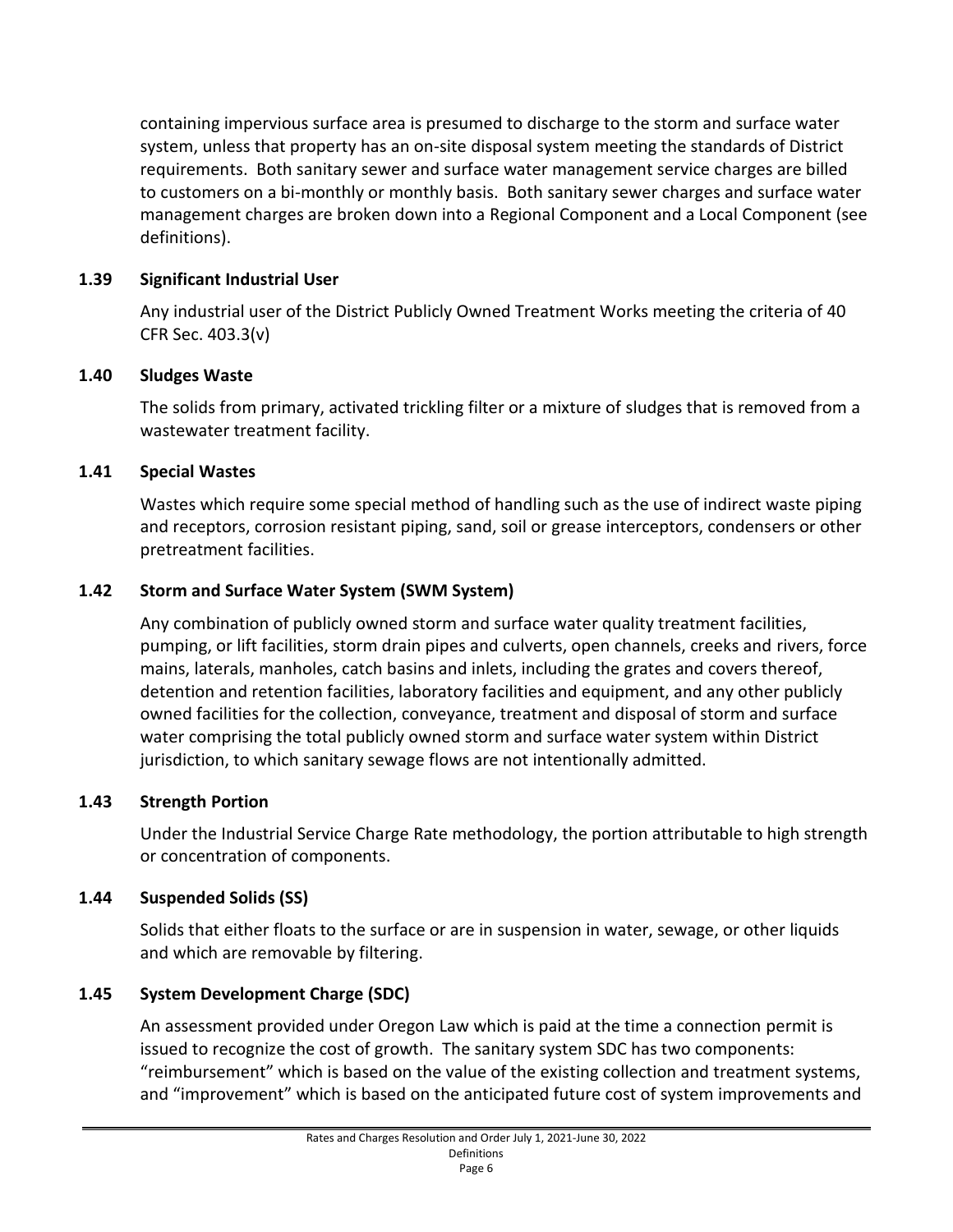containing impervious surface area is presumed to discharge to the storm and surface water system, unless that property has an on-site disposal system meeting the standards of District requirements. Both sanitary sewer and surface water management service charges are billed to customers on a bi-monthly or monthly basis. Both sanitary sewer charges and surface water management charges are broken down into a Regional Component and a Local Component (see definitions).

# **1.39 Significant Industrial User**

Any industrial user of the District Publicly Owned Treatment Works meeting the criteria of 40 CFR Sec. 403.3(v)

# **1.40 Sludges Waste**

The solids from primary, activated trickling filter or a mixture of sludges that is removed from a wastewater treatment facility.

# **1.41 Special Wastes**

Wastes which require some special method of handling such as the use of indirect waste piping and receptors, corrosion resistant piping, sand, soil or grease interceptors, condensers or other pretreatment facilities.

# **1.42 Storm and Surface Water System (SWM System)**

Any combination of publicly owned storm and surface water quality treatment facilities, pumping, or lift facilities, storm drain pipes and culverts, open channels, creeks and rivers, force mains, laterals, manholes, catch basins and inlets, including the grates and covers thereof, detention and retention facilities, laboratory facilities and equipment, and any other publicly owned facilities for the collection, conveyance, treatment and disposal of storm and surface water comprising the total publicly owned storm and surface water system within District jurisdiction, to which sanitary sewage flows are not intentionally admitted.

#### **1.43 Strength Portion**

Under the Industrial Service Charge Rate methodology, the portion attributable to high strength or concentration of components.

#### **1.44 Suspended Solids (SS)**

Solids that either floats to the surface or are in suspension in water, sewage, or other liquids and which are removable by filtering.

# **1.45 System Development Charge (SDC)**

An assessment provided under Oregon Law which is paid at the time a connection permit is issued to recognize the cost of growth. The sanitary system SDC has two components: "reimbursement" which is based on the value of the existing collection and treatment systems, and "improvement" which is based on the anticipated future cost of system improvements and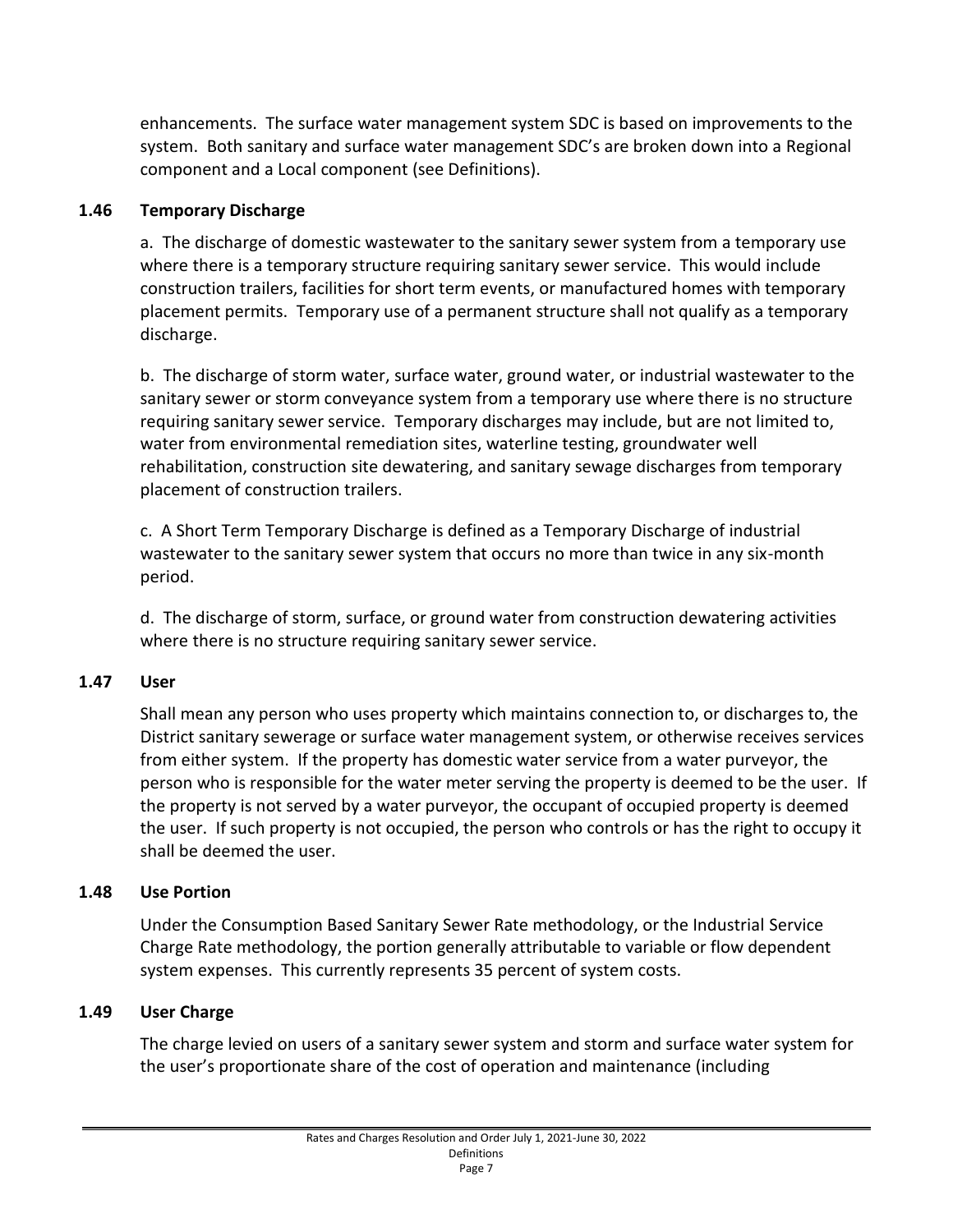enhancements. The surface water management system SDC is based on improvements to the system. Both sanitary and surface water management SDC's are broken down into a Regional component and a Local component (see Definitions).

## **1.46 Temporary Discharge**

a. The discharge of domestic wastewater to the sanitary sewer system from a temporary use where there is a temporary structure requiring sanitary sewer service. This would include construction trailers, facilities for short term events, or manufactured homes with temporary placement permits. Temporary use of a permanent structure shall not qualify as a temporary discharge.

b. The discharge of storm water, surface water, ground water, or industrial wastewater to the sanitary sewer or storm conveyance system from a temporary use where there is no structure requiring sanitary sewer service. Temporary discharges may include, but are not limited to, water from environmental remediation sites, waterline testing, groundwater well rehabilitation, construction site dewatering, and sanitary sewage discharges from temporary placement of construction trailers.

c. A Short Term Temporary Discharge is defined as a Temporary Discharge of industrial wastewater to the sanitary sewer system that occurs no more than twice in any six-month period.

d. The discharge of storm, surface, or ground water from construction dewatering activities where there is no structure requiring sanitary sewer service.

#### **1.47 User**

Shall mean any person who uses property which maintains connection to, or discharges to, the District sanitary sewerage or surface water management system, or otherwise receives services from either system. If the property has domestic water service from a water purveyor, the person who is responsible for the water meter serving the property is deemed to be the user. If the property is not served by a water purveyor, the occupant of occupied property is deemed the user. If such property is not occupied, the person who controls or has the right to occupy it shall be deemed the user.

#### **1.48 Use Portion**

Under the Consumption Based Sanitary Sewer Rate methodology, or the Industrial Service Charge Rate methodology, the portion generally attributable to variable or flow dependent system expenses. This currently represents 35 percent of system costs.

# **1.49 User Charge**

The charge levied on users of a sanitary sewer system and storm and surface water system for the user's proportionate share of the cost of operation and maintenance (including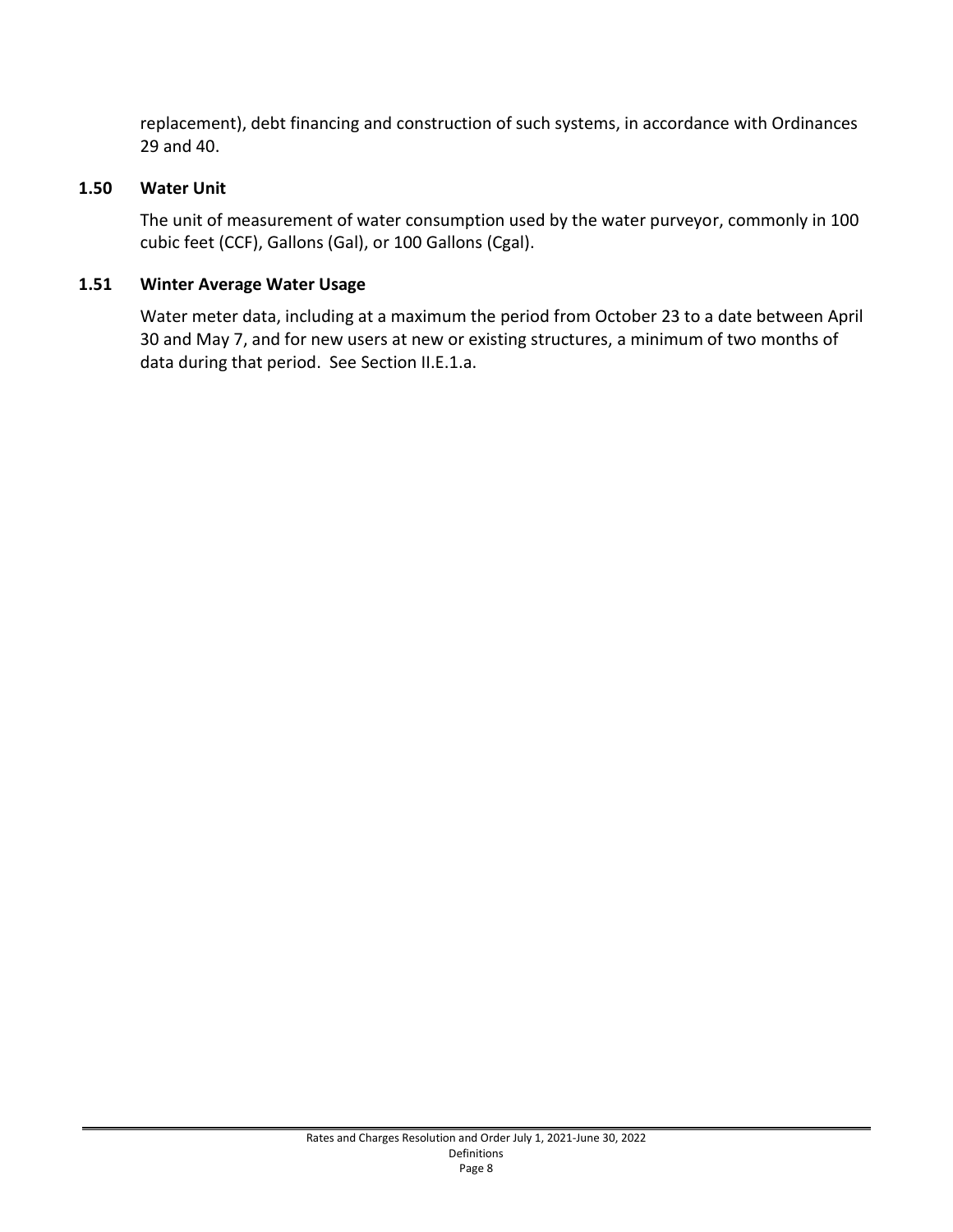replacement), debt financing and construction of such systems, in accordance with Ordinances 29 and 40.

#### **1.50 Water Unit**

The unit of measurement of water consumption used by the water purveyor, commonly in 100 cubic feet (CCF), Gallons (Gal), or 100 Gallons (Cgal).

## **1.51 Winter Average Water Usage**

Water meter data, including at a maximum the period from October 23 to a date between April 30 and May 7, and for new users at new or existing structures, a minimum of two months of data during that period. See Section II.E.1.a.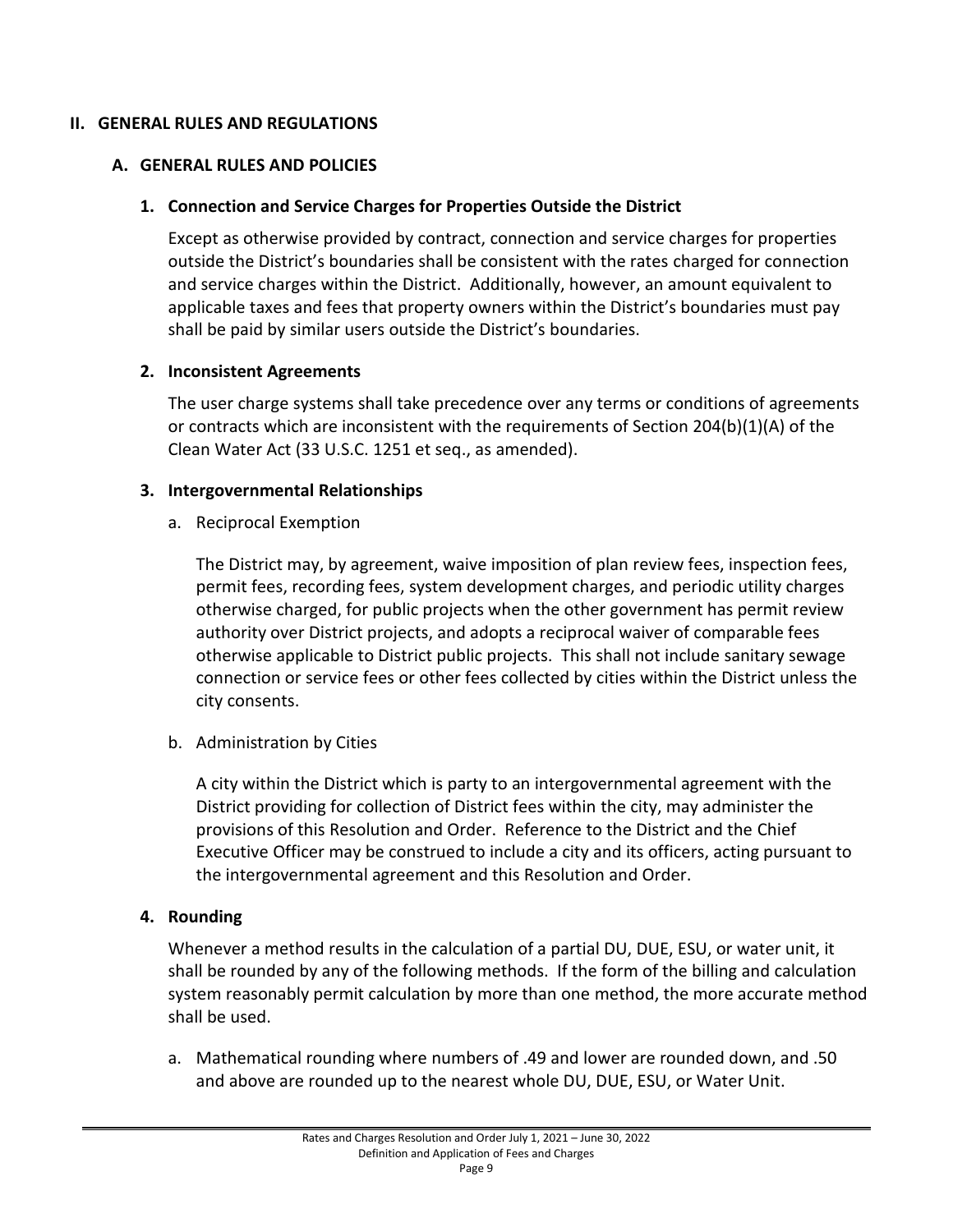#### <span id="page-12-1"></span><span id="page-12-0"></span>**II. GENERAL RULES AND REGULATIONS**

#### <span id="page-12-2"></span>**A. GENERAL RULES AND POLICIES**

#### **1. Connection and Service Charges for Properties Outside the District**

Except as otherwise provided by contract, connection and service charges for properties outside the District's boundaries shall be consistent with the rates charged for connection and service charges within the District. Additionally, however, an amount equivalent to applicable taxes and fees that property owners within the District's boundaries must pay shall be paid by similar users outside the District's boundaries.

#### <span id="page-12-3"></span>**2. Inconsistent Agreements**

The user charge systems shall take precedence over any terms or conditions of agreements or contracts which are inconsistent with the requirements of Section 204(b)(1)(A) of the Clean Water Act (33 U.S.C. 1251 et seq., as amended).

#### <span id="page-12-4"></span>**3. Intergovernmental Relationships**

a. Reciprocal Exemption

The District may, by agreement, waive imposition of plan review fees, inspection fees, permit fees, recording fees, system development charges, and periodic utility charges otherwise charged, for public projects when the other government has permit review authority over District projects, and adopts a reciprocal waiver of comparable fees otherwise applicable to District public projects. This shall not include sanitary sewage connection or service fees or other fees collected by cities within the District unless the city consents.

b. Administration by Cities

A city within the District which is party to an intergovernmental agreement with the District providing for collection of District fees within the city, may administer the provisions of this Resolution and Order. Reference to the District and the Chief Executive Officer may be construed to include a city and its officers, acting pursuant to the intergovernmental agreement and this Resolution and Order.

#### <span id="page-12-5"></span>**4. Rounding**

Whenever a method results in the calculation of a partial DU, DUE, ESU, or water unit, it shall be rounded by any of the following methods. If the form of the billing and calculation system reasonably permit calculation by more than one method, the more accurate method shall be used.

a. Mathematical rounding where numbers of .49 and lower are rounded down, and .50 and above are rounded up to the nearest whole DU, DUE, ESU, or Water Unit.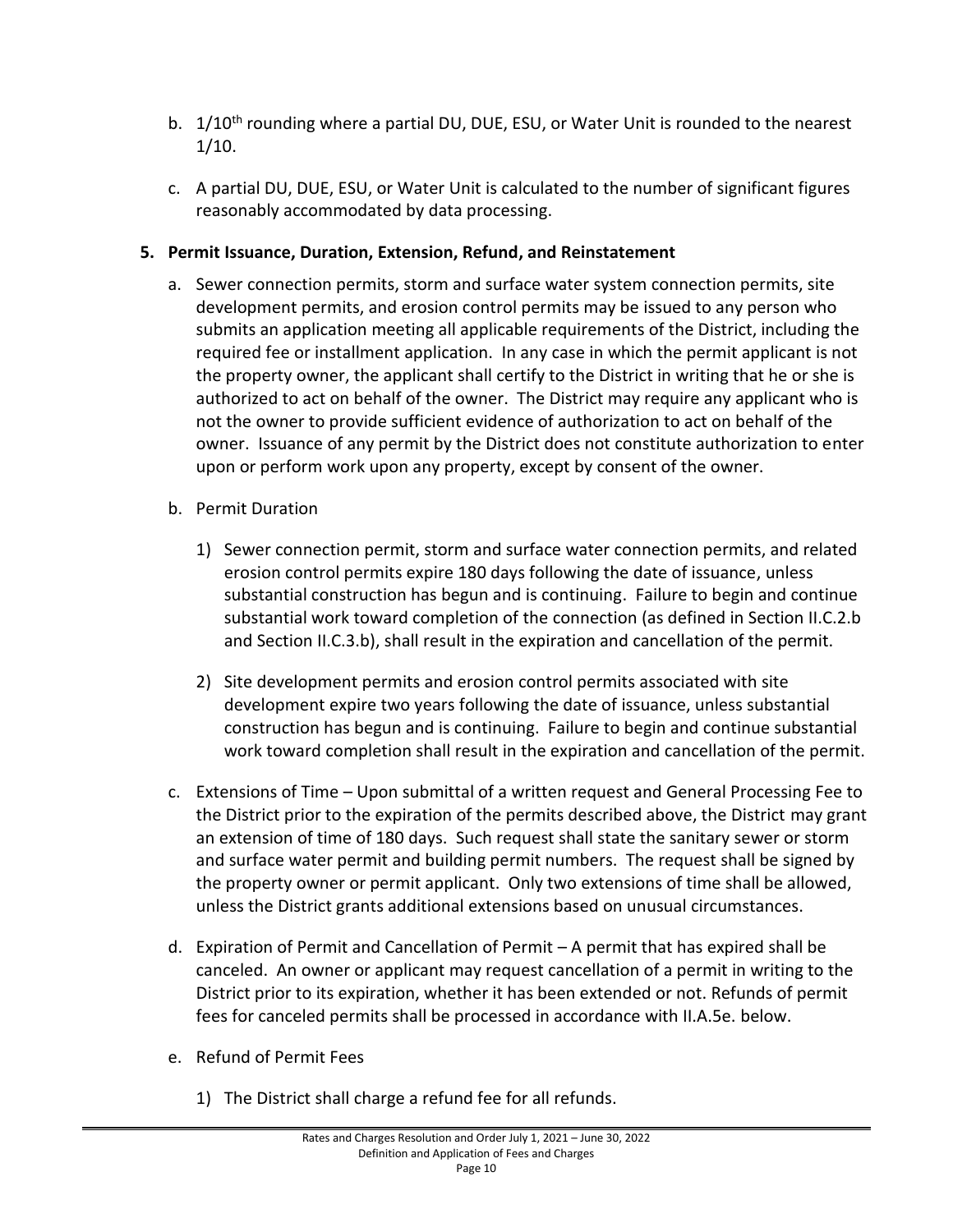- b. 1/10<sup>th</sup> rounding where a partial DU, DUE, ESU, or Water Unit is rounded to the nearest 1/10.
- c. A partial DU, DUE, ESU, or Water Unit is calculated to the number of significant figures reasonably accommodated by data processing.

# <span id="page-13-0"></span>**5. Permit Issuance, Duration, Extension, Refund, and Reinstatement**

- a. Sewer connection permits, storm and surface water system connection permits, site development permits, and erosion control permits may be issued to any person who submits an application meeting all applicable requirements of the District, including the required fee or installment application. In any case in which the permit applicant is not the property owner, the applicant shall certify to the District in writing that he or she is authorized to act on behalf of the owner. The District may require any applicant who is not the owner to provide sufficient evidence of authorization to act on behalf of the owner. Issuance of any permit by the District does not constitute authorization to enter upon or perform work upon any property, except by consent of the owner.
- b. Permit Duration
	- 1) Sewer connection permit, storm and surface water connection permits, and related erosion control permits expire 180 days following the date of issuance, unless substantial construction has begun and is continuing. Failure to begin and continue substantial work toward completion of the connection (as defined in Section II.C.2.b and Section II.C.3.b), shall result in the expiration and cancellation of the permit.
	- 2) Site development permits and erosion control permits associated with site development expire two years following the date of issuance, unless substantial construction has begun and is continuing. Failure to begin and continue substantial work toward completion shall result in the expiration and cancellation of the permit.
- c. Extensions of Time Upon submittal of a written request and General Processing Fee to the District prior to the expiration of the permits described above, the District may grant an extension of time of 180 days. Such request shall state the sanitary sewer or storm and surface water permit and building permit numbers. The request shall be signed by the property owner or permit applicant. Only two extensions of time shall be allowed, unless the District grants additional extensions based on unusual circumstances.
- d. Expiration of Permit and Cancellation of Permit A permit that has expired shall be canceled. An owner or applicant may request cancellation of a permit in writing to the District prior to its expiration, whether it has been extended or not. Refunds of permit fees for canceled permits shall be processed in accordance with II.A.5e. below.
- e. Refund of Permit Fees
	- 1) The District shall charge a refund fee for all refunds.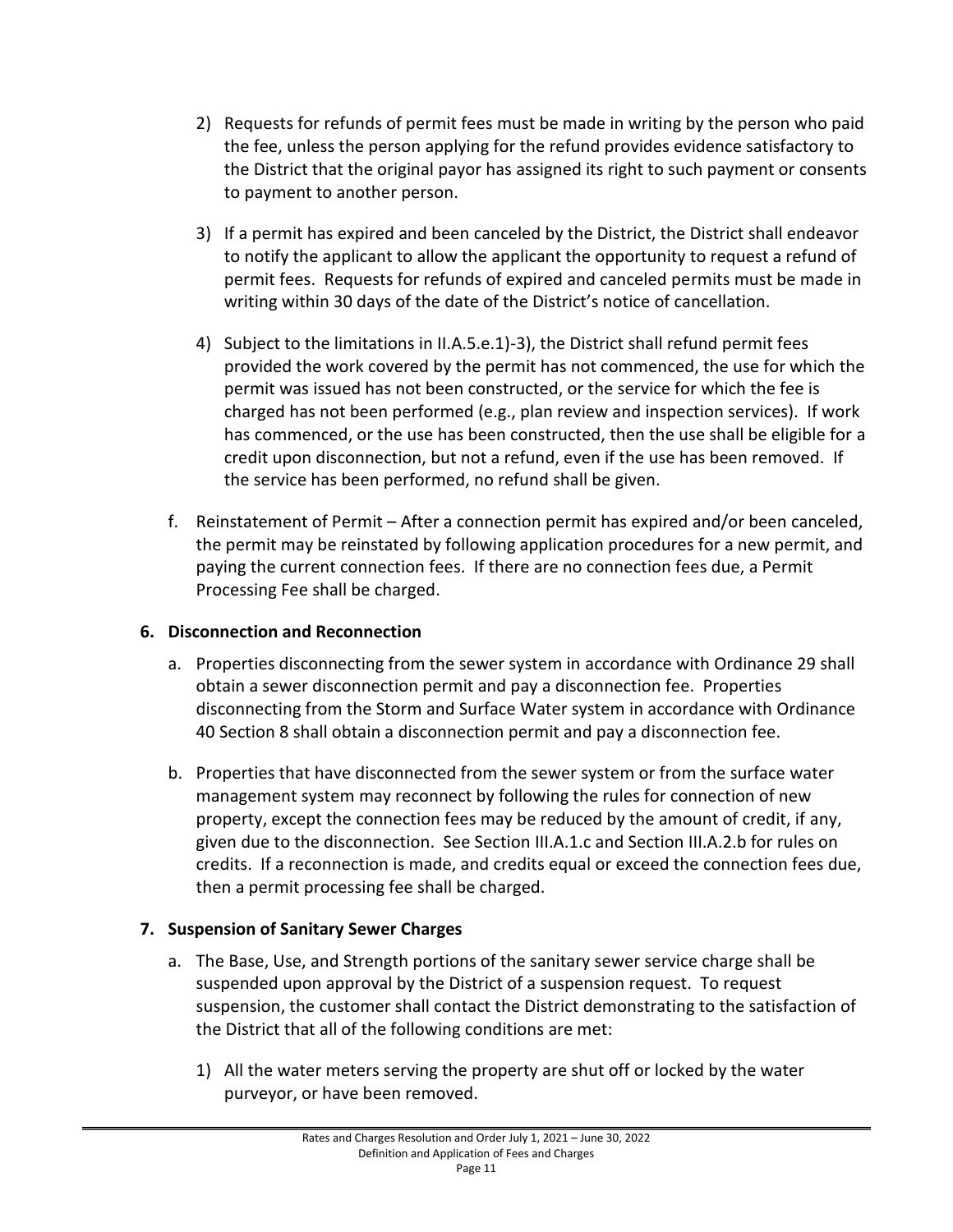- 2) Requests for refunds of permit fees must be made in writing by the person who paid the fee, unless the person applying for the refund provides evidence satisfactory to the District that the original payor has assigned its right to such payment or consents to payment to another person.
- 3) If a permit has expired and been canceled by the District, the District shall endeavor to notify the applicant to allow the applicant the opportunity to request a refund of permit fees. Requests for refunds of expired and canceled permits must be made in writing within 30 days of the date of the District's notice of cancellation.
- 4) Subject to the limitations in II.A.5.e.1)-3), the District shall refund permit fees provided the work covered by the permit has not commenced, the use for which the permit was issued has not been constructed, or the service for which the fee is charged has not been performed (e.g., plan review and inspection services). If work has commenced, or the use has been constructed, then the use shall be eligible for a credit upon disconnection, but not a refund, even if the use has been removed. If the service has been performed, no refund shall be given.
- f. Reinstatement of Permit After a connection permit has expired and/or been canceled, the permit may be reinstated by following application procedures for a new permit, and paying the current connection fees. If there are no connection fees due, a Permit Processing Fee shall be charged.

#### <span id="page-14-0"></span>**6. Disconnection and Reconnection**

- a. Properties disconnecting from the sewer system in accordance with Ordinance 29 shall obtain a sewer disconnection permit and pay a disconnection fee. Properties disconnecting from the Storm and Surface Water system in accordance with Ordinance 40 Section 8 shall obtain a disconnection permit and pay a disconnection fee.
- b. Properties that have disconnected from the sewer system or from the surface water management system may reconnect by following the rules for connection of new property, except the connection fees may be reduced by the amount of credit, if any, given due to the disconnection. See Section III.A.1.c and Section III.A.2.b for rules on credits. If a reconnection is made, and credits equal or exceed the connection fees due, then a permit processing fee shall be charged.

# <span id="page-14-1"></span>**7. Suspension of Sanitary Sewer Charges**

- a. The Base, Use, and Strength portions of the sanitary sewer service charge shall be suspended upon approval by the District of a suspension request. To request suspension, the customer shall contact the District demonstrating to the satisfaction of the District that all of the following conditions are met:
	- 1) All the water meters serving the property are shut off or locked by the water purveyor, or have been removed.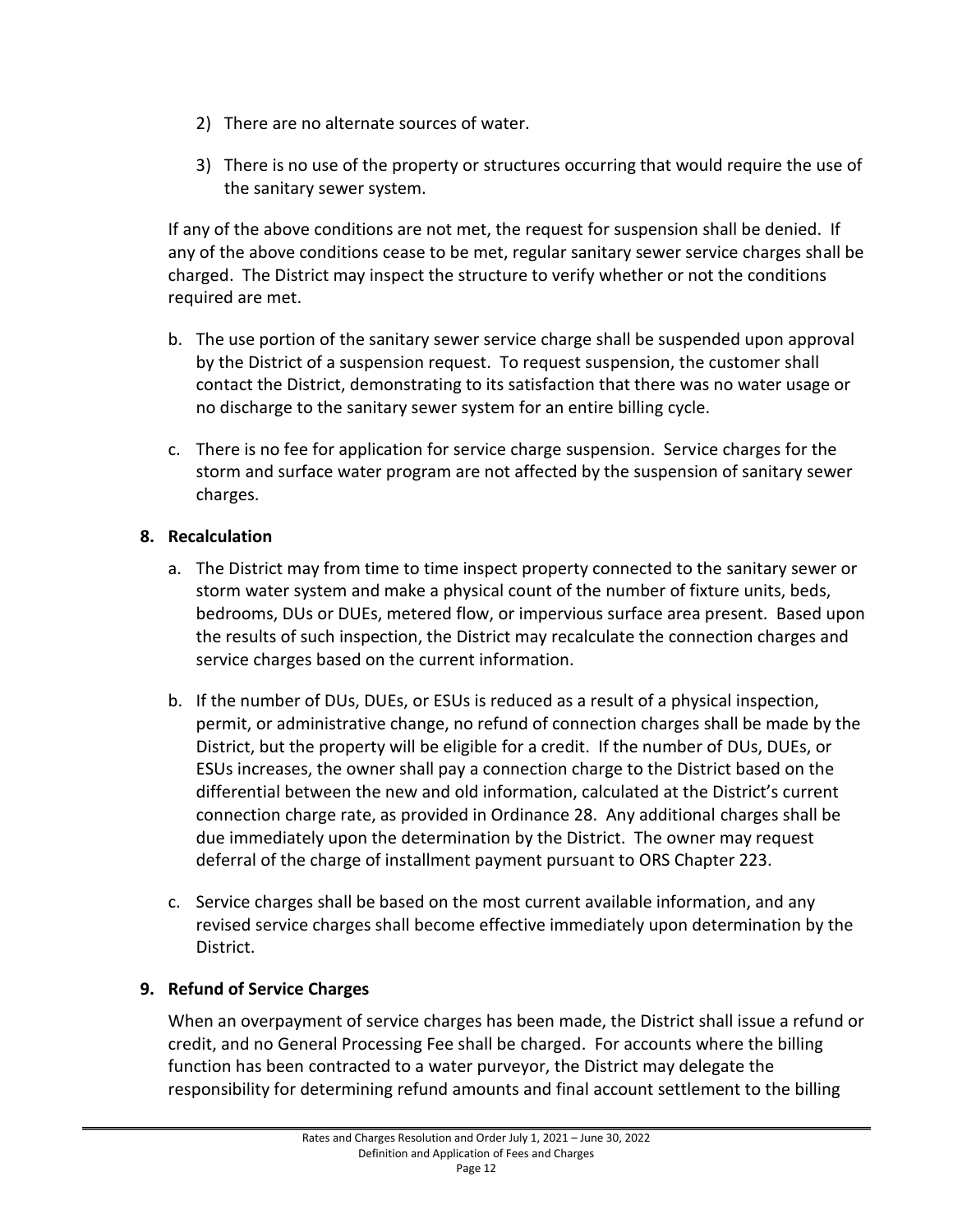- 2) There are no alternate sources of water.
- 3) There is no use of the property or structures occurring that would require the use of the sanitary sewer system.

If any of the above conditions are not met, the request for suspension shall be denied. If any of the above conditions cease to be met, regular sanitary sewer service charges shall be charged. The District may inspect the structure to verify whether or not the conditions required are met.

- b. The use portion of the sanitary sewer service charge shall be suspended upon approval by the District of a suspension request. To request suspension, the customer shall contact the District, demonstrating to its satisfaction that there was no water usage or no discharge to the sanitary sewer system for an entire billing cycle.
- c. There is no fee for application for service charge suspension. Service charges for the storm and surface water program are not affected by the suspension of sanitary sewer charges.

# <span id="page-15-0"></span>**8. Recalculation**

- a. The District may from time to time inspect property connected to the sanitary sewer or storm water system and make a physical count of the number of fixture units, beds, bedrooms, DUs or DUEs, metered flow, or impervious surface area present. Based upon the results of such inspection, the District may recalculate the connection charges and service charges based on the current information.
- b. If the number of DUs, DUEs, or ESUs is reduced as a result of a physical inspection, permit, or administrative change, no refund of connection charges shall be made by the District, but the property will be eligible for a credit. If the number of DUs, DUEs, or ESUs increases, the owner shall pay a connection charge to the District based on the differential between the new and old information, calculated at the District's current connection charge rate, as provided in Ordinance 28. Any additional charges shall be due immediately upon the determination by the District. The owner may request deferral of the charge of installment payment pursuant to ORS Chapter 223.
- c. Service charges shall be based on the most current available information, and any revised service charges shall become effective immediately upon determination by the District.

# <span id="page-15-1"></span>**9. Refund of Service Charges**

When an overpayment of service charges has been made, the District shall issue a refund or credit, and no General Processing Fee shall be charged. For accounts where the billing function has been contracted to a water purveyor, the District may delegate the responsibility for determining refund amounts and final account settlement to the billing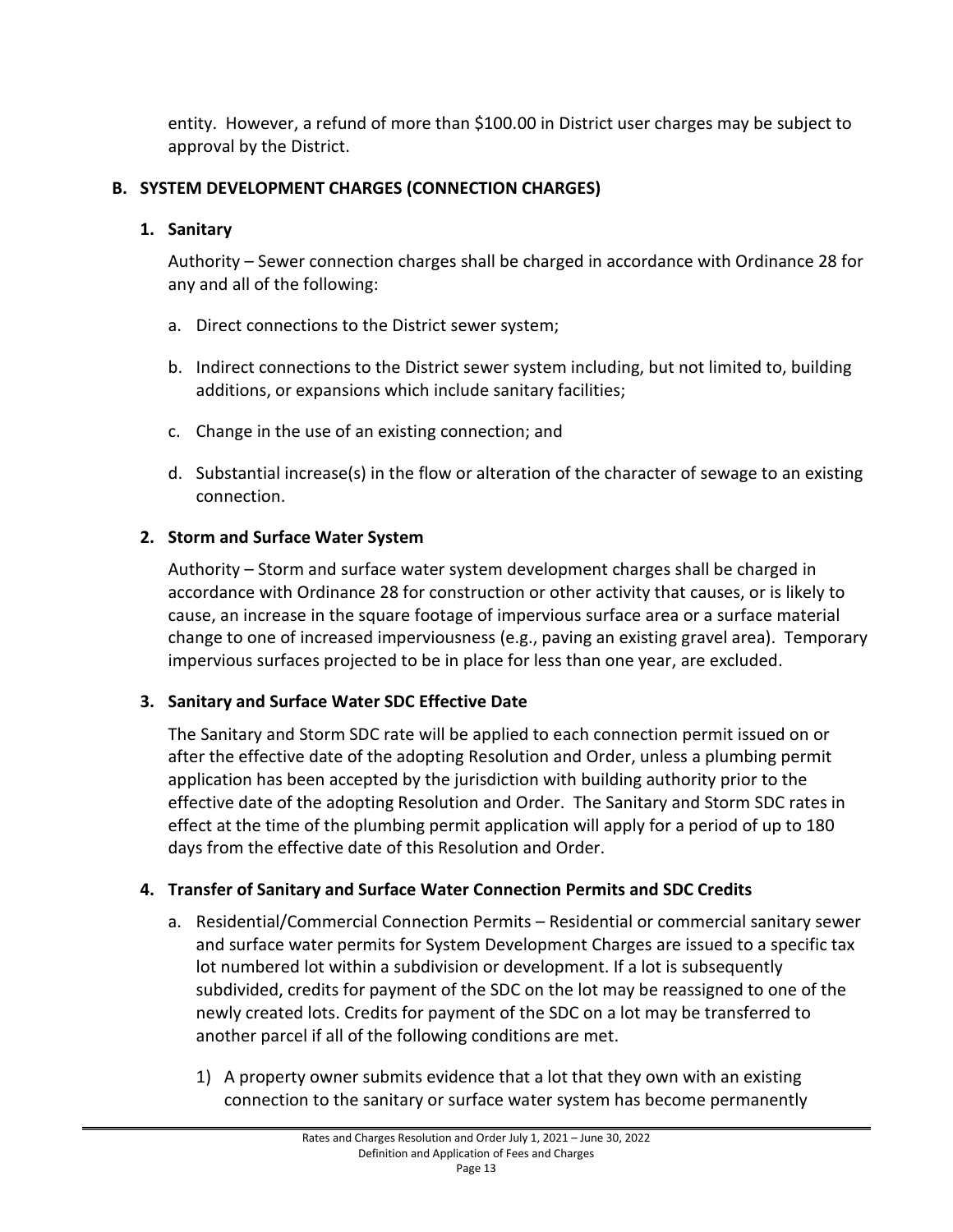entity. However, a refund of more than \$100.00 in District user charges may be subject to approval by the District.

# <span id="page-16-1"></span><span id="page-16-0"></span>**B. SYSTEM DEVELOPMENT CHARGES (CONNECTION CHARGES)**

# **1. Sanitary**

Authority – Sewer connection charges shall be charged in accordance with Ordinance 28 for any and all of the following:

- a. Direct connections to the District sewer system;
- b. Indirect connections to the District sewer system including, but not limited to, building additions, or expansions which include sanitary facilities;
- c. Change in the use of an existing connection; and
- d. Substantial increase(s) in the flow or alteration of the character of sewage to an existing connection.

# <span id="page-16-2"></span>**2. Storm and Surface Water System**

Authority – Storm and surface water system development charges shall be charged in accordance with Ordinance 28 for construction or other activity that causes, or is likely to cause, an increase in the square footage of impervious surface area or a surface material change to one of increased imperviousness (e.g., paving an existing gravel area). Temporary impervious surfaces projected to be in place for less than one year, are excluded.

# <span id="page-16-3"></span>**3. Sanitary and Surface Water SDC Effective Date**

The Sanitary and Storm SDC rate will be applied to each connection permit issued on or after the effective date of the adopting Resolution and Order, unless a plumbing permit application has been accepted by the jurisdiction with building authority prior to the effective date of the adopting Resolution and Order. The Sanitary and Storm SDC rates in effect at the time of the plumbing permit application will apply for a period of up to 180 days from the effective date of this Resolution and Order.

# <span id="page-16-4"></span>**4. Transfer of Sanitary and Surface Water Connection Permits and SDC Credits**

- a. Residential/Commercial Connection Permits Residential or commercial sanitary sewer and surface water permits for System Development Charges are issued to a specific tax lot numbered lot within a subdivision or development. If a lot is subsequently subdivided, credits for payment of the SDC on the lot may be reassigned to one of the newly created lots. Credits for payment of the SDC on a lot may be transferred to another parcel if all of the following conditions are met.
	- 1) A property owner submits evidence that a lot that they own with an existing connection to the sanitary or surface water system has become permanently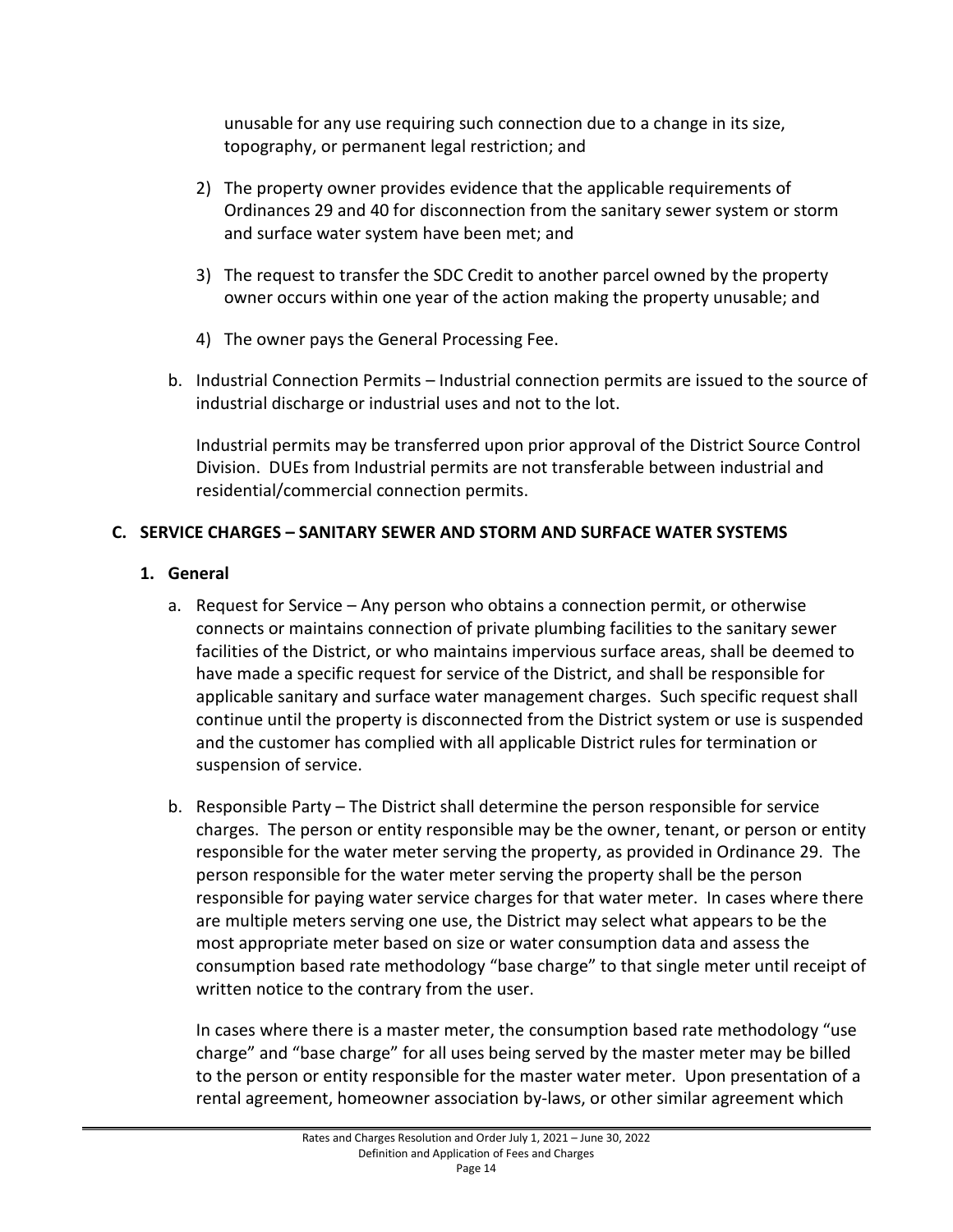unusable for any use requiring such connection due to a change in its size, topography, or permanent legal restriction; and

- 2) The property owner provides evidence that the applicable requirements of Ordinances 29 and 40 for disconnection from the sanitary sewer system or storm and surface water system have been met; and
- 3) The request to transfer the SDC Credit to another parcel owned by the property owner occurs within one year of the action making the property unusable; and
- 4) The owner pays the General Processing Fee.
- b. Industrial Connection Permits Industrial connection permits are issued to the source of industrial discharge or industrial uses and not to the lot.

Industrial permits may be transferred upon prior approval of the District Source Control Division. DUEs from Industrial permits are not transferable between industrial and residential/commercial connection permits.

# <span id="page-17-1"></span><span id="page-17-0"></span>**C. SERVICE CHARGES – SANITARY SEWER AND STORM AND SURFACE WATER SYSTEMS**

# **1. General**

- a. Request for Service Any person who obtains a connection permit, or otherwise connects or maintains connection of private plumbing facilities to the sanitary sewer facilities of the District, or who maintains impervious surface areas, shall be deemed to have made a specific request for service of the District, and shall be responsible for applicable sanitary and surface water management charges. Such specific request shall continue until the property is disconnected from the District system or use is suspended and the customer has complied with all applicable District rules for termination or suspension of service.
- b. Responsible Party The District shall determine the person responsible for service charges. The person or entity responsible may be the owner, tenant, or person or entity responsible for the water meter serving the property, as provided in Ordinance 29. The person responsible for the water meter serving the property shall be the person responsible for paying water service charges for that water meter. In cases where there are multiple meters serving one use, the District may select what appears to be the most appropriate meter based on size or water consumption data and assess the consumption based rate methodology "base charge" to that single meter until receipt of written notice to the contrary from the user.

In cases where there is a master meter, the consumption based rate methodology "use charge" and "base charge" for all uses being served by the master meter may be billed to the person or entity responsible for the master water meter. Upon presentation of a rental agreement, homeowner association by-laws, or other similar agreement which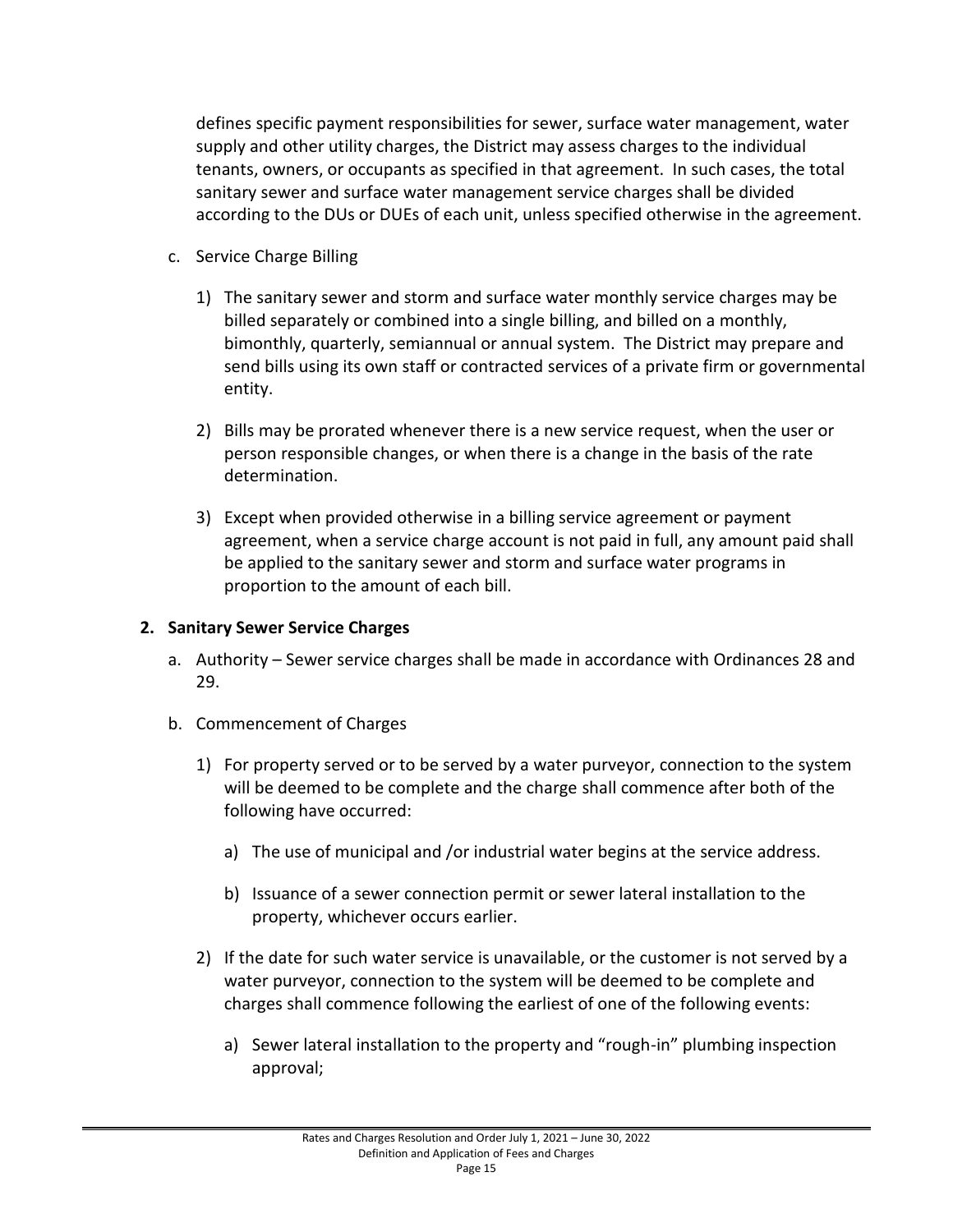defines specific payment responsibilities for sewer, surface water management, water supply and other utility charges, the District may assess charges to the individual tenants, owners, or occupants as specified in that agreement. In such cases, the total sanitary sewer and surface water management service charges shall be divided according to the DUs or DUEs of each unit, unless specified otherwise in the agreement.

- c. Service Charge Billing
	- 1) The sanitary sewer and storm and surface water monthly service charges may be billed separately or combined into a single billing, and billed on a monthly, bimonthly, quarterly, semiannual or annual system. The District may prepare and send bills using its own staff or contracted services of a private firm or governmental entity.
	- 2) Bills may be prorated whenever there is a new service request, when the user or person responsible changes, or when there is a change in the basis of the rate determination.
	- 3) Except when provided otherwise in a billing service agreement or payment agreement, when a service charge account is not paid in full, any amount paid shall be applied to the sanitary sewer and storm and surface water programs in proportion to the amount of each bill.

#### <span id="page-18-0"></span>**2. Sanitary Sewer Service Charges**

- a. Authority Sewer service charges shall be made in accordance with Ordinances 28 and 29.
- b. Commencement of Charges
	- 1) For property served or to be served by a water purveyor, connection to the system will be deemed to be complete and the charge shall commence after both of the following have occurred:
		- a) The use of municipal and /or industrial water begins at the service address.
		- b) Issuance of a sewer connection permit or sewer lateral installation to the property, whichever occurs earlier.
	- 2) If the date for such water service is unavailable, or the customer is not served by a water purveyor, connection to the system will be deemed to be complete and charges shall commence following the earliest of one of the following events:
		- a) Sewer lateral installation to the property and "rough-in" plumbing inspection approval;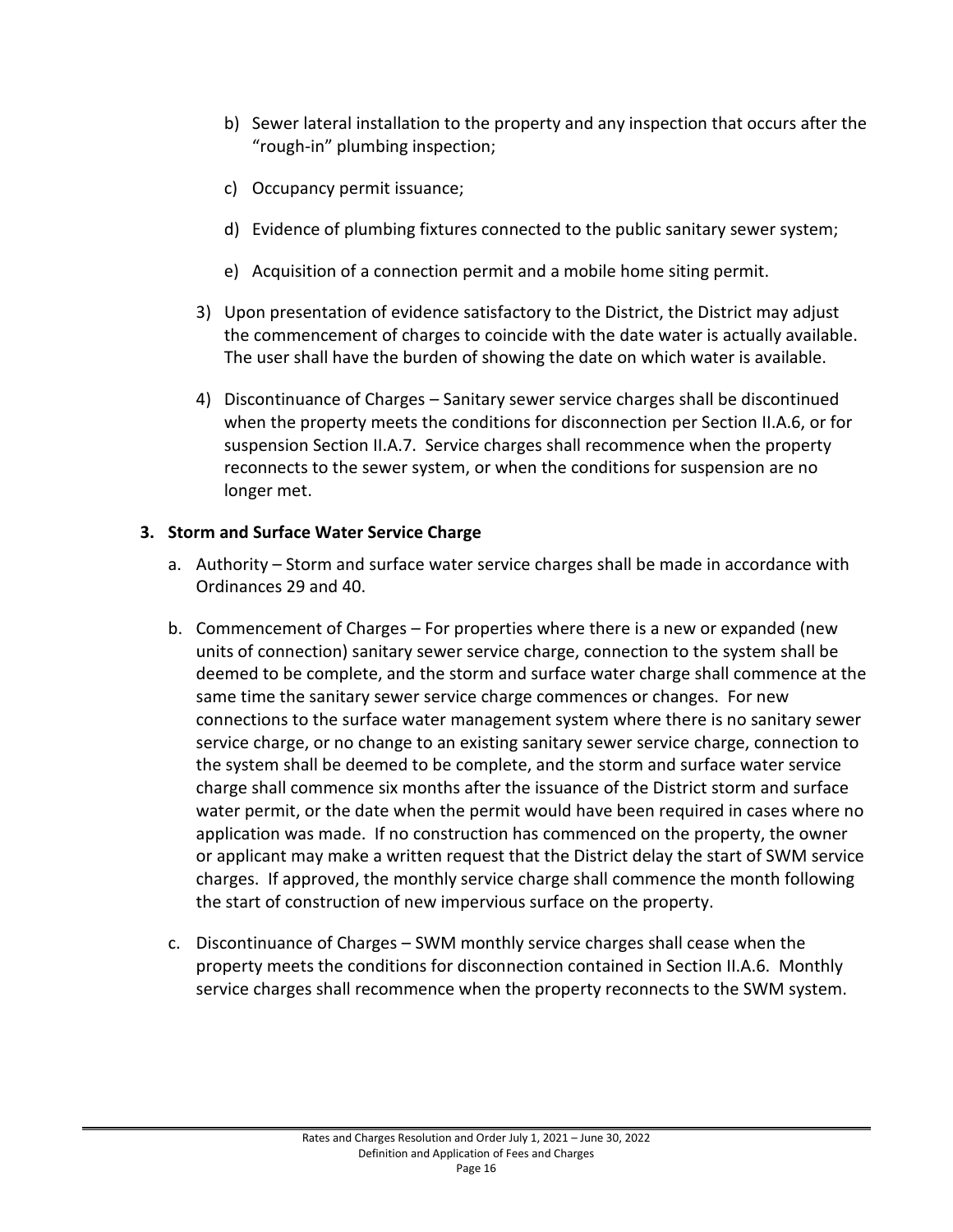- b) Sewer lateral installation to the property and any inspection that occurs after the "rough-in" plumbing inspection;
- c) Occupancy permit issuance;
- d) Evidence of plumbing fixtures connected to the public sanitary sewer system;
- e) Acquisition of a connection permit and a mobile home siting permit.
- 3) Upon presentation of evidence satisfactory to the District, the District may adjust the commencement of charges to coincide with the date water is actually available. The user shall have the burden of showing the date on which water is available.
- 4) Discontinuance of Charges Sanitary sewer service charges shall be discontinued when the property meets the conditions for disconnection per Section II.A.6, or for suspension Section II.A.7. Service charges shall recommence when the property reconnects to the sewer system, or when the conditions for suspension are no longer met.

# <span id="page-19-0"></span>**3. Storm and Surface Water Service Charge**

- a. Authority Storm and surface water service charges shall be made in accordance with Ordinances 29 and 40.
- b. Commencement of Charges For properties where there is a new or expanded (new units of connection) sanitary sewer service charge, connection to the system shall be deemed to be complete, and the storm and surface water charge shall commence at the same time the sanitary sewer service charge commences or changes. For new connections to the surface water management system where there is no sanitary sewer service charge, or no change to an existing sanitary sewer service charge, connection to the system shall be deemed to be complete, and the storm and surface water service charge shall commence six months after the issuance of the District storm and surface water permit, or the date when the permit would have been required in cases where no application was made. If no construction has commenced on the property, the owner or applicant may make a written request that the District delay the start of SWM service charges. If approved, the monthly service charge shall commence the month following the start of construction of new impervious surface on the property.
- c. Discontinuance of Charges SWM monthly service charges shall cease when the property meets the conditions for disconnection contained in Section II.A.6. Monthly service charges shall recommence when the property reconnects to the SWM system.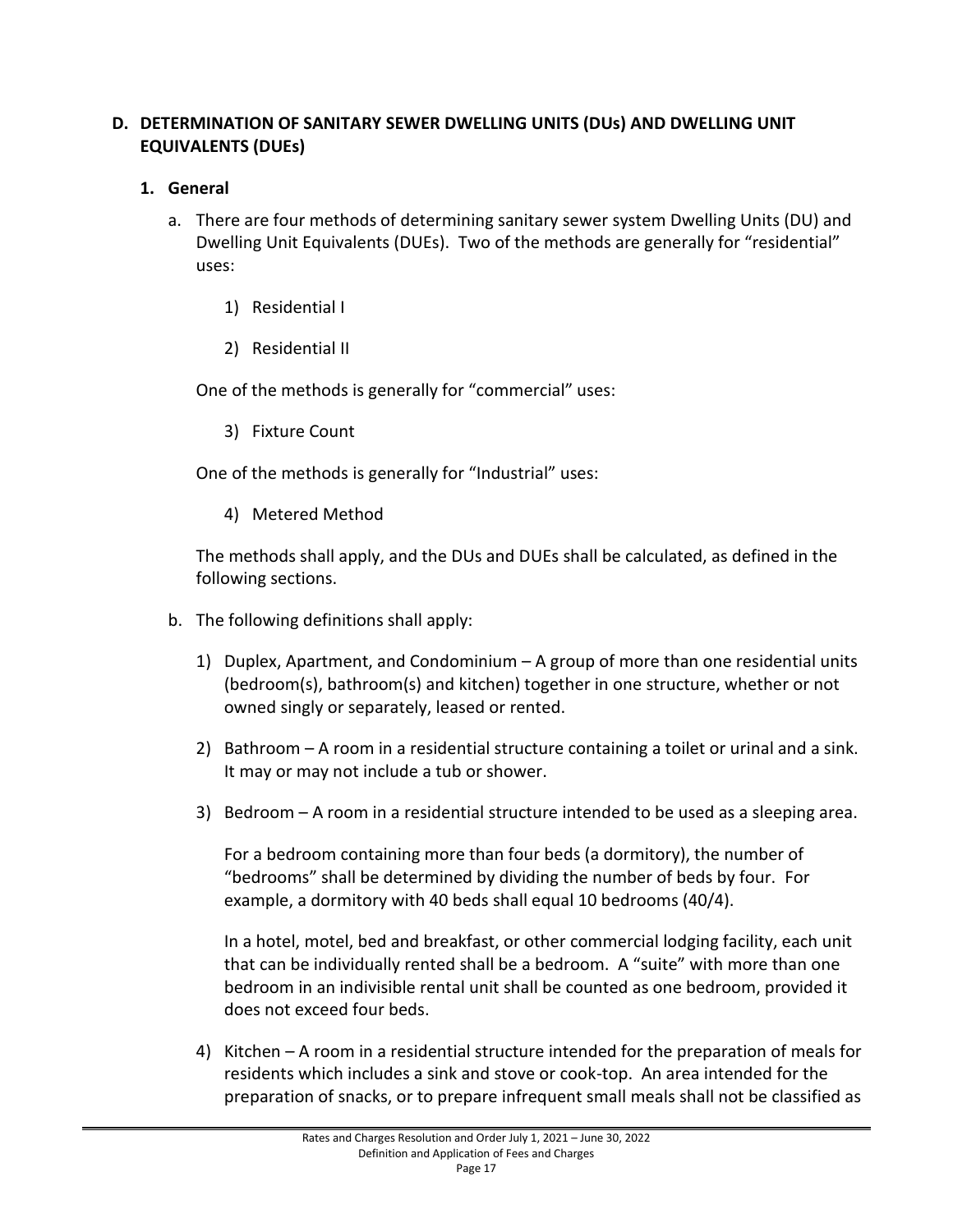# <span id="page-20-0"></span>**D. DETERMINATION OF SANITARY SEWER DWELLING UNITS (DUs) AND DWELLING UNIT EQUIVALENTS (DUEs)**

# <span id="page-20-1"></span>**1. General**

- a. There are four methods of determining sanitary sewer system Dwelling Units (DU) and Dwelling Unit Equivalents (DUEs). Two of the methods are generally for "residential" uses:
	- 1) Residential I
	- 2) Residential II

One of the methods is generally for "commercial" uses:

3) Fixture Count

One of the methods is generally for "Industrial" uses:

4) Metered Method

The methods shall apply, and the DUs and DUEs shall be calculated, as defined in the following sections.

- b. The following definitions shall apply:
	- 1) Duplex, Apartment, and Condominium A group of more than one residential units (bedroom(s), bathroom(s) and kitchen) together in one structure, whether or not owned singly or separately, leased or rented.
	- 2) Bathroom A room in a residential structure containing a toilet or urinal and a sink. It may or may not include a tub or shower.
	- 3) Bedroom A room in a residential structure intended to be used as a sleeping area.

For a bedroom containing more than four beds (a dormitory), the number of "bedrooms" shall be determined by dividing the number of beds by four. For example, a dormitory with 40 beds shall equal 10 bedrooms (40/4).

In a hotel, motel, bed and breakfast, or other commercial lodging facility, each unit that can be individually rented shall be a bedroom. A "suite" with more than one bedroom in an indivisible rental unit shall be counted as one bedroom, provided it does not exceed four beds.

4) Kitchen – A room in a residential structure intended for the preparation of meals for residents which includes a sink and stove or cook-top. An area intended for the preparation of snacks, or to prepare infrequent small meals shall not be classified as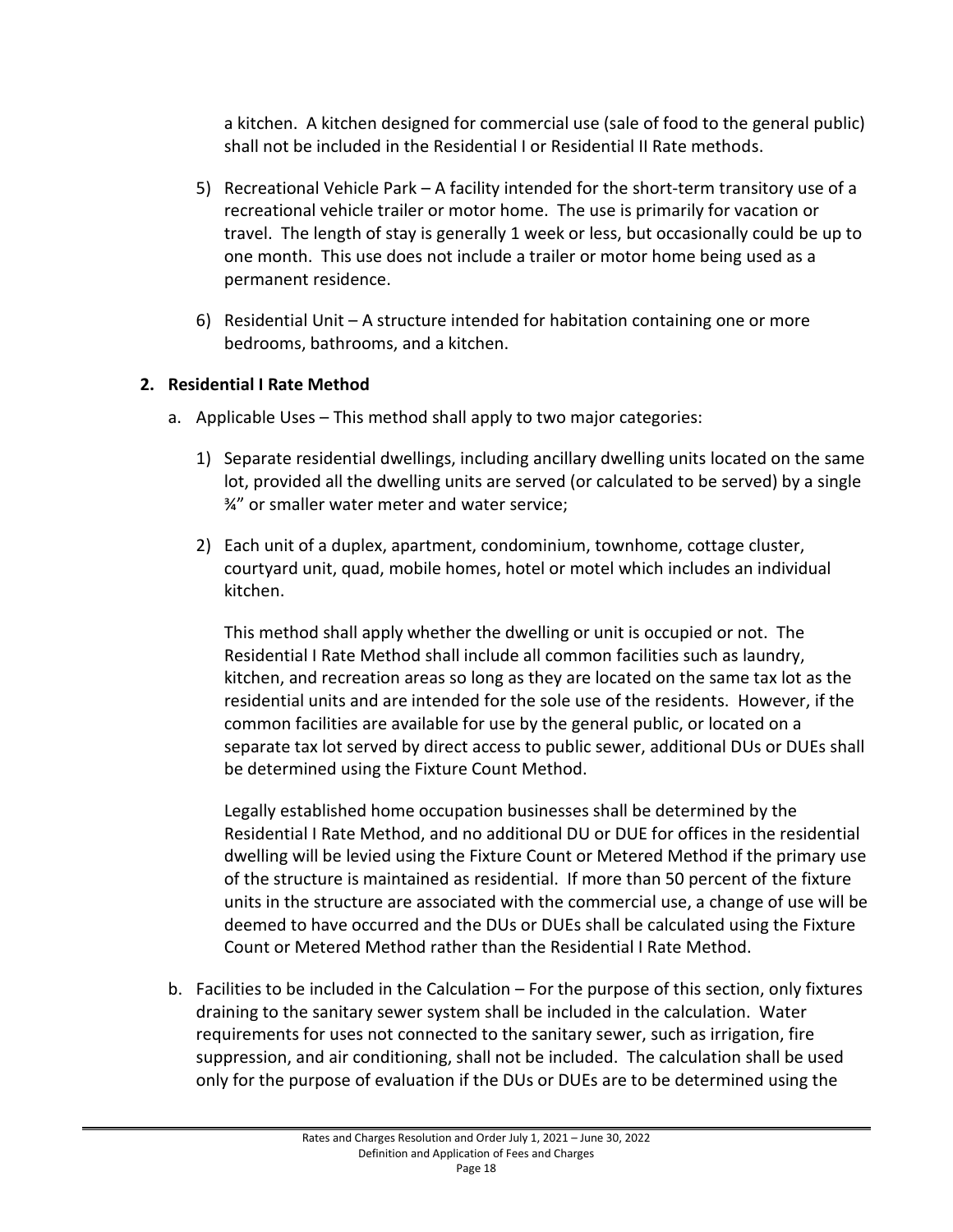a kitchen. A kitchen designed for commercial use (sale of food to the general public) shall not be included in the Residential I or Residential II Rate methods.

- 5) Recreational Vehicle Park A facility intended for the short-term transitory use of a recreational vehicle trailer or motor home. The use is primarily for vacation or travel. The length of stay is generally 1 week or less, but occasionally could be up to one month. This use does not include a trailer or motor home being used as a permanent residence.
- 6) Residential Unit  $-$  A structure intended for habitation containing one or more bedrooms, bathrooms, and a kitchen.

# <span id="page-21-0"></span>**2. Residential I Rate Method**

- a. Applicable Uses This method shall apply to two major categories:
	- 1) Separate residential dwellings, including ancillary dwelling units located on the same lot, provided all the dwelling units are served (or calculated to be served) by a single ¾" or smaller water meter and water service;
	- 2) Each unit of a duplex, apartment, condominium, townhome, cottage cluster, courtyard unit, quad, mobile homes, hotel or motel which includes an individual kitchen.

This method shall apply whether the dwelling or unit is occupied or not. The Residential I Rate Method shall include all common facilities such as laundry, kitchen, and recreation areas so long as they are located on the same tax lot as the residential units and are intended for the sole use of the residents. However, if the common facilities are available for use by the general public, or located on a separate tax lot served by direct access to public sewer, additional DUs or DUEs shall be determined using the Fixture Count Method.

Legally established home occupation businesses shall be determined by the Residential I Rate Method, and no additional DU or DUE for offices in the residential dwelling will be levied using the Fixture Count or Metered Method if the primary use of the structure is maintained as residential. If more than 50 percent of the fixture units in the structure are associated with the commercial use, a change of use will be deemed to have occurred and the DUs or DUEs shall be calculated using the Fixture Count or Metered Method rather than the Residential I Rate Method.

b. Facilities to be included in the Calculation – For the purpose of this section, only fixtures draining to the sanitary sewer system shall be included in the calculation. Water requirements for uses not connected to the sanitary sewer, such as irrigation, fire suppression, and air conditioning, shall not be included. The calculation shall be used only for the purpose of evaluation if the DUs or DUEs are to be determined using the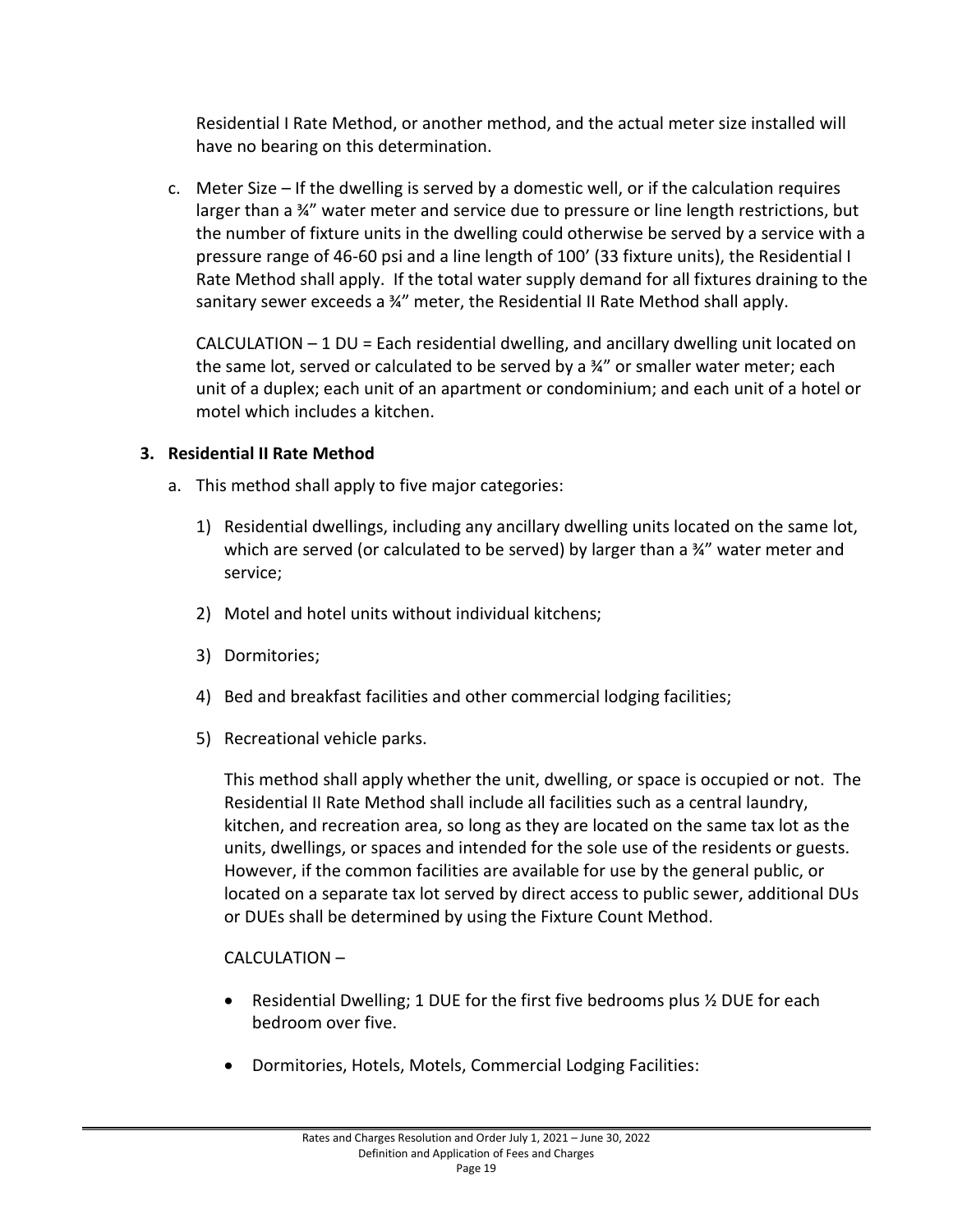Residential I Rate Method, or another method, and the actual meter size installed will have no bearing on this determination.

c. Meter Size – If the dwelling is served by a domestic well, or if the calculation requires larger than a ¾" water meter and service due to pressure or line length restrictions, but the number of fixture units in the dwelling could otherwise be served by a service with a pressure range of 46-60 psi and a line length of 100' (33 fixture units), the Residential I Rate Method shall apply. If the total water supply demand for all fixtures draining to the sanitary sewer exceeds a ¾" meter, the Residential II Rate Method shall apply.

CALCULATION – 1 DU = Each residential dwelling, and ancillary dwelling unit located on the same lot, served or calculated to be served by a  $\frac{3}{4}$ " or smaller water meter; each unit of a duplex; each unit of an apartment or condominium; and each unit of a hotel or motel which includes a kitchen.

# <span id="page-22-0"></span>**3. Residential II Rate Method**

- a. This method shall apply to five major categories:
	- 1) Residential dwellings, including any ancillary dwelling units located on the same lot, which are served (or calculated to be served) by larger than a 34" water meter and service;
	- 2) Motel and hotel units without individual kitchens;
	- 3) Dormitories;
	- 4) Bed and breakfast facilities and other commercial lodging facilities;
	- 5) Recreational vehicle parks.

This method shall apply whether the unit, dwelling, or space is occupied or not. The Residential II Rate Method shall include all facilities such as a central laundry, kitchen, and recreation area, so long as they are located on the same tax lot as the units, dwellings, or spaces and intended for the sole use of the residents or guests. However, if the common facilities are available for use by the general public, or located on a separate tax lot served by direct access to public sewer, additional DUs or DUEs shall be determined by using the Fixture Count Method.

#### CALCULATION –

- Residential Dwelling; 1 DUE for the first five bedrooms plus  $\frac{1}{2}$  DUE for each bedroom over five.
- Dormitories, Hotels, Motels, Commercial Lodging Facilities: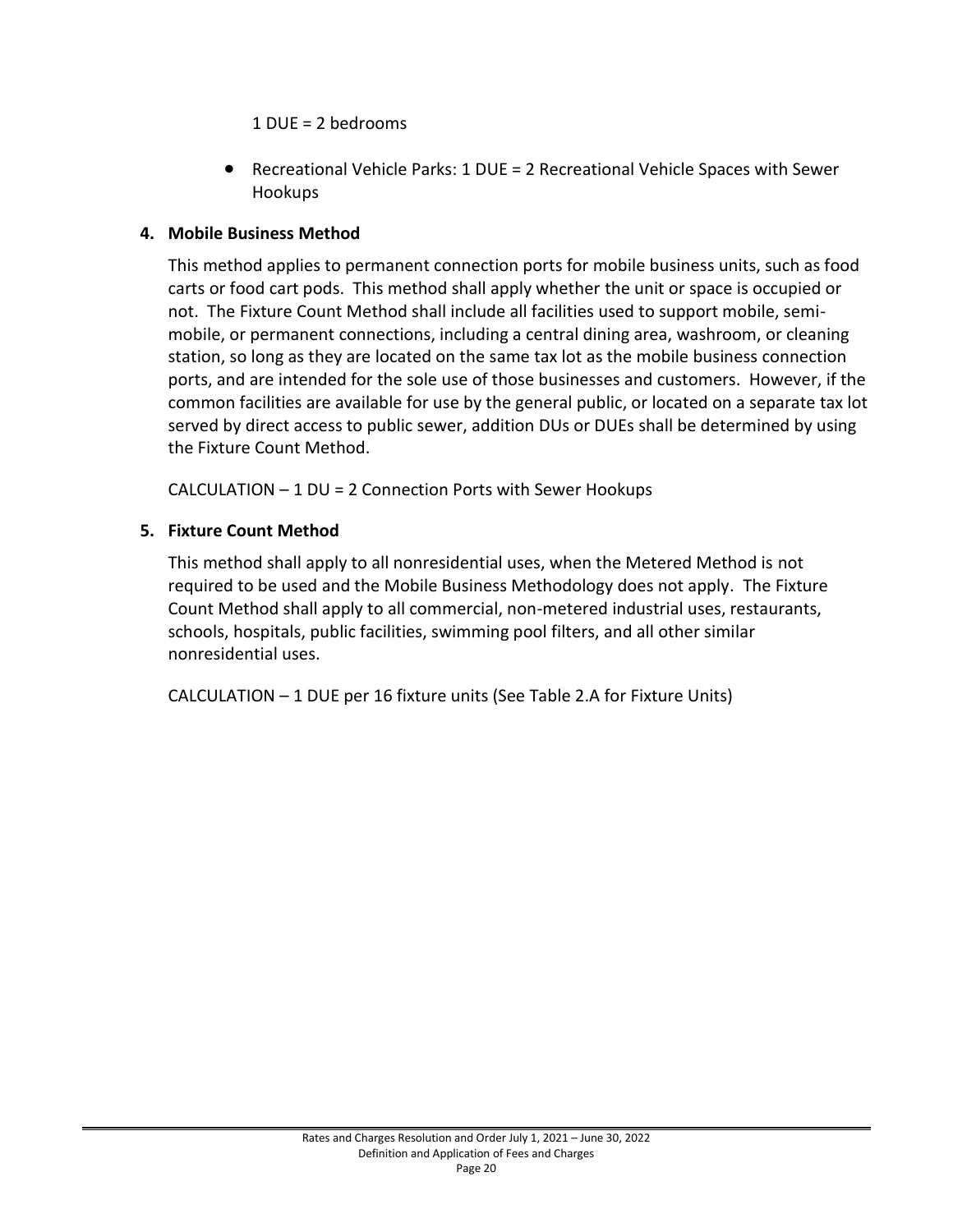1 DUE = 2 bedrooms

• Recreational Vehicle Parks: 1 DUE = 2 Recreational Vehicle Spaces with Sewer Hookups

## <span id="page-23-0"></span>**4. Mobile Business Method**

This method applies to permanent connection ports for mobile business units, such as food carts or food cart pods. This method shall apply whether the unit or space is occupied or not. The Fixture Count Method shall include all facilities used to support mobile, semimobile, or permanent connections, including a central dining area, washroom, or cleaning station, so long as they are located on the same tax lot as the mobile business connection ports, and are intended for the sole use of those businesses and customers. However, if the common facilities are available for use by the general public, or located on a separate tax lot served by direct access to public sewer, addition DUs or DUEs shall be determined by using the Fixture Count Method.

CALCULATION – 1 DU = 2 Connection Ports with Sewer Hookups

# <span id="page-23-1"></span>**5. Fixture Count Method**

This method shall apply to all nonresidential uses, when the Metered Method is not required to be used and the Mobile Business Methodology does not apply. The Fixture Count Method shall apply to all commercial, non-metered industrial uses, restaurants, schools, hospitals, public facilities, swimming pool filters, and all other similar nonresidential uses.

CALCULATION – 1 DUE per 16 fixture units (See Table 2.A for Fixture Units)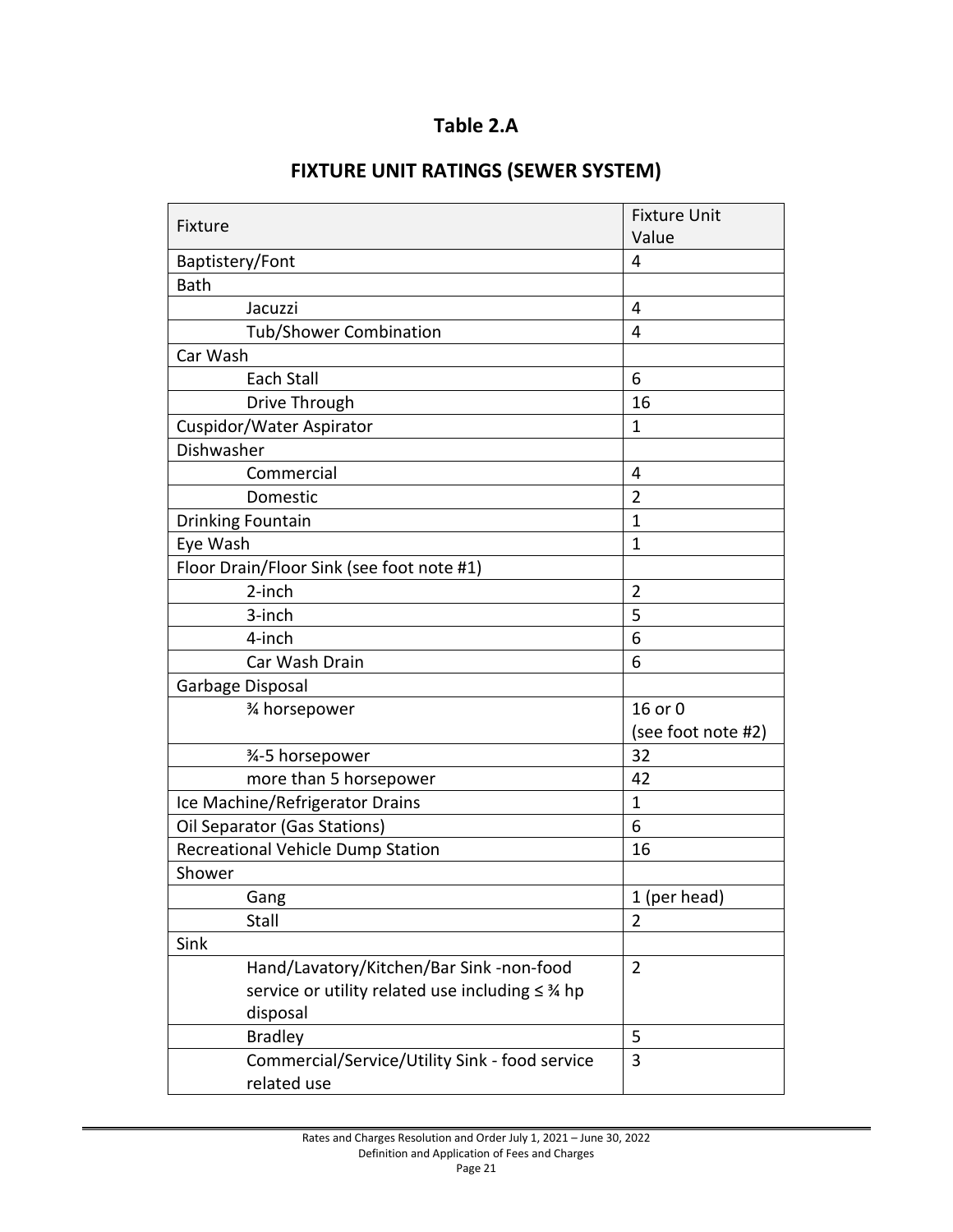# **Table 2.A**

# **FIXTURE UNIT RATINGS (SEWER SYSTEM)** Fixture Fixture Unit Value

|                                                   | Value              |
|---------------------------------------------------|--------------------|
| Baptistery/Font                                   | 4                  |
| <b>Bath</b>                                       |                    |
| Jacuzzi                                           | 4                  |
| <b>Tub/Shower Combination</b>                     | $\overline{4}$     |
| Car Wash                                          |                    |
| Each Stall                                        | 6                  |
| Drive Through                                     | 16                 |
| Cuspidor/Water Aspirator                          | 1                  |
| Dishwasher                                        |                    |
| Commercial                                        | $\overline{4}$     |
| Domestic                                          | $\overline{2}$     |
| <b>Drinking Fountain</b>                          | $\mathbf{1}$       |
| Eye Wash                                          | 1                  |
| Floor Drain/Floor Sink (see foot note #1)         |                    |
| 2-inch                                            | $\overline{2}$     |
| 3-inch                                            | 5                  |
| 4-inch                                            | 6                  |
| Car Wash Drain                                    | 6                  |
| Garbage Disposal                                  |                    |
| 3⁄4 horsepower                                    | 16 or 0            |
|                                                   | (see foot note #2) |
| 3⁄4-5 horsepower                                  | 32                 |
| more than 5 horsepower                            | 42                 |
| Ice Machine/Refrigerator Drains                   | $\mathbf{1}$       |
| Oil Separator (Gas Stations)                      | 6                  |
| Recreational Vehicle Dump Station                 | 16                 |
| Shower                                            |                    |
| Gang                                              | 1 (per head)       |
| Stall                                             | $\overline{2}$     |
| Sink                                              |                    |
| Hand/Lavatory/Kitchen/Bar Sink -non-food          | $\overline{2}$     |
| service or utility related use including ≤ 3⁄4 hp |                    |
| disposal                                          |                    |
| <b>Bradley</b>                                    | 5                  |
| Commercial/Service/Utility Sink - food service    | 3                  |
| related use                                       |                    |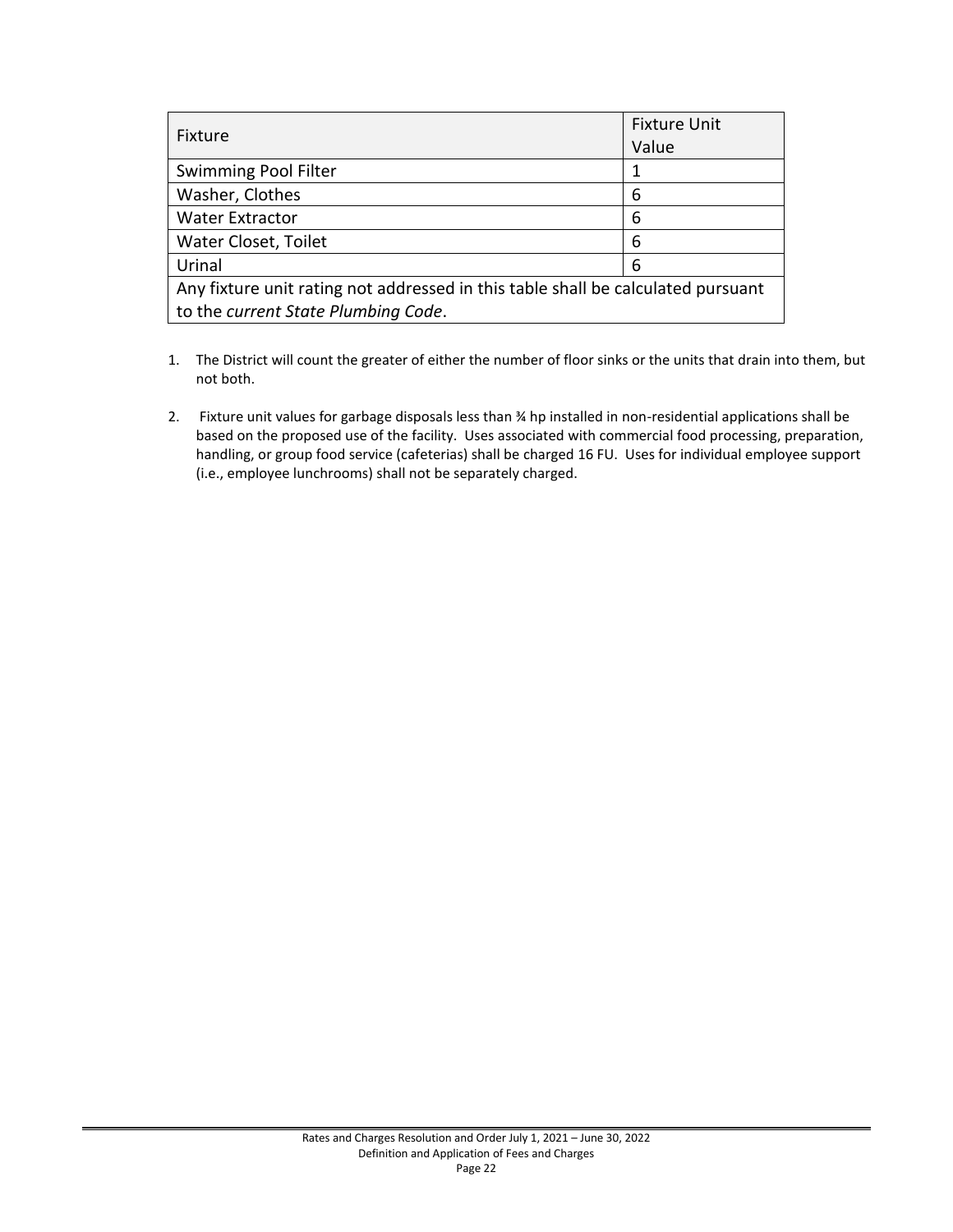| Fixture                                                                          | <b>Fixture Unit</b><br>Value |  |  |  |
|----------------------------------------------------------------------------------|------------------------------|--|--|--|
| Swimming Pool Filter                                                             |                              |  |  |  |
| Washer, Clothes                                                                  | 6                            |  |  |  |
| <b>Water Extractor</b>                                                           | 6                            |  |  |  |
| Water Closet, Toilet                                                             | 6                            |  |  |  |
| Urinal                                                                           | 6                            |  |  |  |
| Any fixture unit rating not addressed in this table shall be calculated pursuant |                              |  |  |  |
| to the current State Plumbing Code.                                              |                              |  |  |  |

- 1. The District will count the greater of either the number of floor sinks or the units that drain into them, but not both.
- 2. Fixture unit values for garbage disposals less than ¾ hp installed in non-residential applications shall be based on the proposed use of the facility. Uses associated with commercial food processing, preparation, handling, or group food service (cafeterias) shall be charged 16 FU. Uses for individual employee support (i.e., employee lunchrooms) shall not be separately charged.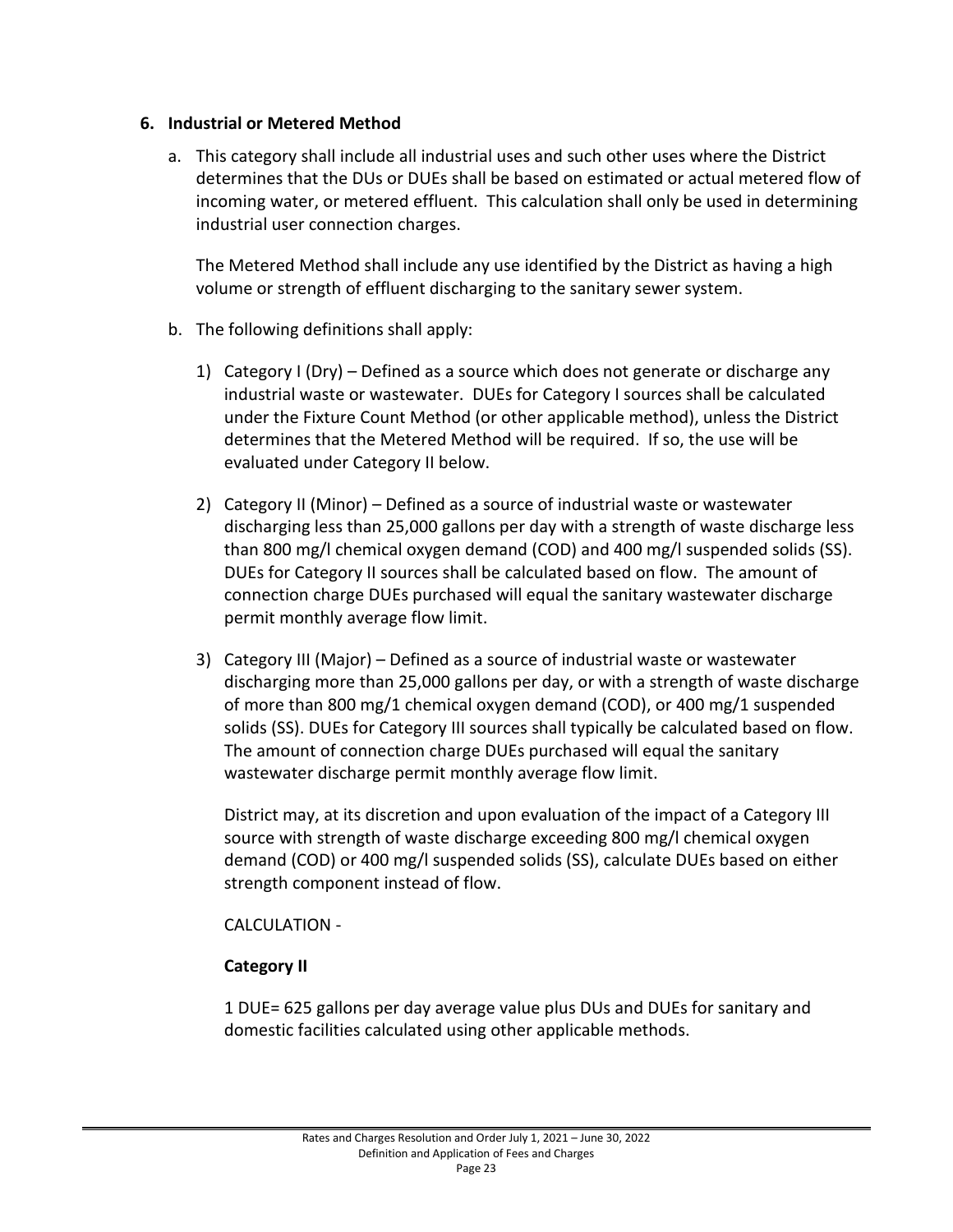#### <span id="page-26-0"></span>**6. Industrial or Metered Method**

a. This category shall include all industrial uses and such other uses where the District determines that the DUs or DUEs shall be based on estimated or actual metered flow of incoming water, or metered effluent. This calculation shall only be used in determining industrial user connection charges.

The Metered Method shall include any use identified by the District as having a high volume or strength of effluent discharging to the sanitary sewer system.

- b. The following definitions shall apply:
	- 1) Category I (Dry) Defined as a source which does not generate or discharge any industrial waste or wastewater. DUEs for Category I sources shall be calculated under the Fixture Count Method (or other applicable method), unless the District determines that the Metered Method will be required. If so, the use will be evaluated under Category II below.
	- 2) Category II (Minor) Defined as a source of industrial waste or wastewater discharging less than 25,000 gallons per day with a strength of waste discharge less than 800 mg/l chemical oxygen demand (COD) and 400 mg/l suspended solids (SS). DUEs for Category II sources shall be calculated based on flow. The amount of connection charge DUEs purchased will equal the sanitary wastewater discharge permit monthly average flow limit.
	- 3) Category III (Major) Defined as a source of industrial waste or wastewater discharging more than 25,000 gallons per day, or with a strength of waste discharge of more than 800 mg/1 chemical oxygen demand (COD), or 400 mg/1 suspended solids (SS). DUEs for Category III sources shall typically be calculated based on flow. The amount of connection charge DUEs purchased will equal the sanitary wastewater discharge permit monthly average flow limit.

District may, at its discretion and upon evaluation of the impact of a Category III source with strength of waste discharge exceeding 800 mg/l chemical oxygen demand (COD) or 400 mg/l suspended solids (SS), calculate DUEs based on either strength component instead of flow.

CALCULATION -

# **Category II**

1 DUE= 625 gallons per day average value plus DUs and DUEs for sanitary and domestic facilities calculated using other applicable methods.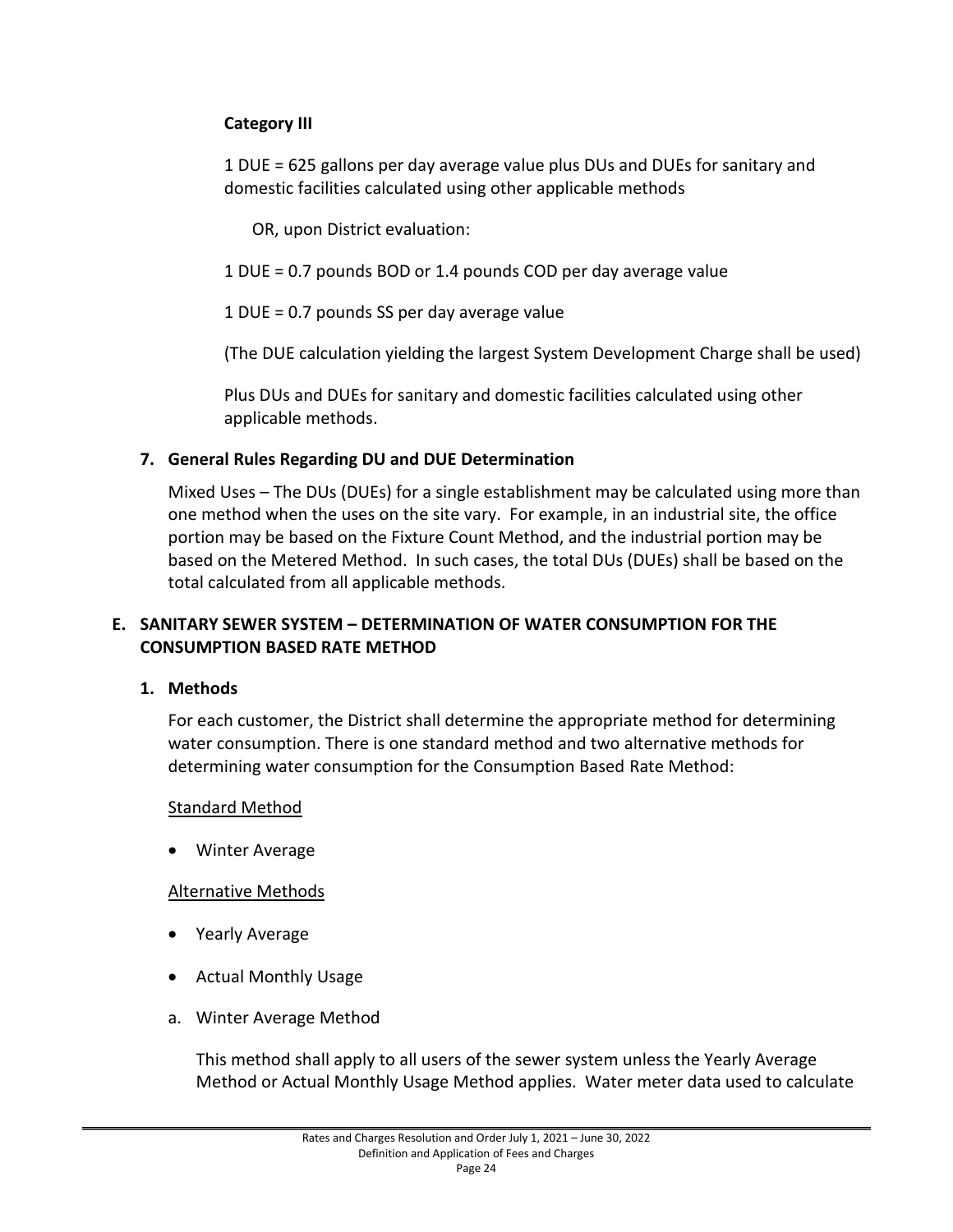# **Category III**

1 DUE = 625 gallons per day average value plus DUs and DUEs for sanitary and domestic facilities calculated using other applicable methods

OR, upon District evaluation:

1 DUE = 0.7 pounds BOD or 1.4 pounds COD per day average value

1 DUE = 0.7 pounds SS per day average value

(The DUE calculation yielding the largest System Development Charge shall be used)

Plus DUs and DUEs for sanitary and domestic facilities calculated using other applicable methods.

#### <span id="page-27-0"></span>**7. General Rules Regarding DU and DUE Determination**

Mixed Uses – The DUs (DUEs) for a single establishment may be calculated using more than one method when the uses on the site vary. For example, in an industrial site, the office portion may be based on the Fixture Count Method, and the industrial portion may be based on the Metered Method. In such cases, the total DUs (DUEs) shall be based on the total calculated from all applicable methods.

#### <span id="page-27-1"></span>**E. SANITARY SEWER SYSTEM – DETERMINATION OF WATER CONSUMPTION FOR THE CONSUMPTION BASED RATE METHOD**

#### <span id="page-27-2"></span>**1. Methods**

For each customer, the District shall determine the appropriate method for determining water consumption. There is one standard method and two alternative methods for determining water consumption for the Consumption Based Rate Method:

#### Standard Method

• Winter Average

#### Alternative Methods

- Yearly Average
- Actual Monthly Usage
- a. Winter Average Method

This method shall apply to all users of the sewer system unless the Yearly Average Method or Actual Monthly Usage Method applies. Water meter data used to calculate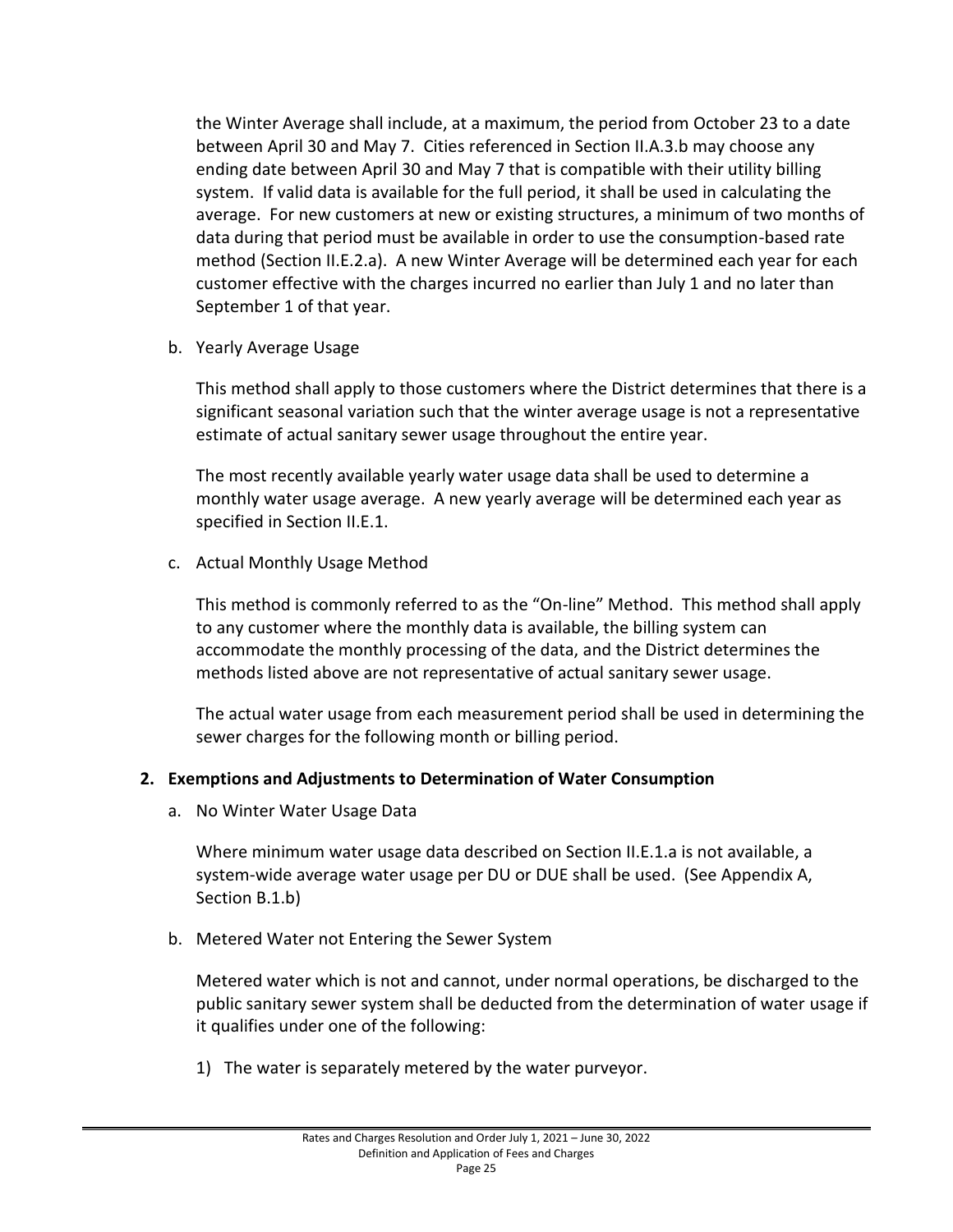the Winter Average shall include, at a maximum, the period from October 23 to a date between April 30 and May 7. Cities referenced in Section II.A.3.b may choose any ending date between April 30 and May 7 that is compatible with their utility billing system. If valid data is available for the full period, it shall be used in calculating the average. For new customers at new or existing structures, a minimum of two months of data during that period must be available in order to use the consumption-based rate method (Section II.E.2.a). A new Winter Average will be determined each year for each customer effective with the charges incurred no earlier than July 1 and no later than September 1 of that year.

b. Yearly Average Usage

This method shall apply to those customers where the District determines that there is a significant seasonal variation such that the winter average usage is not a representative estimate of actual sanitary sewer usage throughout the entire year.

The most recently available yearly water usage data shall be used to determine a monthly water usage average. A new yearly average will be determined each year as specified in Section II.E.1.

c. Actual Monthly Usage Method

This method is commonly referred to as the "On-line" Method. This method shall apply to any customer where the monthly data is available, the billing system can accommodate the monthly processing of the data, and the District determines the methods listed above are not representative of actual sanitary sewer usage.

The actual water usage from each measurement period shall be used in determining the sewer charges for the following month or billing period.

#### <span id="page-28-0"></span>**2. Exemptions and Adjustments to Determination of Water Consumption**

a. No Winter Water Usage Data

Where minimum water usage data described on Section II.E.1.a is not available, a system-wide average water usage per DU or DUE shall be used. (See Appendix A, Section B.1.b)

b. Metered Water not Entering the Sewer System

Metered water which is not and cannot, under normal operations, be discharged to the public sanitary sewer system shall be deducted from the determination of water usage if it qualifies under one of the following:

1) The water is separately metered by the water purveyor.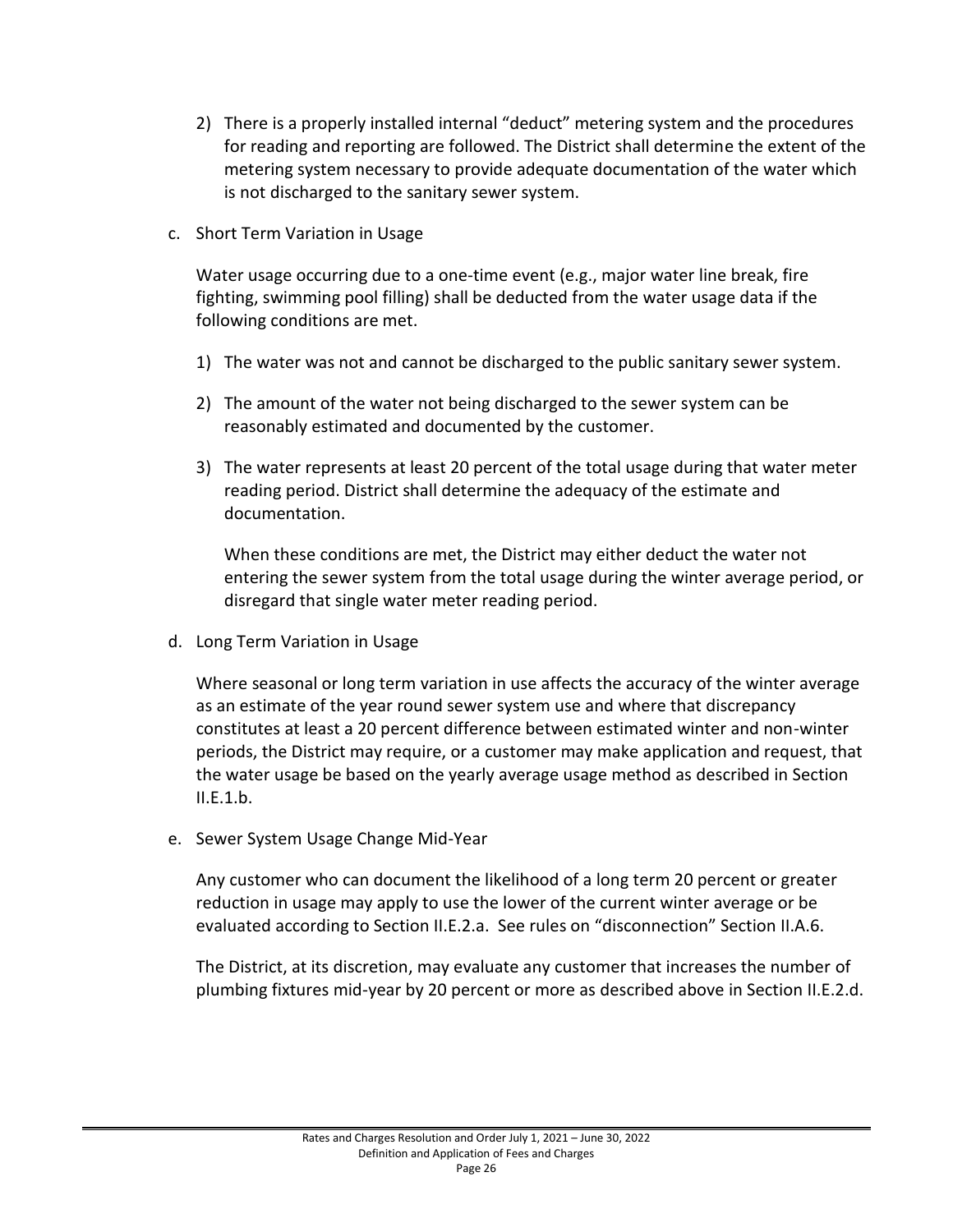- 2) There is a properly installed internal "deduct" metering system and the procedures for reading and reporting are followed. The District shall determine the extent of the metering system necessary to provide adequate documentation of the water which is not discharged to the sanitary sewer system.
- c. Short Term Variation in Usage

Water usage occurring due to a one-time event (e.g., major water line break, fire fighting, swimming pool filling) shall be deducted from the water usage data if the following conditions are met.

- 1) The water was not and cannot be discharged to the public sanitary sewer system.
- 2) The amount of the water not being discharged to the sewer system can be reasonably estimated and documented by the customer.
- 3) The water represents at least 20 percent of the total usage during that water meter reading period. District shall determine the adequacy of the estimate and documentation.

When these conditions are met, the District may either deduct the water not entering the sewer system from the total usage during the winter average period, or disregard that single water meter reading period.

d. Long Term Variation in Usage

Where seasonal or long term variation in use affects the accuracy of the winter average as an estimate of the year round sewer system use and where that discrepancy constitutes at least a 20 percent difference between estimated winter and non-winter periods, the District may require, or a customer may make application and request, that the water usage be based on the yearly average usage method as described in Section II.E.1.b.

e. Sewer System Usage Change Mid-Year

Any customer who can document the likelihood of a long term 20 percent or greater reduction in usage may apply to use the lower of the current winter average or be evaluated according to Section II.E.2.a. See rules on "disconnection" Section II.A.6.

The District, at its discretion, may evaluate any customer that increases the number of plumbing fixtures mid-year by 20 percent or more as described above in Section II.E.2.d.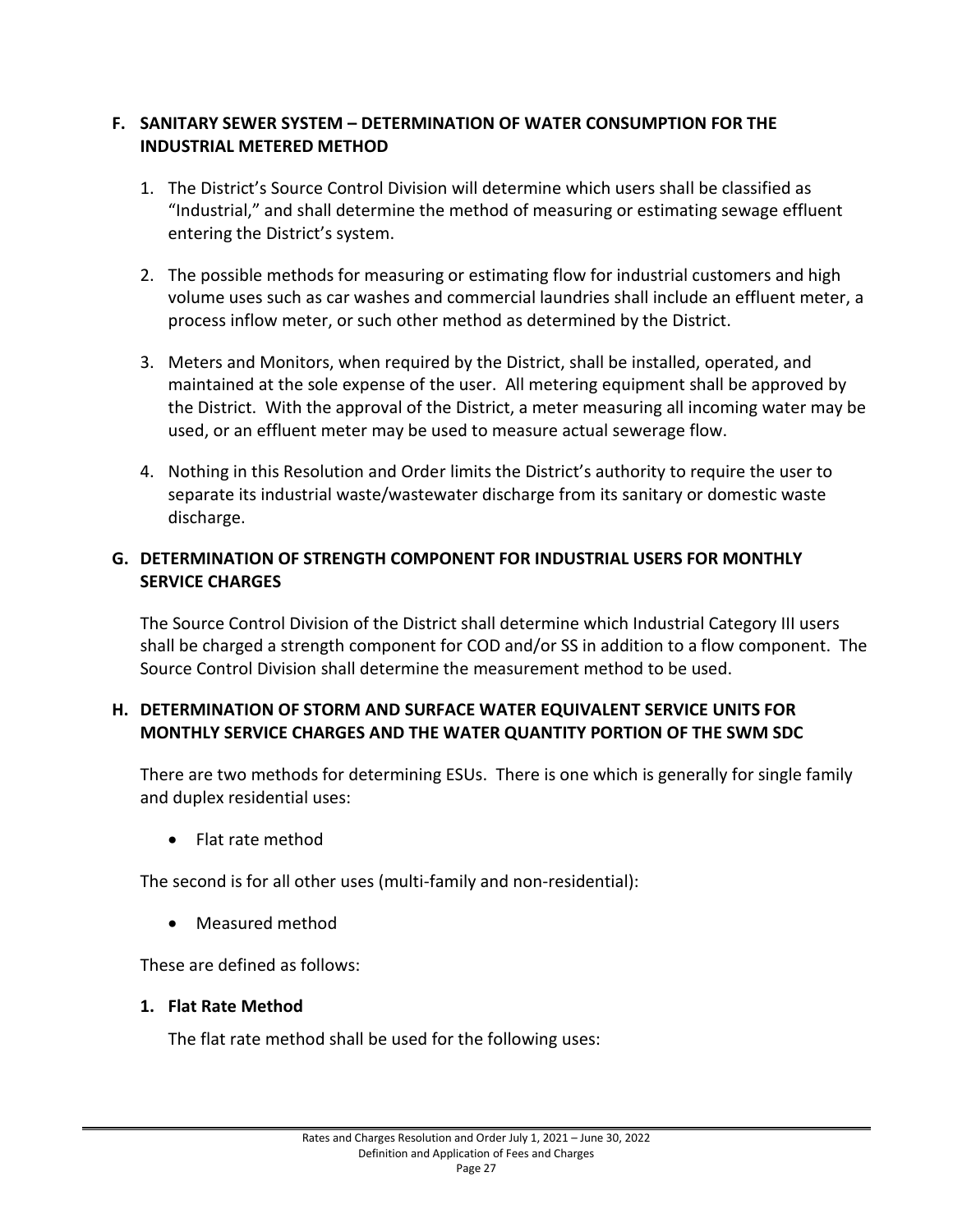# <span id="page-30-0"></span>**F. SANITARY SEWER SYSTEM – DETERMINATION OF WATER CONSUMPTION FOR THE INDUSTRIAL METERED METHOD**

- 1. The District's Source Control Division will determine which users shall be classified as "Industrial," and shall determine the method of measuring or estimating sewage effluent entering the District's system.
- 2. The possible methods for measuring or estimating flow for industrial customers and high volume uses such as car washes and commercial laundries shall include an effluent meter, a process inflow meter, or such other method as determined by the District.
- 3. Meters and Monitors, when required by the District, shall be installed, operated, and maintained at the sole expense of the user. All metering equipment shall be approved by the District. With the approval of the District, a meter measuring all incoming water may be used, or an effluent meter may be used to measure actual sewerage flow.
- 4. Nothing in this Resolution and Order limits the District's authority to require the user to separate its industrial waste/wastewater discharge from its sanitary or domestic waste discharge.

# <span id="page-30-1"></span>**G. DETERMINATION OF STRENGTH COMPONENT FOR INDUSTRIAL USERS FOR MONTHLY SERVICE CHARGES**

The Source Control Division of the District shall determine which Industrial Category III users shall be charged a strength component for COD and/or SS in addition to a flow component. The Source Control Division shall determine the measurement method to be used.

# <span id="page-30-2"></span>**H. DETERMINATION OF STORM AND SURFACE WATER EQUIVALENT SERVICE UNITS FOR MONTHLY SERVICE CHARGES AND THE WATER QUANTITY PORTION OF THE SWM SDC**

There are two methods for determining ESUs. There is one which is generally for single family and duplex residential uses:

• Flat rate method

The second is for all other uses (multi-family and non-residential):

• Measured method

These are defined as follows:

#### <span id="page-30-3"></span>**1. Flat Rate Method**

The flat rate method shall be used for the following uses: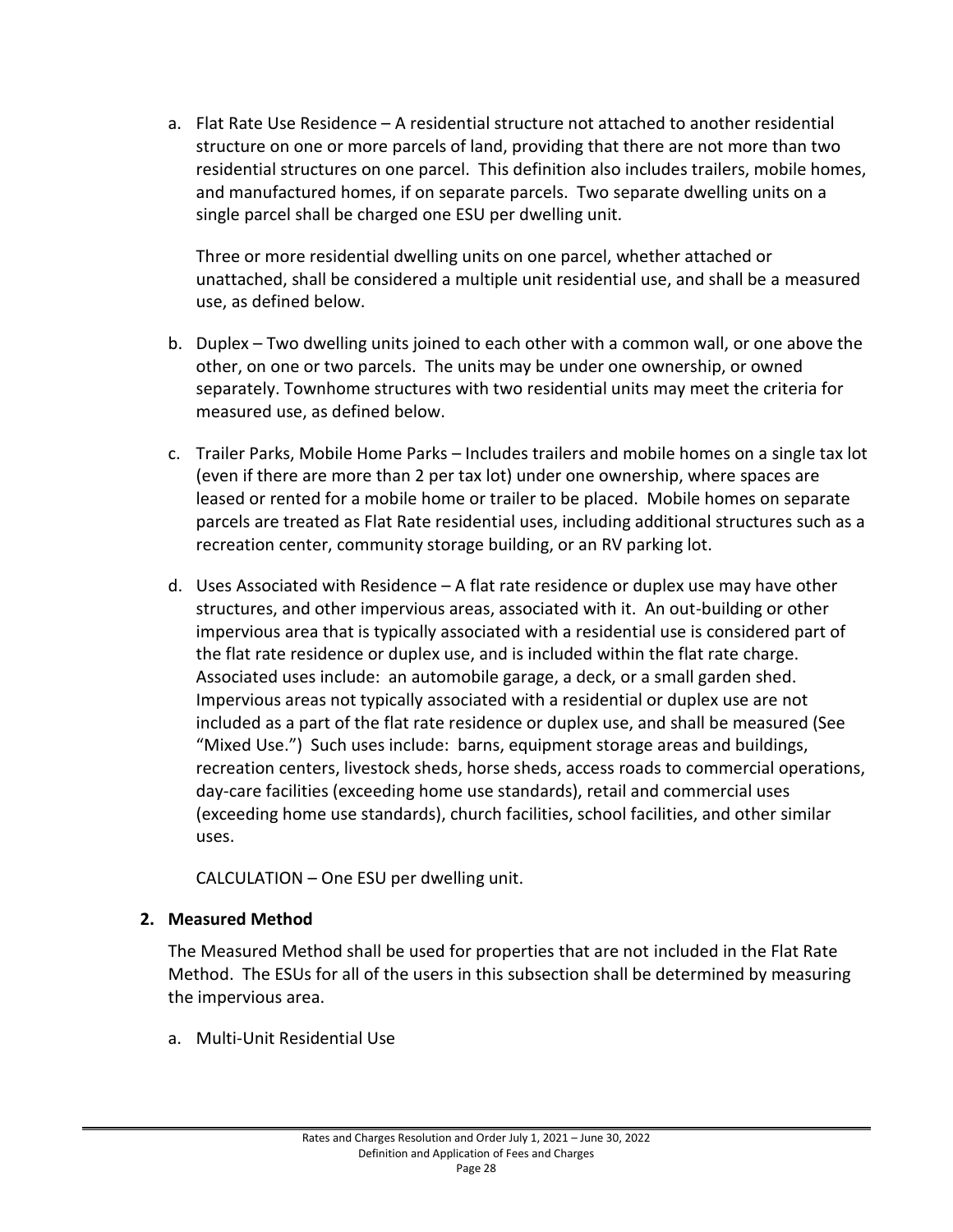a. Flat Rate Use Residence – A residential structure not attached to another residential structure on one or more parcels of land, providing that there are not more than two residential structures on one parcel. This definition also includes trailers, mobile homes, and manufactured homes, if on separate parcels. Two separate dwelling units on a single parcel shall be charged one ESU per dwelling unit.

Three or more residential dwelling units on one parcel, whether attached or unattached, shall be considered a multiple unit residential use, and shall be a measured use, as defined below.

- b. Duplex Two dwelling units joined to each other with a common wall, or one above the other, on one or two parcels. The units may be under one ownership, or owned separately. Townhome structures with two residential units may meet the criteria for measured use, as defined below.
- c. Trailer Parks, Mobile Home Parks Includes trailers and mobile homes on a single tax lot (even if there are more than 2 per tax lot) under one ownership, where spaces are leased or rented for a mobile home or trailer to be placed. Mobile homes on separate parcels are treated as Flat Rate residential uses, including additional structures such as a recreation center, community storage building, or an RV parking lot.
- d. Uses Associated with Residence A flat rate residence or duplex use may have other structures, and other impervious areas, associated with it. An out-building or other impervious area that is typically associated with a residential use is considered part of the flat rate residence or duplex use, and is included within the flat rate charge. Associated uses include: an automobile garage, a deck, or a small garden shed. Impervious areas not typically associated with a residential or duplex use are not included as a part of the flat rate residence or duplex use, and shall be measured (See "Mixed Use.") Such uses include: barns, equipment storage areas and buildings, recreation centers, livestock sheds, horse sheds, access roads to commercial operations, day-care facilities (exceeding home use standards), retail and commercial uses (exceeding home use standards), church facilities, school facilities, and other similar uses.

CALCULATION – One ESU per dwelling unit.

# <span id="page-31-0"></span>**2. Measured Method**

The Measured Method shall be used for properties that are not included in the Flat Rate Method. The ESUs for all of the users in this subsection shall be determined by measuring the impervious area.

a. Multi-Unit Residential Use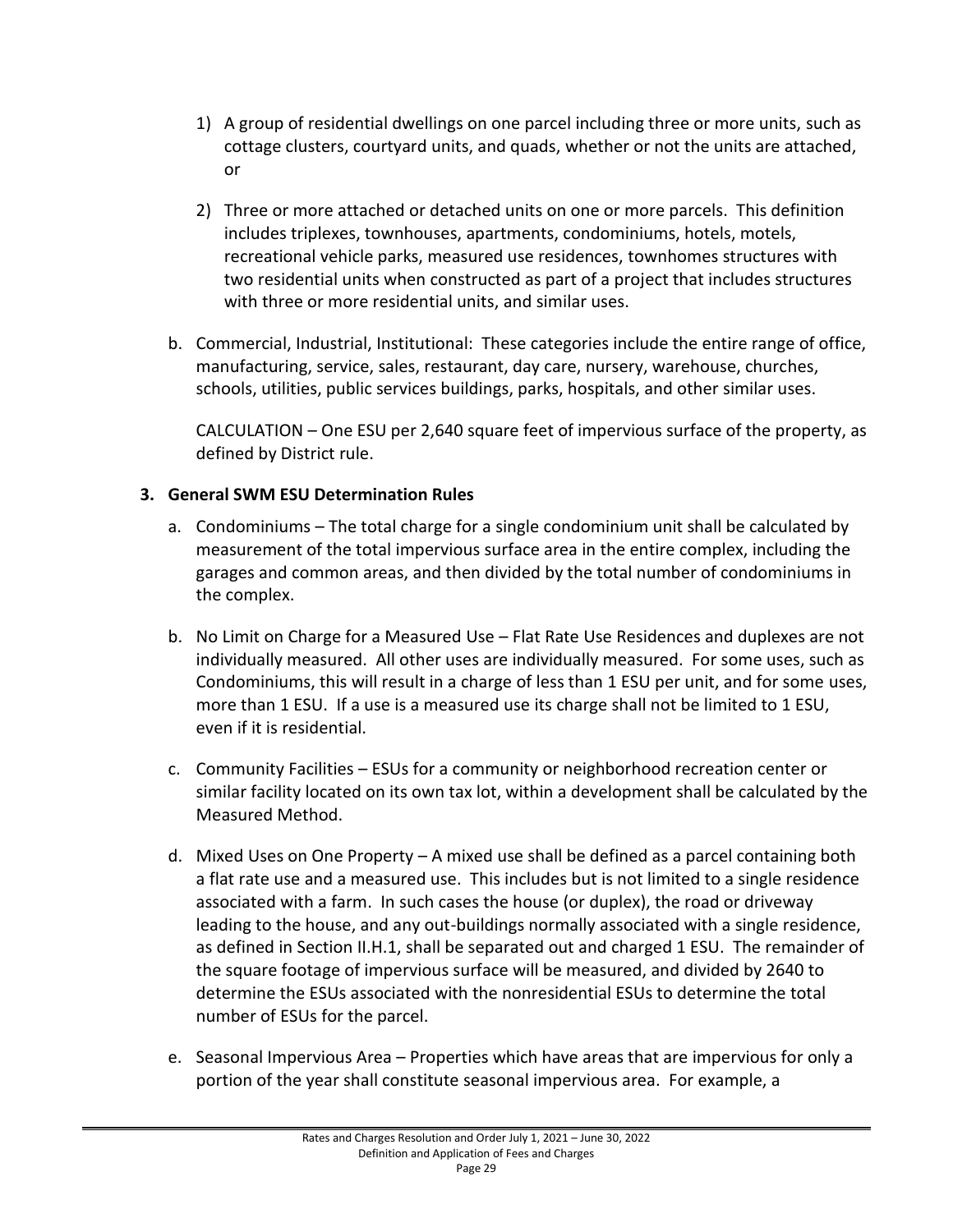- 1) A group of residential dwellings on one parcel including three or more units, such as cottage clusters, courtyard units, and quads, whether or not the units are attached, or
- 2) Three or more attached or detached units on one or more parcels. This definition includes triplexes, townhouses, apartments, condominiums, hotels, motels, recreational vehicle parks, measured use residences, townhomes structures with two residential units when constructed as part of a project that includes structures with three or more residential units, and similar uses.
- b. Commercial, Industrial, Institutional: These categories include the entire range of office, manufacturing, service, sales, restaurant, day care, nursery, warehouse, churches, schools, utilities, public services buildings, parks, hospitals, and other similar uses.

CALCULATION – One ESU per 2,640 square feet of impervious surface of the property, as defined by District rule.

# <span id="page-32-0"></span>**3. General SWM ESU Determination Rules**

- a. Condominiums The total charge for a single condominium unit shall be calculated by measurement of the total impervious surface area in the entire complex, including the garages and common areas, and then divided by the total number of condominiums in the complex.
- b. No Limit on Charge for a Measured Use Flat Rate Use Residences and duplexes are not individually measured. All other uses are individually measured. For some uses, such as Condominiums, this will result in a charge of less than 1 ESU per unit, and for some uses, more than 1 ESU. If a use is a measured use its charge shall not be limited to 1 ESU, even if it is residential.
- c. Community Facilities ESUs for a community or neighborhood recreation center or similar facility located on its own tax lot, within a development shall be calculated by the Measured Method.
- d. Mixed Uses on One Property A mixed use shall be defined as a parcel containing both a flat rate use and a measured use. This includes but is not limited to a single residence associated with a farm. In such cases the house (or duplex), the road or driveway leading to the house, and any out-buildings normally associated with a single residence, as defined in Section II.H.1, shall be separated out and charged 1 ESU. The remainder of the square footage of impervious surface will be measured, and divided by 2640 to determine the ESUs associated with the nonresidential ESUs to determine the total number of ESUs for the parcel.
- e. Seasonal Impervious Area Properties which have areas that are impervious for only a portion of the year shall constitute seasonal impervious area. For example, a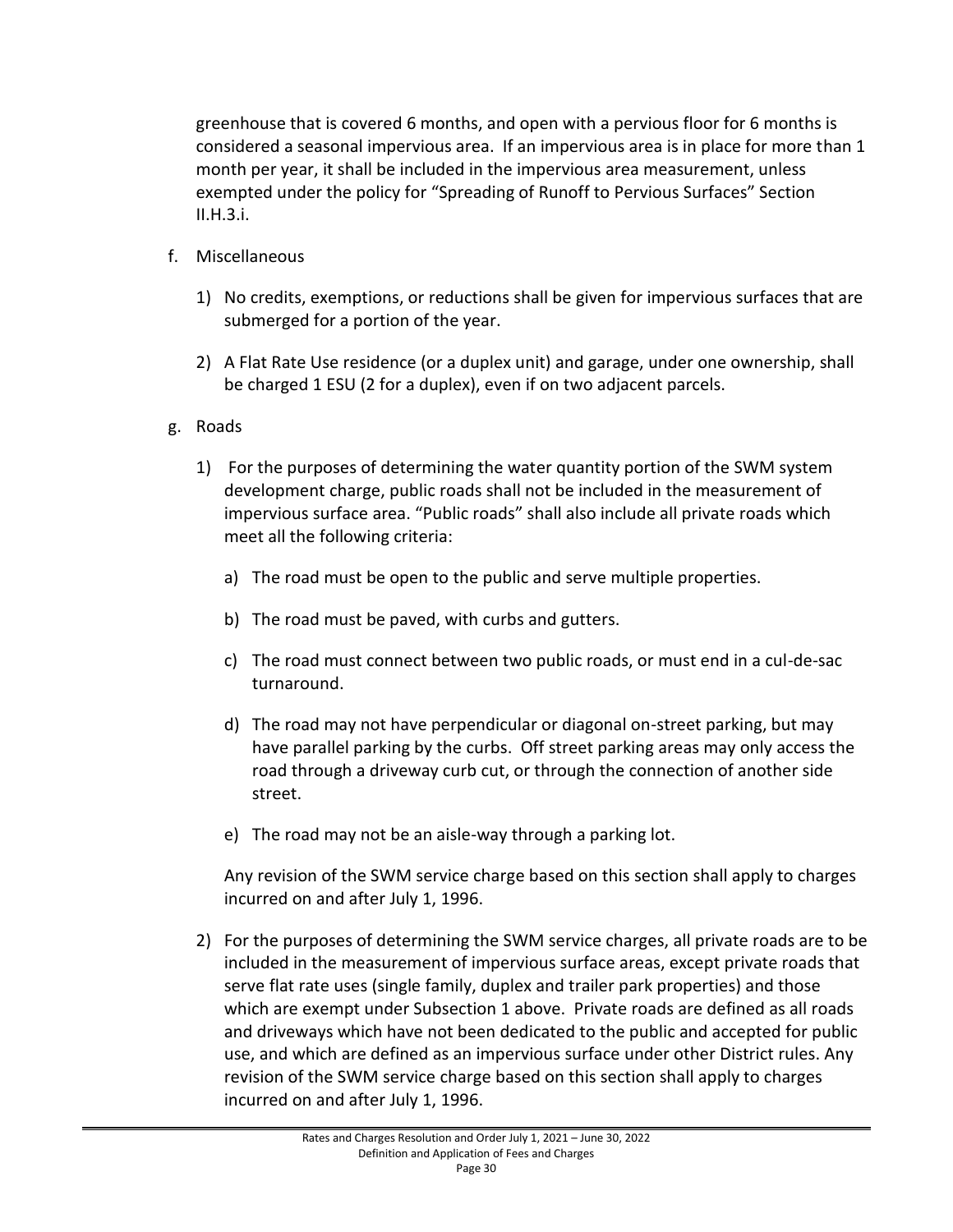greenhouse that is covered 6 months, and open with a pervious floor for 6 months is considered a seasonal impervious area. If an impervious area is in place for more than 1 month per year, it shall be included in the impervious area measurement, unless exempted under the policy for "Spreading of Runoff to Pervious Surfaces" Section II.H.3.i.

- f. Miscellaneous
	- 1) No credits, exemptions, or reductions shall be given for impervious surfaces that are submerged for a portion of the year.
	- 2) A Flat Rate Use residence (or a duplex unit) and garage, under one ownership, shall be charged 1 ESU (2 for a duplex), even if on two adjacent parcels.
- g. Roads
	- 1) For the purposes of determining the water quantity portion of the SWM system development charge, public roads shall not be included in the measurement of impervious surface area. "Public roads" shall also include all private roads which meet all the following criteria:
		- a) The road must be open to the public and serve multiple properties.
		- b) The road must be paved, with curbs and gutters.
		- c) The road must connect between two public roads, or must end in a cul-de-sac turnaround.
		- d) The road may not have perpendicular or diagonal on-street parking, but may have parallel parking by the curbs. Off street parking areas may only access the road through a driveway curb cut, or through the connection of another side street.
		- e) The road may not be an aisle-way through a parking lot.

Any revision of the SWM service charge based on this section shall apply to charges incurred on and after July 1, 1996.

2) For the purposes of determining the SWM service charges, all private roads are to be included in the measurement of impervious surface areas, except private roads that serve flat rate uses (single family, duplex and trailer park properties) and those which are exempt under Subsection 1 above. Private roads are defined as all roads and driveways which have not been dedicated to the public and accepted for public use, and which are defined as an impervious surface under other District rules. Any revision of the SWM service charge based on this section shall apply to charges incurred on and after July 1, 1996.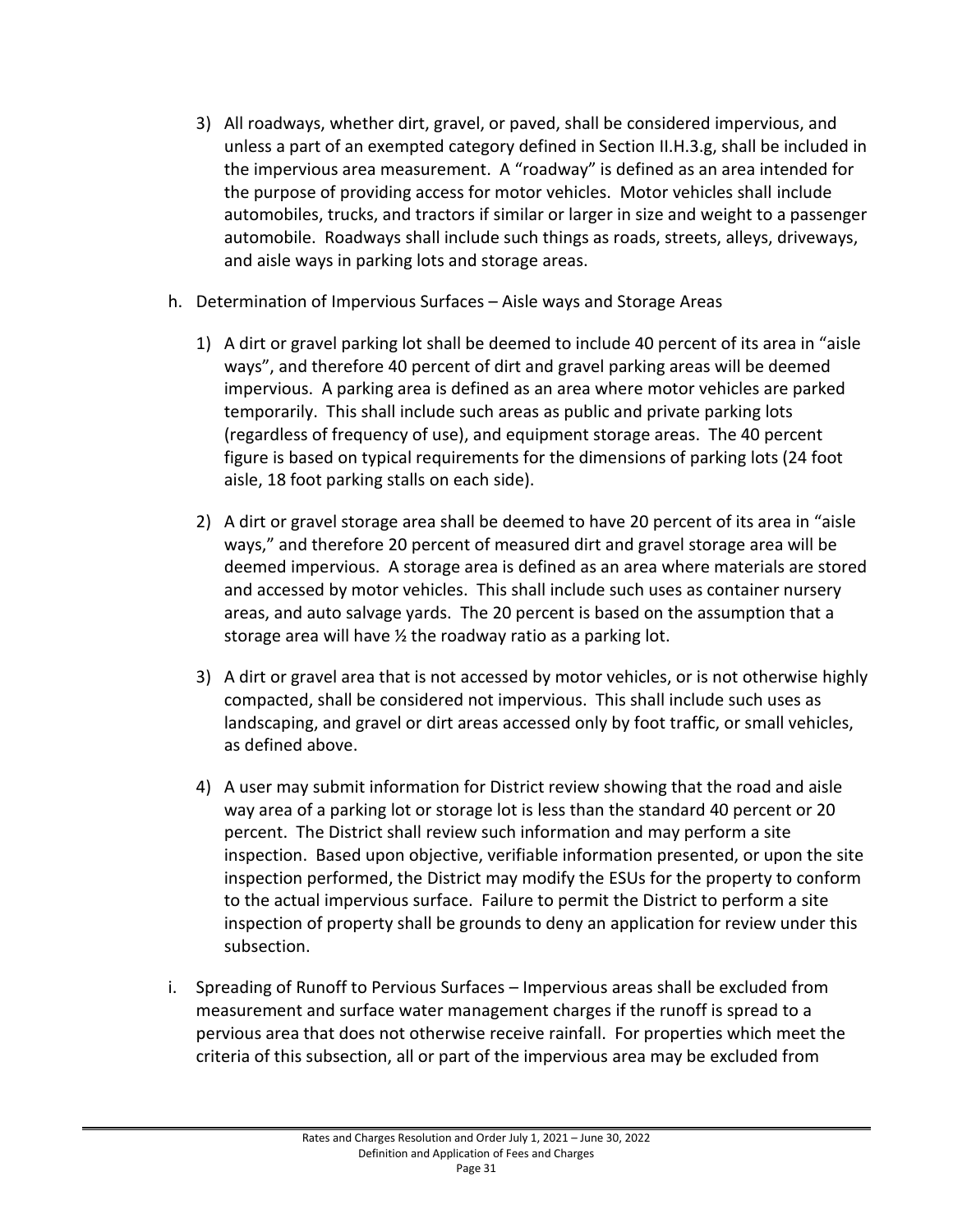- 3) All roadways, whether dirt, gravel, or paved, shall be considered impervious, and unless a part of an exempted category defined in Section II.H.3.g, shall be included in the impervious area measurement. A "roadway" is defined as an area intended for the purpose of providing access for motor vehicles. Motor vehicles shall include automobiles, trucks, and tractors if similar or larger in size and weight to a passenger automobile. Roadways shall include such things as roads, streets, alleys, driveways, and aisle ways in parking lots and storage areas.
- h. Determination of Impervious Surfaces Aisle ways and Storage Areas
	- 1) A dirt or gravel parking lot shall be deemed to include 40 percent of its area in "aisle ways", and therefore 40 percent of dirt and gravel parking areas will be deemed impervious. A parking area is defined as an area where motor vehicles are parked temporarily. This shall include such areas as public and private parking lots (regardless of frequency of use), and equipment storage areas. The 40 percent figure is based on typical requirements for the dimensions of parking lots (24 foot aisle, 18 foot parking stalls on each side).
	- 2) A dirt or gravel storage area shall be deemed to have 20 percent of its area in "aisle ways," and therefore 20 percent of measured dirt and gravel storage area will be deemed impervious. A storage area is defined as an area where materials are stored and accessed by motor vehicles. This shall include such uses as container nursery areas, and auto salvage yards. The 20 percent is based on the assumption that a storage area will have ½ the roadway ratio as a parking lot.
	- 3) A dirt or gravel area that is not accessed by motor vehicles, or is not otherwise highly compacted, shall be considered not impervious. This shall include such uses as landscaping, and gravel or dirt areas accessed only by foot traffic, or small vehicles, as defined above.
	- 4) A user may submit information for District review showing that the road and aisle way area of a parking lot or storage lot is less than the standard 40 percent or 20 percent. The District shall review such information and may perform a site inspection. Based upon objective, verifiable information presented, or upon the site inspection performed, the District may modify the ESUs for the property to conform to the actual impervious surface. Failure to permit the District to perform a site inspection of property shall be grounds to deny an application for review under this subsection.
- i. Spreading of Runoff to Pervious Surfaces Impervious areas shall be excluded from measurement and surface water management charges if the runoff is spread to a pervious area that does not otherwise receive rainfall. For properties which meet the criteria of this subsection, all or part of the impervious area may be excluded from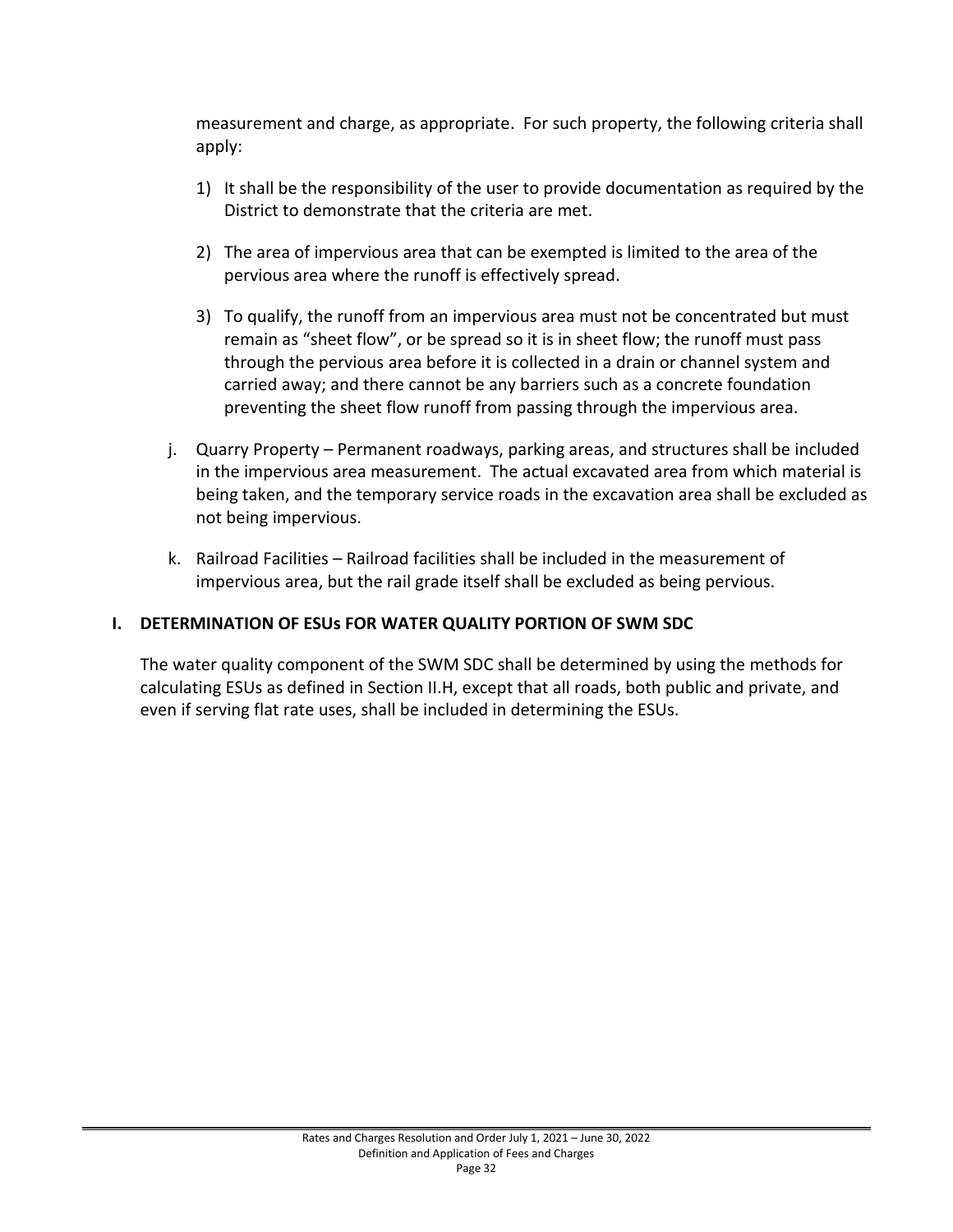measurement and charge, as appropriate. For such property, the following criteria shall apply:

- 1) It shall be the responsibility of the user to provide documentation as required by the District to demonstrate that the criteria are met.
- 2) The area of impervious area that can be exempted is limited to the area of the pervious area where the runoff is effectively spread.
- 3) To qualify, the runoff from an impervious area must not be concentrated but must remain as "sheet flow", or be spread so it is in sheet flow; the runoff must pass through the pervious area before it is collected in a drain or channel system and carried away; and there cannot be any barriers such as a concrete foundation preventing the sheet flow runoff from passing through the impervious area.
- j. Quarry Property Permanent roadways, parking areas, and structures shall be included in the impervious area measurement. The actual excavated area from which material is being taken, and the temporary service roads in the excavation area shall be excluded as not being impervious.
- k. Railroad Facilities Railroad facilities shall be included in the measurement of impervious area, but the rail grade itself shall be excluded as being pervious.

# <span id="page-35-0"></span>**I. DETERMINATION OF ESUs FOR WATER QUALITY PORTION OF SWM SDC**

The water quality component of the SWM SDC shall be determined by using the methods for calculating ESUs as defined in Section II.H, except that all roads, both public and private, and even if serving flat rate uses, shall be included in determining the ESUs.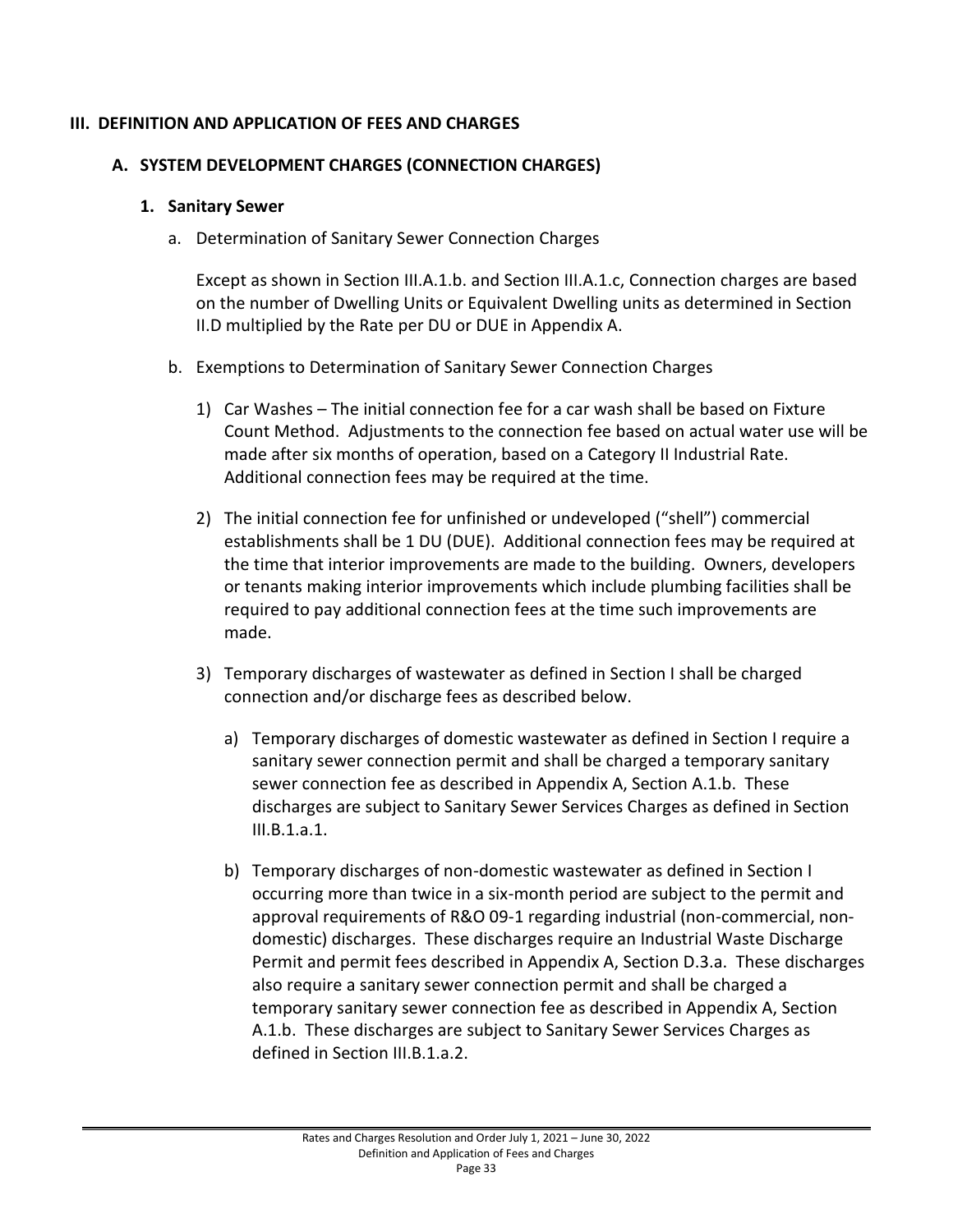## **III. DEFINITION AND APPLICATION OF FEES AND CHARGES**

# **A. SYSTEM DEVELOPMENT CHARGES (CONNECTION CHARGES)**

#### **1. Sanitary Sewer**

a. Determination of Sanitary Sewer Connection Charges

Except as shown in Section III.A.1.b. and Section III.A.1.c, Connection charges are based on the number of Dwelling Units or Equivalent Dwelling units as determined in Section II.D multiplied by the Rate per DU or DUE in Appendix A.

- b. Exemptions to Determination of Sanitary Sewer Connection Charges
	- 1) Car Washes The initial connection fee for a car wash shall be based on Fixture Count Method. Adjustments to the connection fee based on actual water use will be made after six months of operation, based on a Category II Industrial Rate. Additional connection fees may be required at the time.
	- 2) The initial connection fee for unfinished or undeveloped ("shell") commercial establishments shall be 1 DU (DUE). Additional connection fees may be required at the time that interior improvements are made to the building. Owners, developers or tenants making interior improvements which include plumbing facilities shall be required to pay additional connection fees at the time such improvements are made.
	- 3) Temporary discharges of wastewater as defined in Section I shall be charged connection and/or discharge fees as described below.
		- a) Temporary discharges of domestic wastewater as defined in Section I require a sanitary sewer connection permit and shall be charged a temporary sanitary sewer connection fee as described in Appendix A, Section A.1.b. These discharges are subject to Sanitary Sewer Services Charges as defined in Section III.B.1.a.1.
		- b) Temporary discharges of non-domestic wastewater as defined in Section I occurring more than twice in a six-month period are subject to the permit and approval requirements of R&O 09-1 regarding industrial (non-commercial, nondomestic) discharges. These discharges require an Industrial Waste Discharge Permit and permit fees described in Appendix A, Section D.3.a. These discharges also require a sanitary sewer connection permit and shall be charged a temporary sanitary sewer connection fee as described in Appendix A, Section A.1.b. These discharges are subject to Sanitary Sewer Services Charges as defined in Section III.B.1.a.2.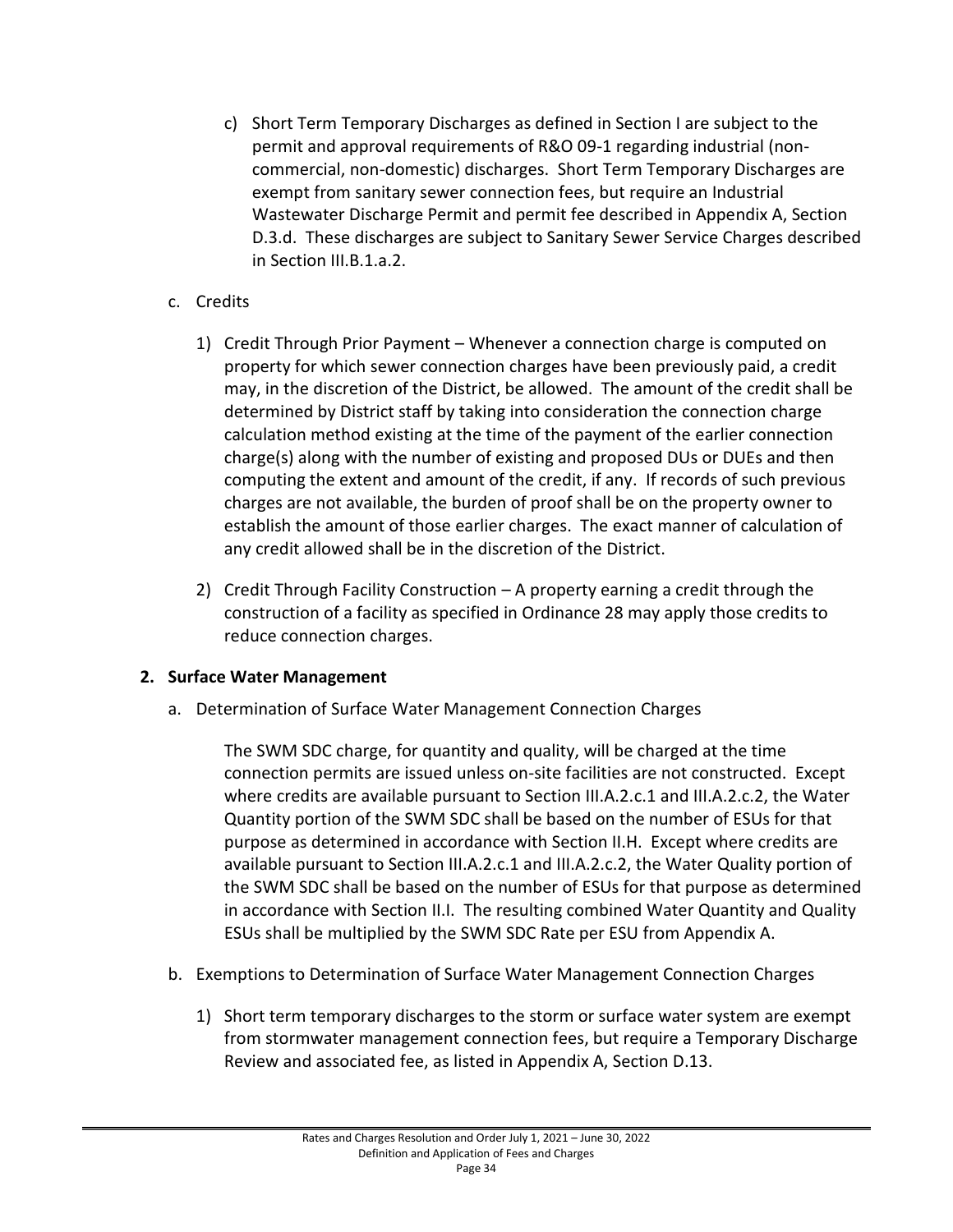- c) Short Term Temporary Discharges as defined in Section I are subject to the permit and approval requirements of R&O 09-1 regarding industrial (noncommercial, non-domestic) discharges. Short Term Temporary Discharges are exempt from sanitary sewer connection fees, but require an Industrial Wastewater Discharge Permit and permit fee described in Appendix A, Section D.3.d. These discharges are subject to Sanitary Sewer Service Charges described in Section III.B.1.a.2.
- c. Credits
	- 1) Credit Through Prior Payment Whenever a connection charge is computed on property for which sewer connection charges have been previously paid, a credit may, in the discretion of the District, be allowed. The amount of the credit shall be determined by District staff by taking into consideration the connection charge calculation method existing at the time of the payment of the earlier connection charge(s) along with the number of existing and proposed DUs or DUEs and then computing the extent and amount of the credit, if any. If records of such previous charges are not available, the burden of proof shall be on the property owner to establish the amount of those earlier charges. The exact manner of calculation of any credit allowed shall be in the discretion of the District.
	- 2) Credit Through Facility Construction A property earning a credit through the construction of a facility as specified in Ordinance 28 may apply those credits to reduce connection charges.

# **2. Surface Water Management**

a. Determination of Surface Water Management Connection Charges

The SWM SDC charge, for quantity and quality, will be charged at the time connection permits are issued unless on-site facilities are not constructed. Except where credits are available pursuant to Section III.A.2.c.1 and III.A.2.c.2, the Water Quantity portion of the SWM SDC shall be based on the number of ESUs for that purpose as determined in accordance with Section II.H. Except where credits are available pursuant to Section III.A.2.c.1 and III.A.2.c.2, the Water Quality portion of the SWM SDC shall be based on the number of ESUs for that purpose as determined in accordance with Section II.I. The resulting combined Water Quantity and Quality ESUs shall be multiplied by the SWM SDC Rate per ESU from Appendix A.

- b. Exemptions to Determination of Surface Water Management Connection Charges
	- 1) Short term temporary discharges to the storm or surface water system are exempt from stormwater management connection fees, but require a Temporary Discharge Review and associated fee, as listed in Appendix A, Section D.13.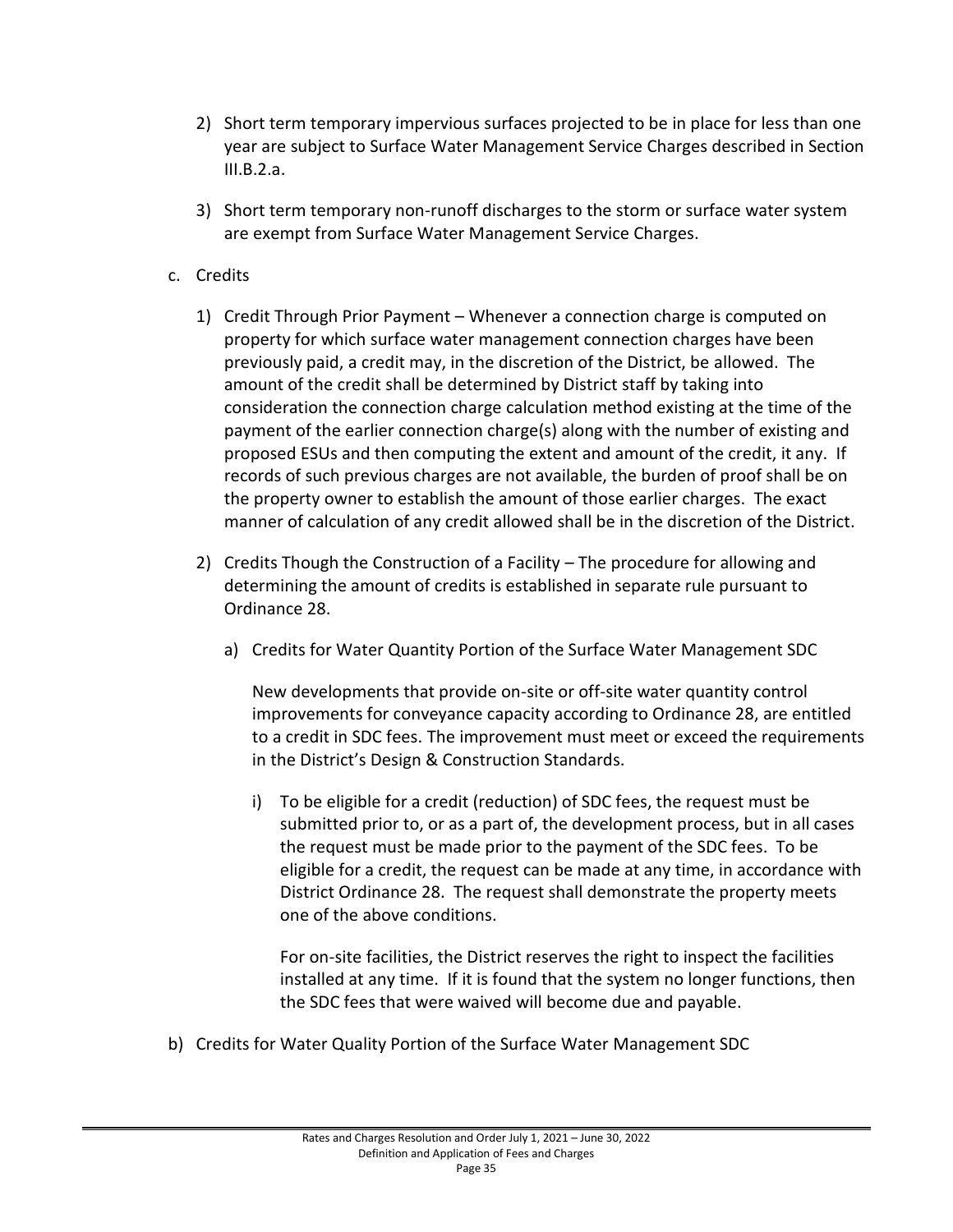- 2) Short term temporary impervious surfaces projected to be in place for less than one year are subject to Surface Water Management Service Charges described in Section III.B.2.a.
- 3) Short term temporary non-runoff discharges to the storm or surface water system are exempt from Surface Water Management Service Charges.
- c. Credits
	- 1) Credit Through Prior Payment Whenever a connection charge is computed on property for which surface water management connection charges have been previously paid, a credit may, in the discretion of the District, be allowed. The amount of the credit shall be determined by District staff by taking into consideration the connection charge calculation method existing at the time of the payment of the earlier connection charge(s) along with the number of existing and proposed ESUs and then computing the extent and amount of the credit, it any. If records of such previous charges are not available, the burden of proof shall be on the property owner to establish the amount of those earlier charges. The exact manner of calculation of any credit allowed shall be in the discretion of the District.
	- 2) Credits Though the Construction of a Facility The procedure for allowing and determining the amount of credits is established in separate rule pursuant to Ordinance 28.
		- a) Credits for Water Quantity Portion of the Surface Water Management SDC

New developments that provide on-site or off-site water quantity control improvements for conveyance capacity according to Ordinance 28, are entitled to a credit in SDC fees. The improvement must meet or exceed the requirements in the District's Design & Construction Standards.

i) To be eligible for a credit (reduction) of SDC fees, the request must be submitted prior to, or as a part of, the development process, but in all cases the request must be made prior to the payment of the SDC fees. To be eligible for a credit, the request can be made at any time, in accordance with District Ordinance 28. The request shall demonstrate the property meets one of the above conditions.

For on-site facilities, the District reserves the right to inspect the facilities installed at any time. If it is found that the system no longer functions, then the SDC fees that were waived will become due and payable.

b) Credits for Water Quality Portion of the Surface Water Management SDC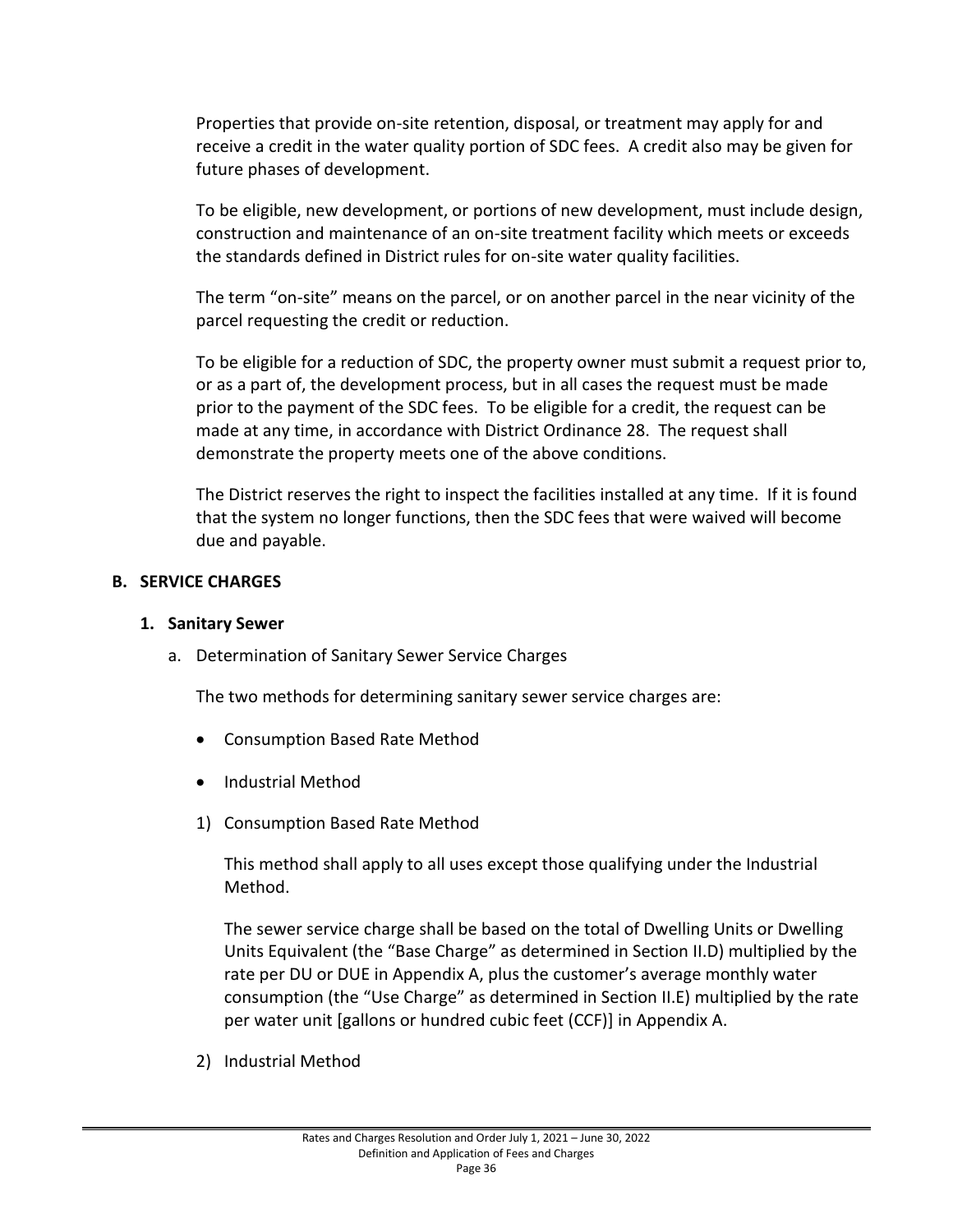Properties that provide on-site retention, disposal, or treatment may apply for and receive a credit in the water quality portion of SDC fees. A credit also may be given for future phases of development.

To be eligible, new development, or portions of new development, must include design, construction and maintenance of an on-site treatment facility which meets or exceeds the standards defined in District rules for on-site water quality facilities.

The term "on-site" means on the parcel, or on another parcel in the near vicinity of the parcel requesting the credit or reduction.

To be eligible for a reduction of SDC, the property owner must submit a request prior to, or as a part of, the development process, but in all cases the request must be made prior to the payment of the SDC fees. To be eligible for a credit, the request can be made at any time, in accordance with District Ordinance 28. The request shall demonstrate the property meets one of the above conditions.

The District reserves the right to inspect the facilities installed at any time. If it is found that the system no longer functions, then the SDC fees that were waived will become due and payable.

#### **B. SERVICE CHARGES**

#### **1. Sanitary Sewer**

a. Determination of Sanitary Sewer Service Charges

The two methods for determining sanitary sewer service charges are:

- Consumption Based Rate Method
- Industrial Method
- 1) Consumption Based Rate Method

This method shall apply to all uses except those qualifying under the Industrial Method.

The sewer service charge shall be based on the total of Dwelling Units or Dwelling Units Equivalent (the "Base Charge" as determined in Section II.D) multiplied by the rate per DU or DUE in Appendix A, plus the customer's average monthly water consumption (the "Use Charge" as determined in Section II.E) multiplied by the rate per water unit [gallons or hundred cubic feet (CCF)] in Appendix A.

2) Industrial Method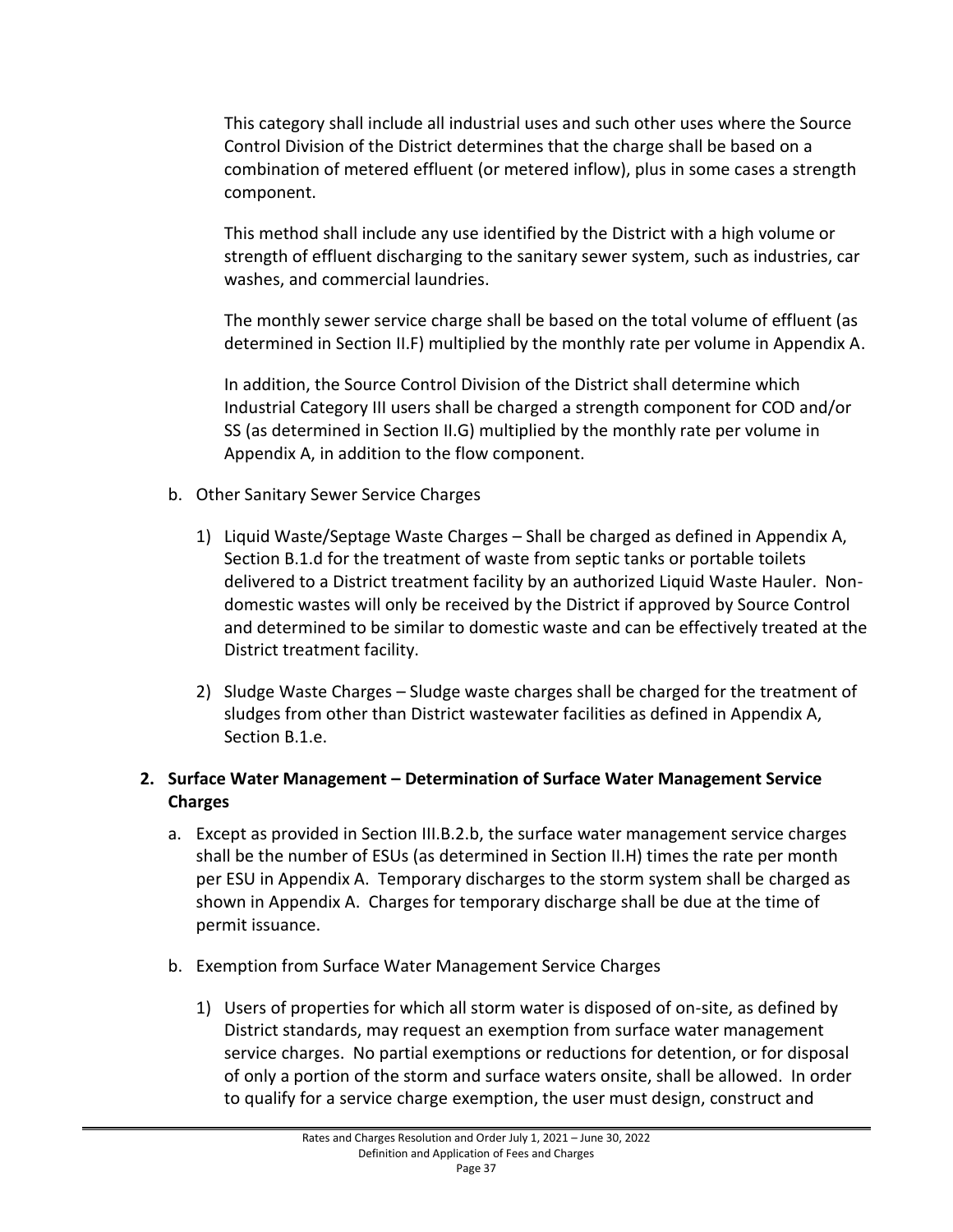This category shall include all industrial uses and such other uses where the Source Control Division of the District determines that the charge shall be based on a combination of metered effluent (or metered inflow), plus in some cases a strength component.

This method shall include any use identified by the District with a high volume or strength of effluent discharging to the sanitary sewer system, such as industries, car washes, and commercial laundries.

The monthly sewer service charge shall be based on the total volume of effluent (as determined in Section II.F) multiplied by the monthly rate per volume in Appendix A.

In addition, the Source Control Division of the District shall determine which Industrial Category III users shall be charged a strength component for COD and/or SS (as determined in Section II.G) multiplied by the monthly rate per volume in Appendix A, in addition to the flow component.

- b. Other Sanitary Sewer Service Charges
	- 1) Liquid Waste/Septage Waste Charges Shall be charged as defined in Appendix A, Section B.1.d for the treatment of waste from septic tanks or portable toilets delivered to a District treatment facility by an authorized Liquid Waste Hauler. Nondomestic wastes will only be received by the District if approved by Source Control and determined to be similar to domestic waste and can be effectively treated at the District treatment facility.
	- 2) Sludge Waste Charges Sludge waste charges shall be charged for the treatment of sludges from other than District wastewater facilities as defined in Appendix A, Section B.1.e.

## **2. Surface Water Management – Determination of Surface Water Management Service Charges**

- a. Except as provided in Section III.B.2.b, the surface water management service charges shall be the number of ESUs (as determined in Section II.H) times the rate per month per ESU in Appendix A. Temporary discharges to the storm system shall be charged as shown in Appendix A. Charges for temporary discharge shall be due at the time of permit issuance.
- b. Exemption from Surface Water Management Service Charges
	- 1) Users of properties for which all storm water is disposed of on-site, as defined by District standards, may request an exemption from surface water management service charges. No partial exemptions or reductions for detention, or for disposal of only a portion of the storm and surface waters onsite, shall be allowed. In order to qualify for a service charge exemption, the user must design, construct and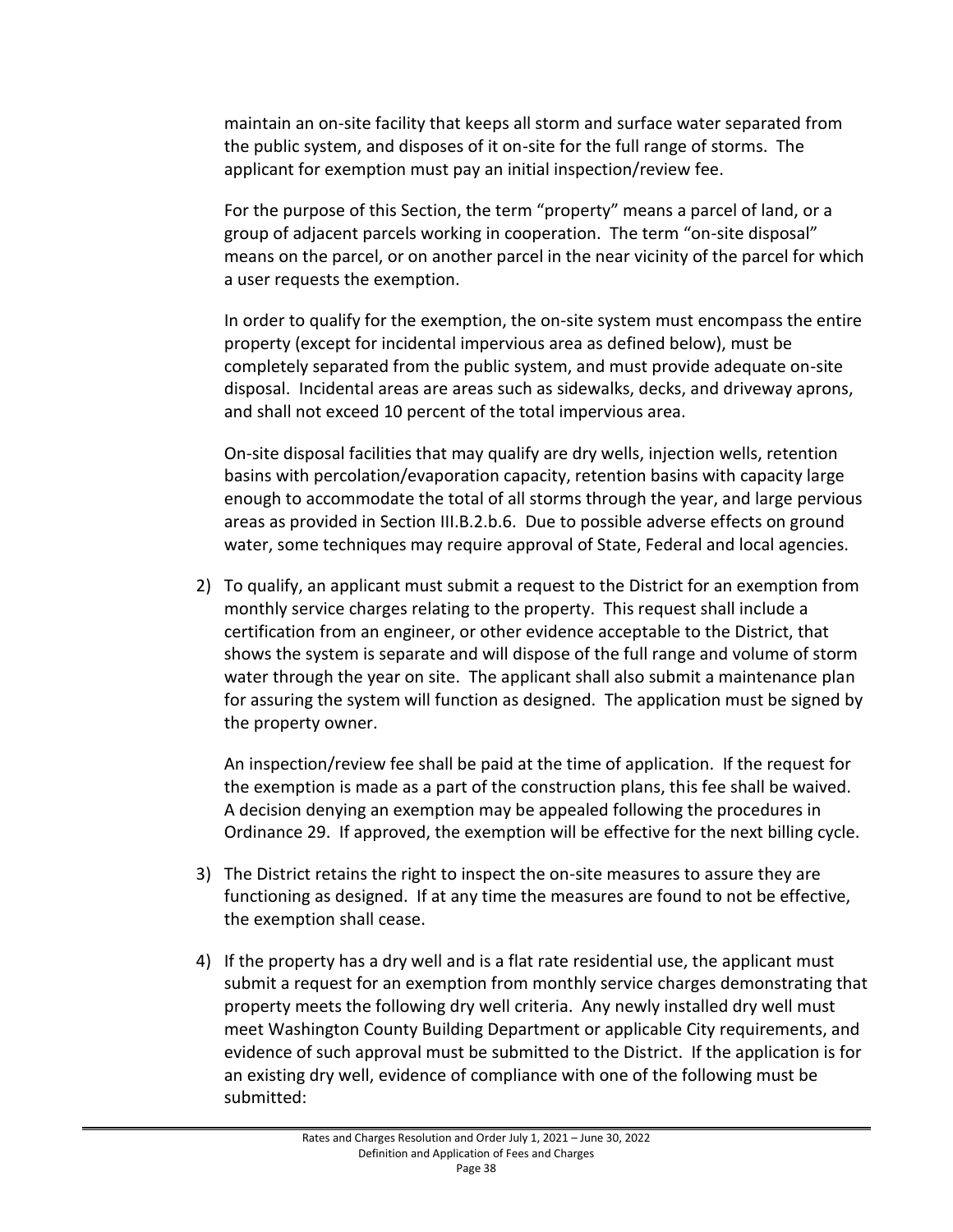maintain an on-site facility that keeps all storm and surface water separated from the public system, and disposes of it on-site for the full range of storms. The applicant for exemption must pay an initial inspection/review fee.

For the purpose of this Section, the term "property" means a parcel of land, or a group of adjacent parcels working in cooperation. The term "on-site disposal" means on the parcel, or on another parcel in the near vicinity of the parcel for which a user requests the exemption.

In order to qualify for the exemption, the on-site system must encompass the entire property (except for incidental impervious area as defined below), must be completely separated from the public system, and must provide adequate on-site disposal. Incidental areas are areas such as sidewalks, decks, and driveway aprons, and shall not exceed 10 percent of the total impervious area.

On-site disposal facilities that may qualify are dry wells, injection wells, retention basins with percolation/evaporation capacity, retention basins with capacity large enough to accommodate the total of all storms through the year, and large pervious areas as provided in Section III.B.2.b.6. Due to possible adverse effects on ground water, some techniques may require approval of State, Federal and local agencies.

2) To qualify, an applicant must submit a request to the District for an exemption from monthly service charges relating to the property. This request shall include a certification from an engineer, or other evidence acceptable to the District, that shows the system is separate and will dispose of the full range and volume of storm water through the year on site. The applicant shall also submit a maintenance plan for assuring the system will function as designed. The application must be signed by the property owner.

An inspection/review fee shall be paid at the time of application. If the request for the exemption is made as a part of the construction plans, this fee shall be waived. A decision denying an exemption may be appealed following the procedures in Ordinance 29. If approved, the exemption will be effective for the next billing cycle.

- 3) The District retains the right to inspect the on-site measures to assure they are functioning as designed. If at any time the measures are found to not be effective, the exemption shall cease.
- 4) If the property has a dry well and is a flat rate residential use, the applicant must submit a request for an exemption from monthly service charges demonstrating that property meets the following dry well criteria. Any newly installed dry well must meet Washington County Building Department or applicable City requirements, and evidence of such approval must be submitted to the District. If the application is for an existing dry well, evidence of compliance with one of the following must be submitted: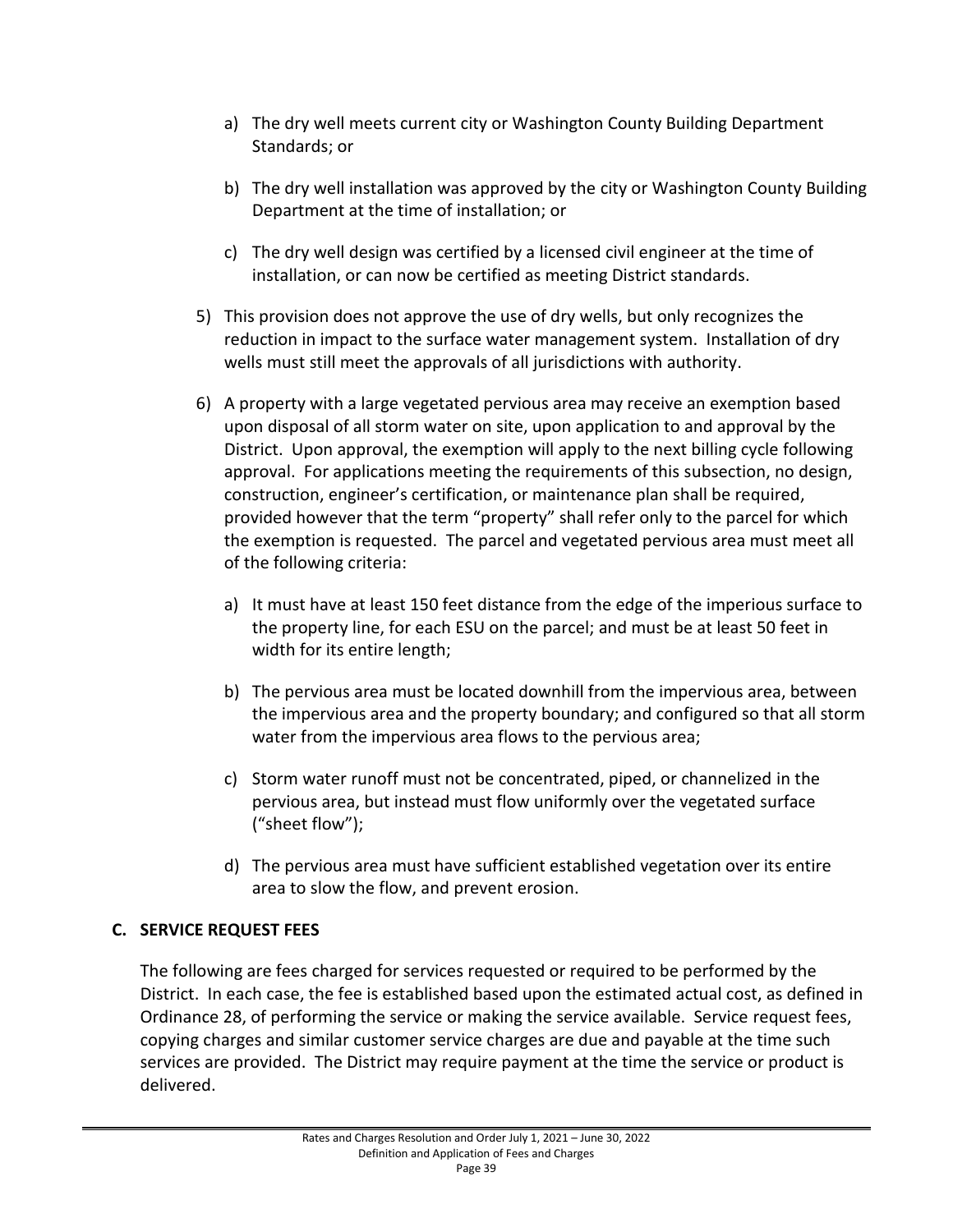- a) The dry well meets current city or Washington County Building Department Standards; or
- b) The dry well installation was approved by the city or Washington County Building Department at the time of installation; or
- c) The dry well design was certified by a licensed civil engineer at the time of installation, or can now be certified as meeting District standards.
- 5) This provision does not approve the use of dry wells, but only recognizes the reduction in impact to the surface water management system. Installation of dry wells must still meet the approvals of all jurisdictions with authority.
- 6) A property with a large vegetated pervious area may receive an exemption based upon disposal of all storm water on site, upon application to and approval by the District. Upon approval, the exemption will apply to the next billing cycle following approval. For applications meeting the requirements of this subsection, no design, construction, engineer's certification, or maintenance plan shall be required, provided however that the term "property" shall refer only to the parcel for which the exemption is requested. The parcel and vegetated pervious area must meet all of the following criteria:
	- a) It must have at least 150 feet distance from the edge of the imperious surface to the property line, for each ESU on the parcel; and must be at least 50 feet in width for its entire length;
	- b) The pervious area must be located downhill from the impervious area, between the impervious area and the property boundary; and configured so that all storm water from the impervious area flows to the pervious area;
	- c) Storm water runoff must not be concentrated, piped, or channelized in the pervious area, but instead must flow uniformly over the vegetated surface ("sheet flow");
	- d) The pervious area must have sufficient established vegetation over its entire area to slow the flow, and prevent erosion.

# **C. SERVICE REQUEST FEES**

The following are fees charged for services requested or required to be performed by the District. In each case, the fee is established based upon the estimated actual cost, as defined in Ordinance 28, of performing the service or making the service available. Service request fees, copying charges and similar customer service charges are due and payable at the time such services are provided. The District may require payment at the time the service or product is delivered.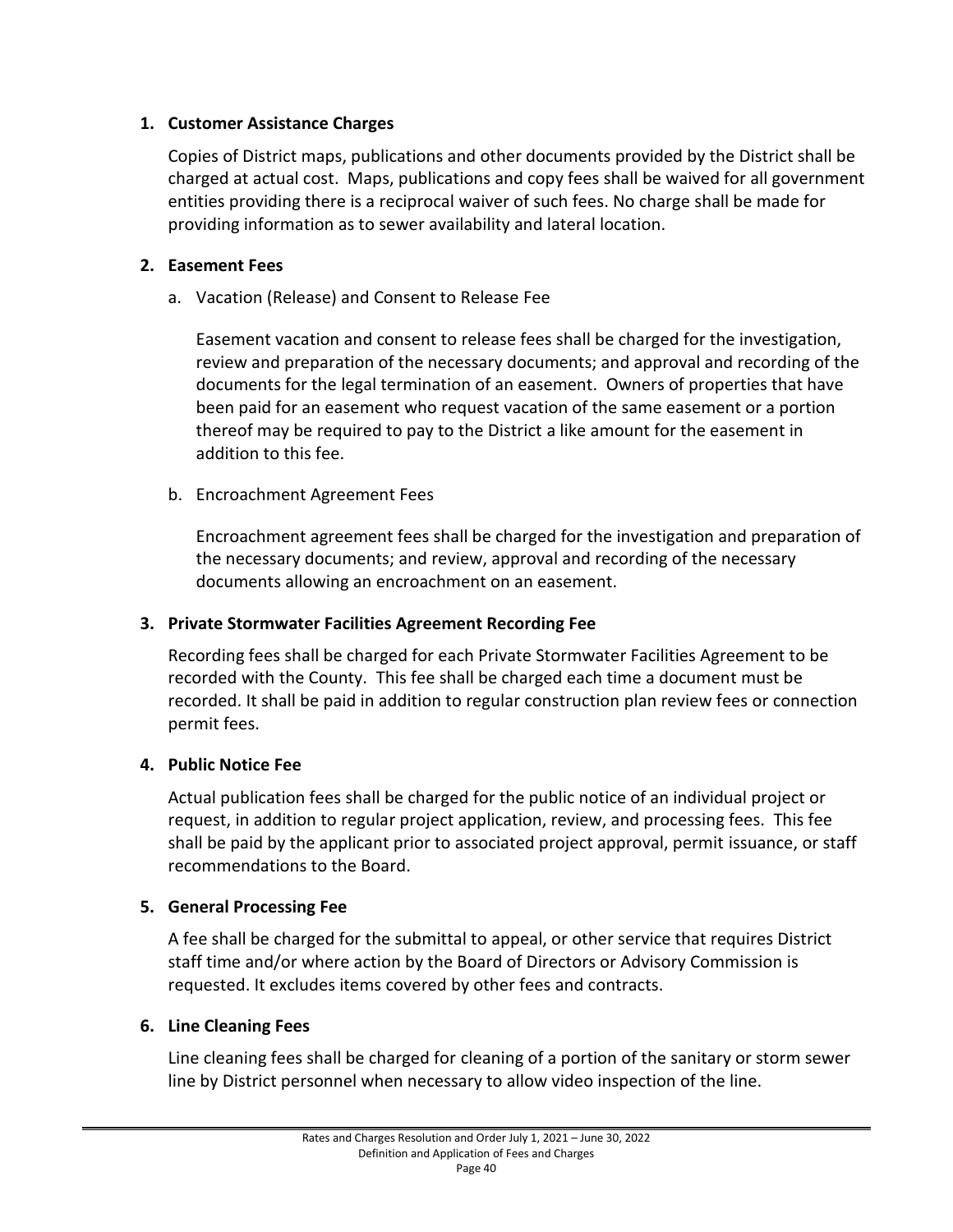#### **1. Customer Assistance Charges**

Copies of District maps, publications and other documents provided by the District shall be charged at actual cost. Maps, publications and copy fees shall be waived for all government entities providing there is a reciprocal waiver of such fees. No charge shall be made for providing information as to sewer availability and lateral location.

## **2. Easement Fees**

a. Vacation (Release) and Consent to Release Fee

Easement vacation and consent to release fees shall be charged for the investigation, review and preparation of the necessary documents; and approval and recording of the documents for the legal termination of an easement. Owners of properties that have been paid for an easement who request vacation of the same easement or a portion thereof may be required to pay to the District a like amount for the easement in addition to this fee.

b. Encroachment Agreement Fees

Encroachment agreement fees shall be charged for the investigation and preparation of the necessary documents; and review, approval and recording of the necessary documents allowing an encroachment on an easement.

#### **3. Private Stormwater Facilities Agreement Recording Fee**

Recording fees shall be charged for each Private Stormwater Facilities Agreement to be recorded with the County. This fee shall be charged each time a document must be recorded. It shall be paid in addition to regular construction plan review fees or connection permit fees.

# **4. Public Notice Fee**

Actual publication fees shall be charged for the public notice of an individual project or request, in addition to regular project application, review, and processing fees. This fee shall be paid by the applicant prior to associated project approval, permit issuance, or staff recommendations to the Board.

# **5. General Processing Fee**

A fee shall be charged for the submittal to appeal, or other service that requires District staff time and/or where action by the Board of Directors or Advisory Commission is requested. It excludes items covered by other fees and contracts.

#### **6. Line Cleaning Fees**

Line cleaning fees shall be charged for cleaning of a portion of the sanitary or storm sewer line by District personnel when necessary to allow video inspection of the line.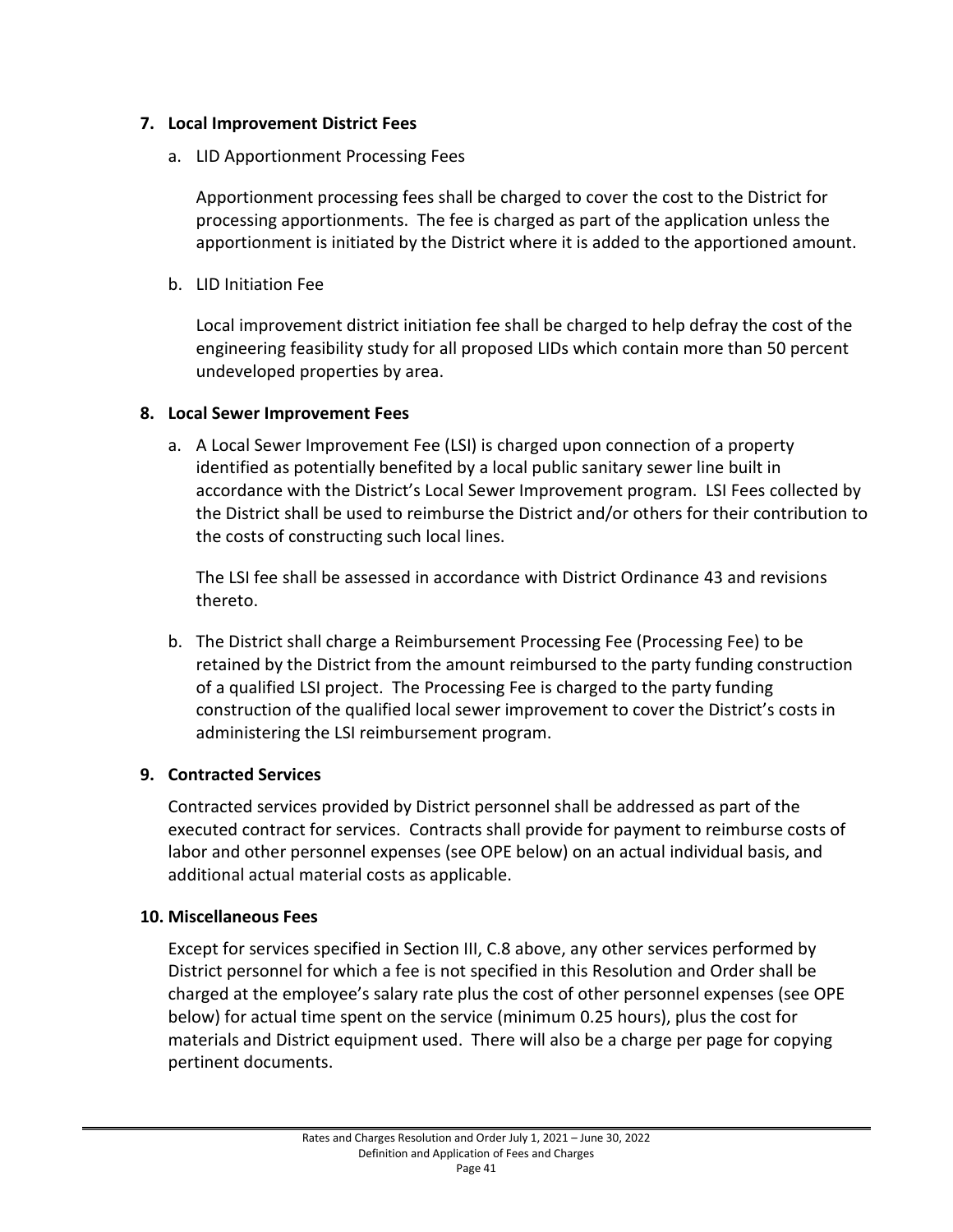#### **7. Local Improvement District Fees**

a. LID Apportionment Processing Fees

Apportionment processing fees shall be charged to cover the cost to the District for processing apportionments. The fee is charged as part of the application unless the apportionment is initiated by the District where it is added to the apportioned amount.

b. LID Initiation Fee

Local improvement district initiation fee shall be charged to help defray the cost of the engineering feasibility study for all proposed LIDs which contain more than 50 percent undeveloped properties by area.

## **8. Local Sewer Improvement Fees**

a. A Local Sewer Improvement Fee (LSI) is charged upon connection of a property identified as potentially benefited by a local public sanitary sewer line built in accordance with the District's Local Sewer Improvement program. LSI Fees collected by the District shall be used to reimburse the District and/or others for their contribution to the costs of constructing such local lines.

The LSI fee shall be assessed in accordance with District Ordinance 43 and revisions thereto.

b. The District shall charge a Reimbursement Processing Fee (Processing Fee) to be retained by the District from the amount reimbursed to the party funding construction of a qualified LSI project. The Processing Fee is charged to the party funding construction of the qualified local sewer improvement to cover the District's costs in administering the LSI reimbursement program.

# **9. Contracted Services**

Contracted services provided by District personnel shall be addressed as part of the executed contract for services. Contracts shall provide for payment to reimburse costs of labor and other personnel expenses (see OPE below) on an actual individual basis, and additional actual material costs as applicable.

#### **10. Miscellaneous Fees**

Except for services specified in Section III, C.8 above, any other services performed by District personnel for which a fee is not specified in this Resolution and Order shall be charged at the employee's salary rate plus the cost of other personnel expenses (see OPE below) for actual time spent on the service (minimum 0.25 hours), plus the cost for materials and District equipment used. There will also be a charge per page for copying pertinent documents.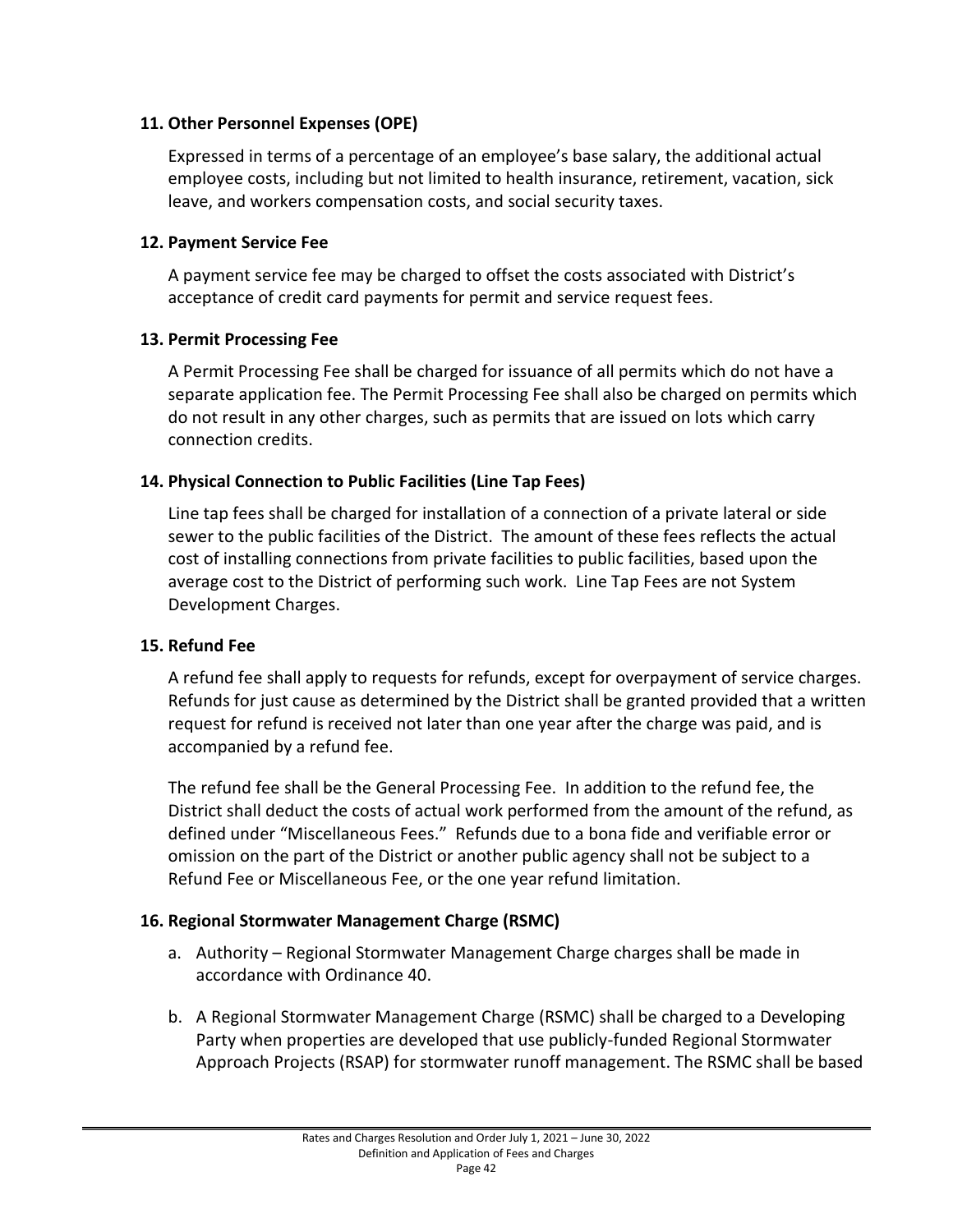#### **11. Other Personnel Expenses (OPE)**

Expressed in terms of a percentage of an employee's base salary, the additional actual employee costs, including but not limited to health insurance, retirement, vacation, sick leave, and workers compensation costs, and social security taxes.

#### **12. Payment Service Fee**

A payment service fee may be charged to offset the costs associated with District's acceptance of credit card payments for permit and service request fees.

## **13. Permit Processing Fee**

A Permit Processing Fee shall be charged for issuance of all permits which do not have a separate application fee. The Permit Processing Fee shall also be charged on permits which do not result in any other charges, such as permits that are issued on lots which carry connection credits.

# **14. Physical Connection to Public Facilities (Line Tap Fees)**

Line tap fees shall be charged for installation of a connection of a private lateral or side sewer to the public facilities of the District. The amount of these fees reflects the actual cost of installing connections from private facilities to public facilities, based upon the average cost to the District of performing such work. Line Tap Fees are not System Development Charges.

# **15. Refund Fee**

A refund fee shall apply to requests for refunds, except for overpayment of service charges. Refunds for just cause as determined by the District shall be granted provided that a written request for refund is received not later than one year after the charge was paid, and is accompanied by a refund fee.

The refund fee shall be the General Processing Fee. In addition to the refund fee, the District shall deduct the costs of actual work performed from the amount of the refund, as defined under "Miscellaneous Fees." Refunds due to a bona fide and verifiable error or omission on the part of the District or another public agency shall not be subject to a Refund Fee or Miscellaneous Fee, or the one year refund limitation.

# **16. Regional Stormwater Management Charge (RSMC)**

- a. Authority Regional Stormwater Management Charge charges shall be made in accordance with Ordinance 40.
- b. A Regional Stormwater Management Charge (RSMC) shall be charged to a Developing Party when properties are developed that use publicly-funded Regional Stormwater Approach Projects (RSAP) for stormwater runoff management. The RSMC shall be based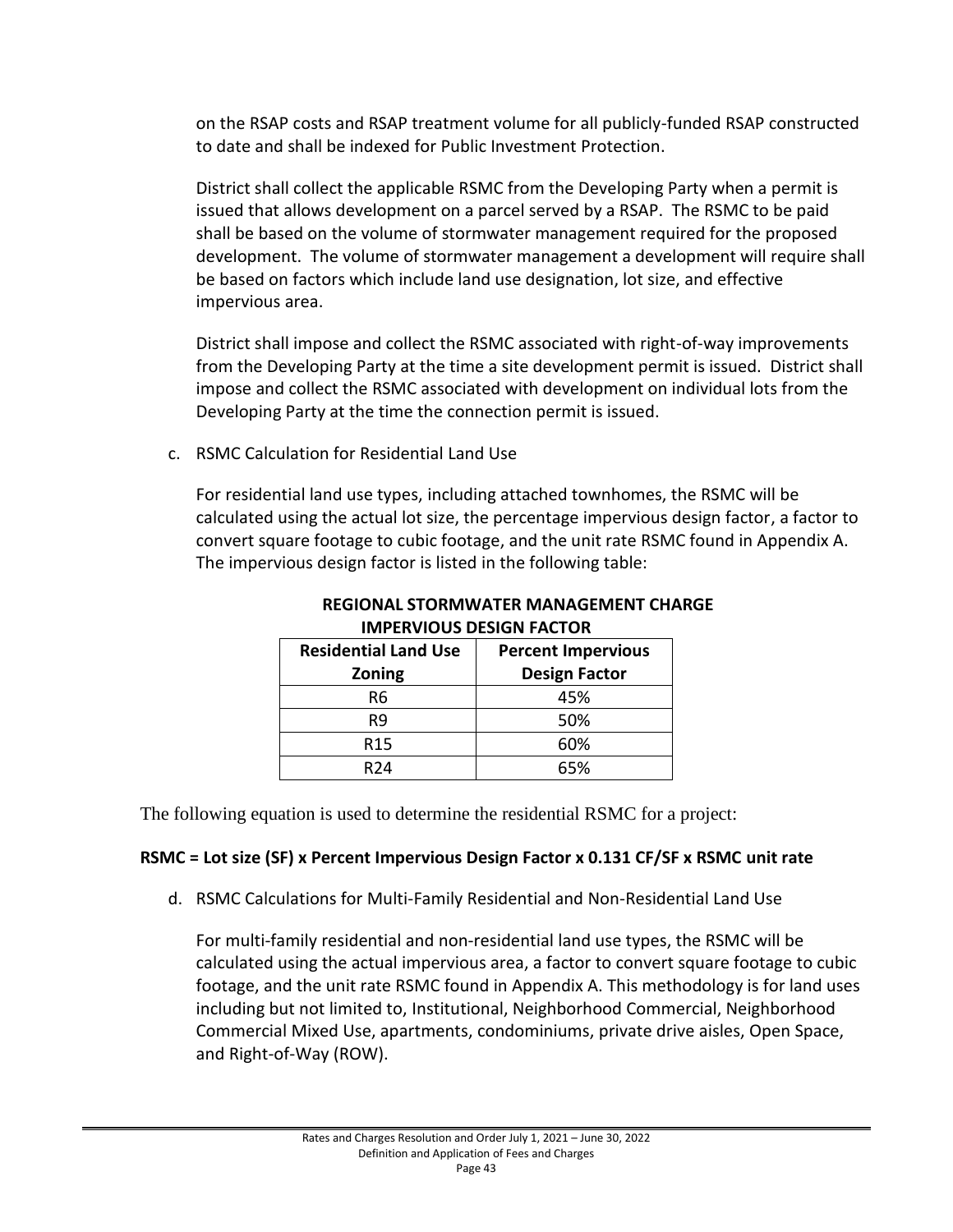on the RSAP costs and RSAP treatment volume for all publicly-funded RSAP constructed to date and shall be indexed for Public Investment Protection.

District shall collect the applicable RSMC from the Developing Party when a permit is issued that allows development on a parcel served by a RSAP. The RSMC to be paid shall be based on the volume of stormwater management required for the proposed development. The volume of stormwater management a development will require shall be based on factors which include land use designation, lot size, and effective impervious area.

District shall impose and collect the RSMC associated with right-of-way improvements from the Developing Party at the time a site development permit is issued. District shall impose and collect the RSMC associated with development on individual lots from the Developing Party at the time the connection permit is issued.

c. RSMC Calculation for Residential Land Use

For residential land use types, including attached townhomes, the RSMC will be calculated using the actual lot size, the percentage impervious design factor, a factor to convert square footage to cubic footage, and the unit rate RSMC found in Appendix A. The impervious design factor is listed in the following table:

| <b>Percent Impervious</b> |
|---------------------------|
| <b>Design Factor</b>      |
| 45%                       |
| 50%                       |
| 60%                       |
| 65%                       |
|                           |

#### **REGIONAL STORMWATER MANAGEMENT CHARGE IMPERVIOUS DESIGN FACTOR**

The following equation is used to determine the residential RSMC for a project:

# **RSMC = Lot size (SF) x Percent Impervious Design Factor x 0.131 CF/SF x RSMC unit rate**

d. RSMC Calculations for Multi-Family Residential and Non-Residential Land Use

For multi-family residential and non-residential land use types, the RSMC will be calculated using the actual impervious area, a factor to convert square footage to cubic footage, and the unit rate RSMC found in Appendix A. This methodology is for land uses including but not limited to, Institutional, Neighborhood Commercial, Neighborhood Commercial Mixed Use, apartments, condominiums, private drive aisles, Open Space, and Right-of-Way (ROW).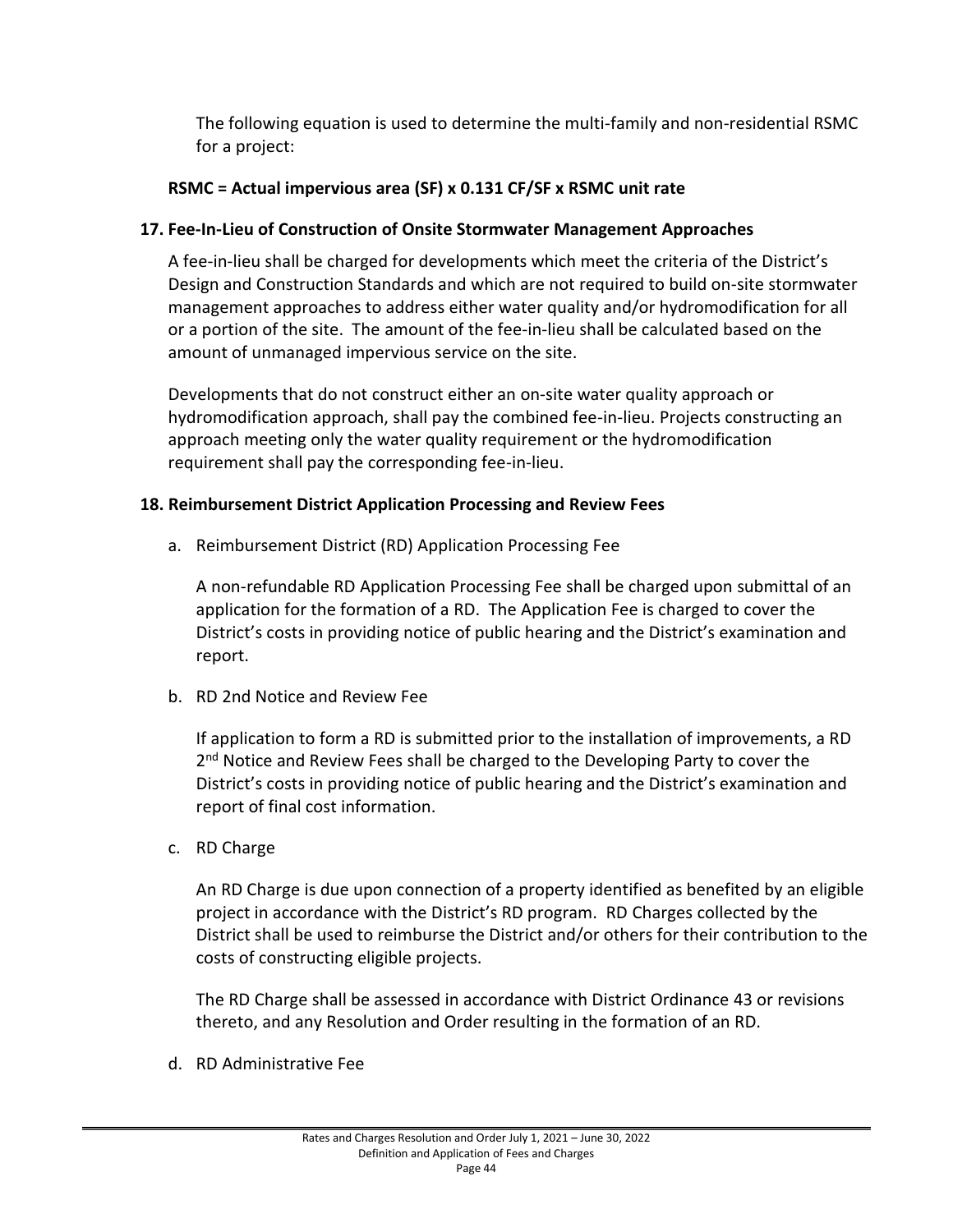The following equation is used to determine the multi-family and non-residential RSMC for a project:

# **RSMC = Actual impervious area (SF) x 0.131 CF/SF x RSMC unit rate**

## **17. Fee-In-Lieu of Construction of Onsite Stormwater Management Approaches**

A fee-in-lieu shall be charged for developments which meet the criteria of the District's Design and Construction Standards and which are not required to build on-site stormwater management approaches to address either water quality and/or hydromodification for all or a portion of the site. The amount of the fee-in-lieu shall be calculated based on the amount of unmanaged impervious service on the site.

Developments that do not construct either an on-site water quality approach or hydromodification approach, shall pay the combined fee-in-lieu. Projects constructing an approach meeting only the water quality requirement or the hydromodification requirement shall pay the corresponding fee-in-lieu.

## **18. Reimbursement District Application Processing and Review Fees**

a. Reimbursement District (RD) Application Processing Fee

A non-refundable RD Application Processing Fee shall be charged upon submittal of an application for the formation of a RD. The Application Fee is charged to cover the District's costs in providing notice of public hearing and the District's examination and report.

b. RD 2nd Notice and Review Fee

If application to form a RD is submitted prior to the installation of improvements, a RD 2<sup>nd</sup> Notice and Review Fees shall be charged to the Developing Party to cover the District's costs in providing notice of public hearing and the District's examination and report of final cost information.

c. RD Charge

An RD Charge is due upon connection of a property identified as benefited by an eligible project in accordance with the District's RD program. RD Charges collected by the District shall be used to reimburse the District and/or others for their contribution to the costs of constructing eligible projects.

The RD Charge shall be assessed in accordance with District Ordinance 43 or revisions thereto, and any Resolution and Order resulting in the formation of an RD.

d. RD Administrative Fee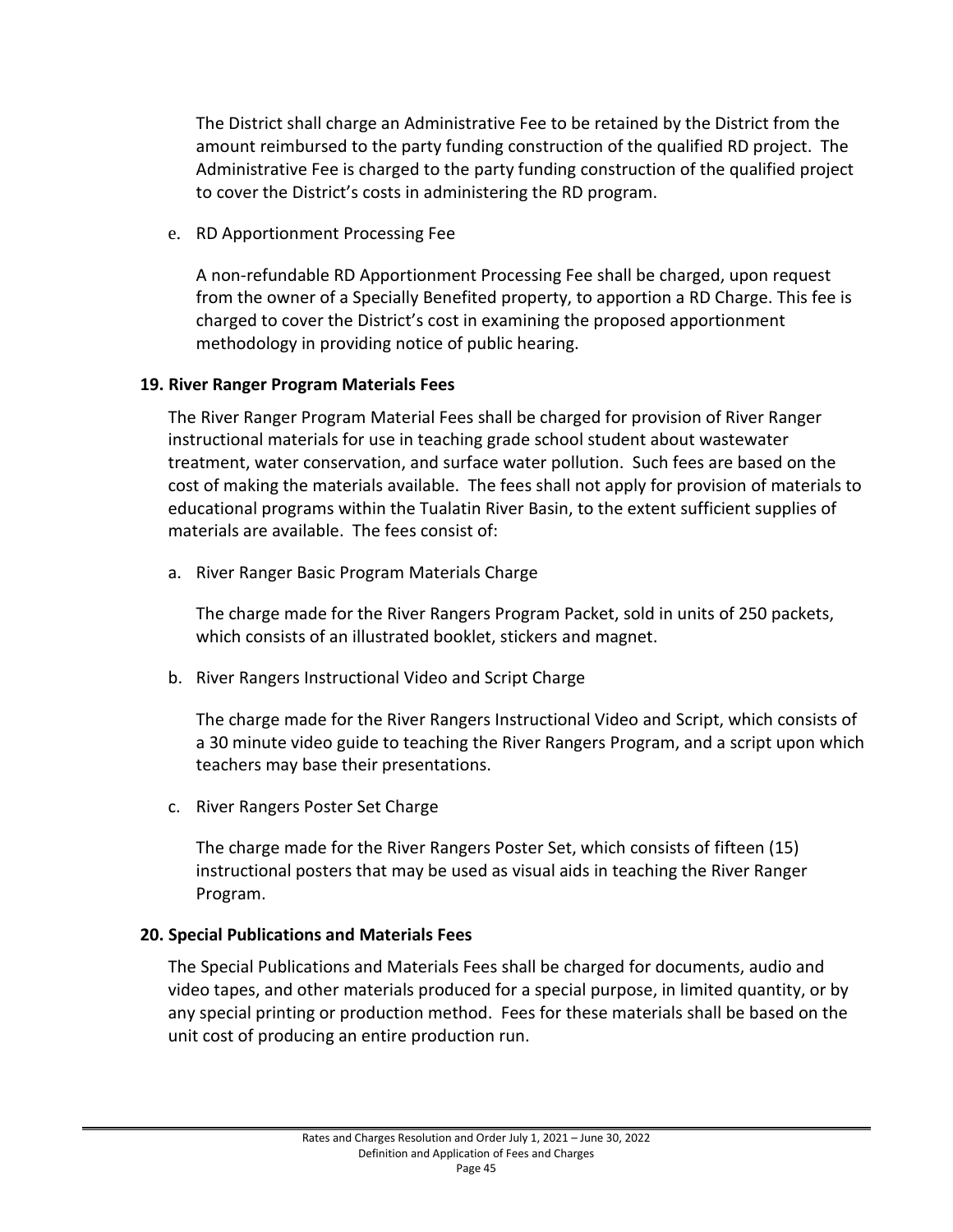The District shall charge an Administrative Fee to be retained by the District from the amount reimbursed to the party funding construction of the qualified RD project. The Administrative Fee is charged to the party funding construction of the qualified project to cover the District's costs in administering the RD program.

e. RD Apportionment Processing Fee

A non-refundable RD Apportionment Processing Fee shall be charged, upon request from the owner of a Specially Benefited property, to apportion a RD Charge. This fee is charged to cover the District's cost in examining the proposed apportionment methodology in providing notice of public hearing.

#### **19. River Ranger Program Materials Fees**

The River Ranger Program Material Fees shall be charged for provision of River Ranger instructional materials for use in teaching grade school student about wastewater treatment, water conservation, and surface water pollution. Such fees are based on the cost of making the materials available. The fees shall not apply for provision of materials to educational programs within the Tualatin River Basin, to the extent sufficient supplies of materials are available. The fees consist of:

a. River Ranger Basic Program Materials Charge

The charge made for the River Rangers Program Packet, sold in units of 250 packets, which consists of an illustrated booklet, stickers and magnet.

b. River Rangers Instructional Video and Script Charge

The charge made for the River Rangers Instructional Video and Script, which consists of a 30 minute video guide to teaching the River Rangers Program, and a script upon which teachers may base their presentations.

c. River Rangers Poster Set Charge

The charge made for the River Rangers Poster Set, which consists of fifteen (15) instructional posters that may be used as visual aids in teaching the River Ranger Program.

# **20. Special Publications and Materials Fees**

The Special Publications and Materials Fees shall be charged for documents, audio and video tapes, and other materials produced for a special purpose, in limited quantity, or by any special printing or production method. Fees for these materials shall be based on the unit cost of producing an entire production run.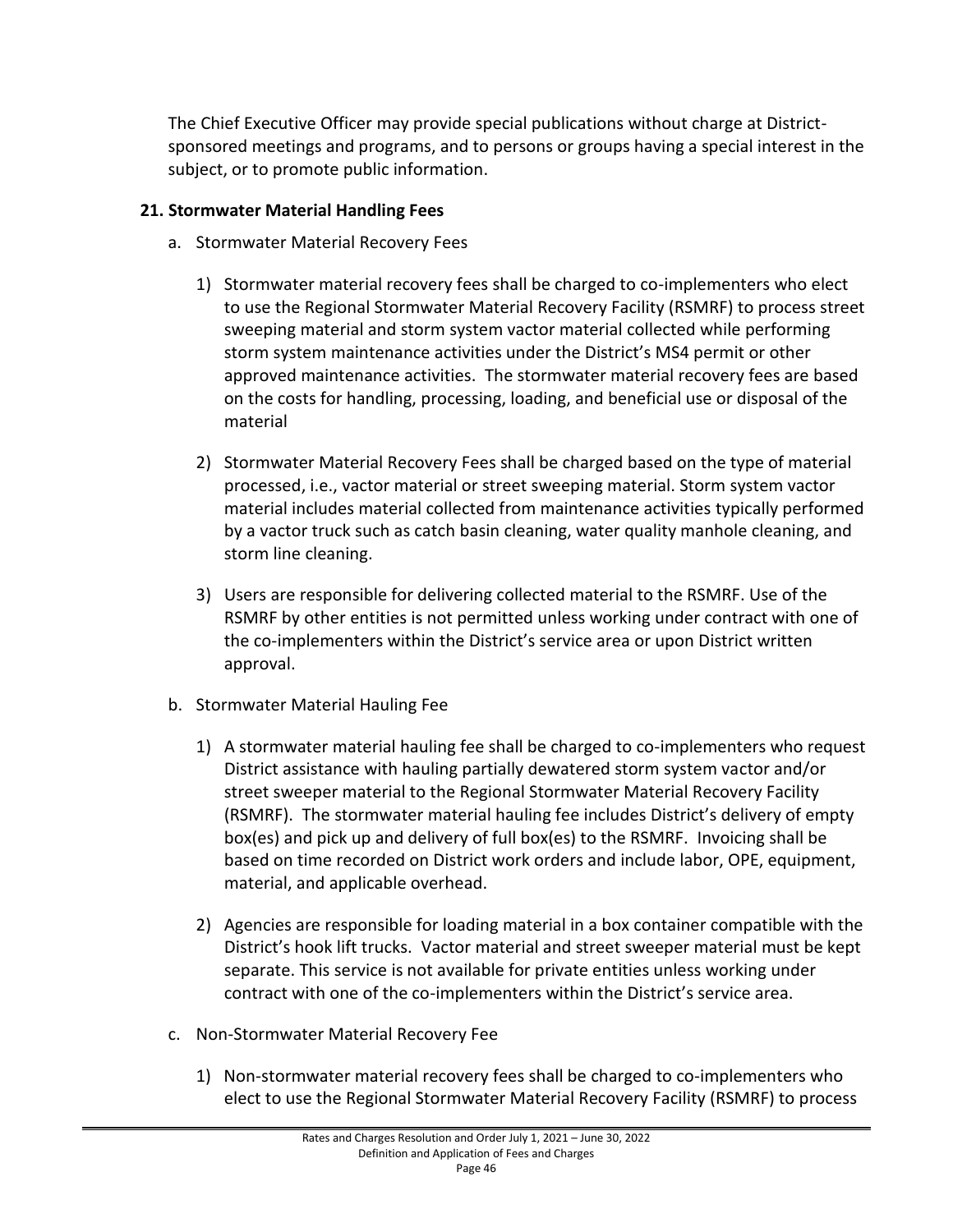The Chief Executive Officer may provide special publications without charge at Districtsponsored meetings and programs, and to persons or groups having a special interest in the subject, or to promote public information.

## **21. Stormwater Material Handling Fees**

- a. Stormwater Material Recovery Fees
	- 1) Stormwater material recovery fees shall be charged to co-implementers who elect to use the Regional Stormwater Material Recovery Facility (RSMRF) to process street sweeping material and storm system vactor material collected while performing storm system maintenance activities under the District's MS4 permit or other approved maintenance activities. The stormwater material recovery fees are based on the costs for handling, processing, loading, and beneficial use or disposal of the material
	- 2) Stormwater Material Recovery Fees shall be charged based on the type of material processed, i.e., vactor material or street sweeping material. Storm system vactor material includes material collected from maintenance activities typically performed by a vactor truck such as catch basin cleaning, water quality manhole cleaning, and storm line cleaning.
	- 3) Users are responsible for delivering collected material to the RSMRF. Use of the RSMRF by other entities is not permitted unless working under contract with one of the co-implementers within the District's service area or upon District written approval.
- b. Stormwater Material Hauling Fee
	- 1) A stormwater material hauling fee shall be charged to co-implementers who request District assistance with hauling partially dewatered storm system vactor and/or street sweeper material to the Regional Stormwater Material Recovery Facility (RSMRF). The stormwater material hauling fee includes District's delivery of empty box(es) and pick up and delivery of full box(es) to the RSMRF. Invoicing shall be based on time recorded on District work orders and include labor, OPE, equipment, material, and applicable overhead.
	- 2) Agencies are responsible for loading material in a box container compatible with the District's hook lift trucks. Vactor material and street sweeper material must be kept separate. This service is not available for private entities unless working under contract with one of the co-implementers within the District's service area.
- c. Non-Stormwater Material Recovery Fee
	- 1) Non-stormwater material recovery fees shall be charged to co-implementers who elect to use the Regional Stormwater Material Recovery Facility (RSMRF) to process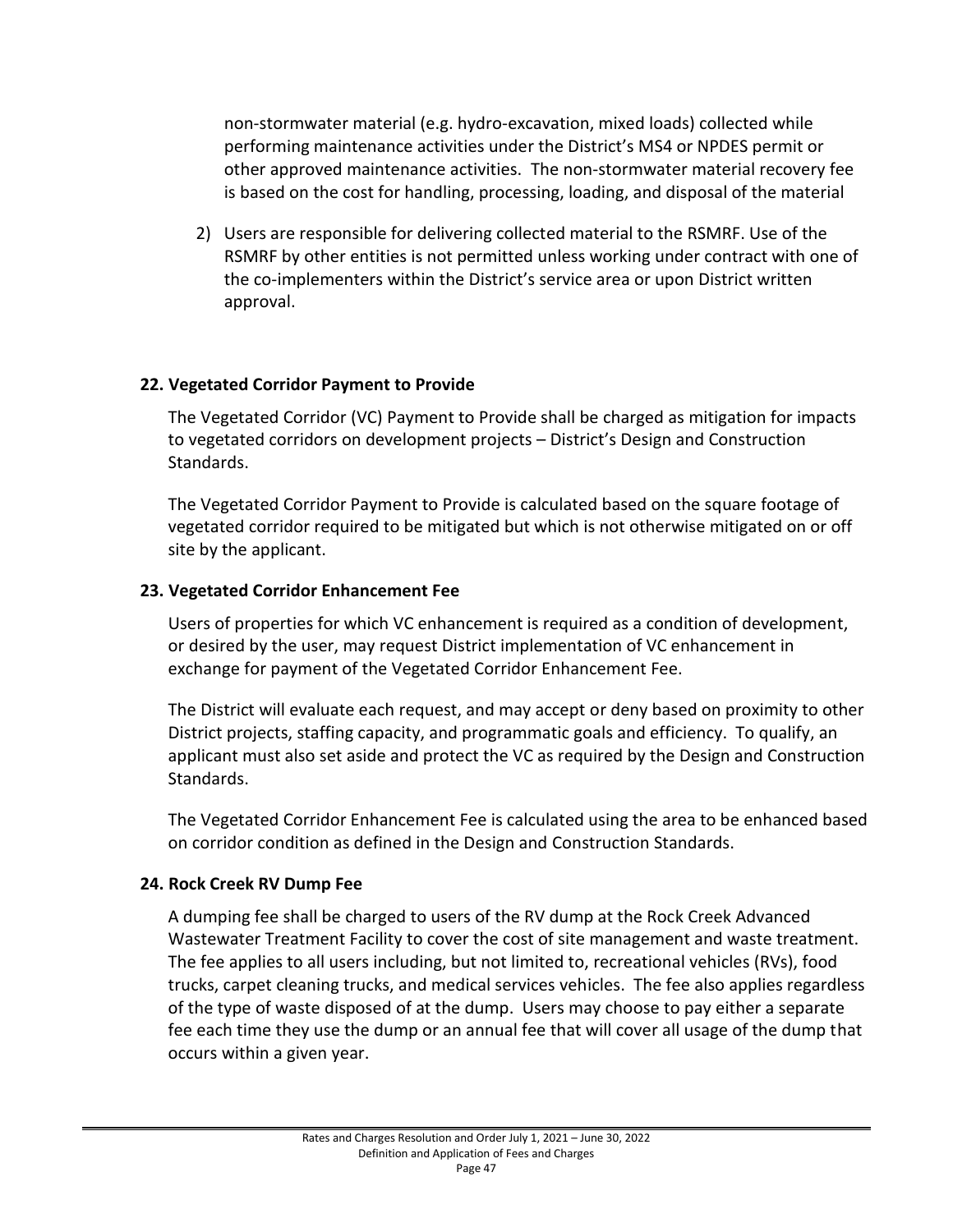non-stormwater material (e.g. hydro-excavation, mixed loads) collected while performing maintenance activities under the District's MS4 or NPDES permit or other approved maintenance activities. The non-stormwater material recovery fee is based on the cost for handling, processing, loading, and disposal of the material

2) Users are responsible for delivering collected material to the RSMRF. Use of the RSMRF by other entities is not permitted unless working under contract with one of the co-implementers within the District's service area or upon District written approval.

#### **22. Vegetated Corridor Payment to Provide**

The Vegetated Corridor (VC) Payment to Provide shall be charged as mitigation for impacts to vegetated corridors on development projects – District's Design and Construction Standards.

The Vegetated Corridor Payment to Provide is calculated based on the square footage of vegetated corridor required to be mitigated but which is not otherwise mitigated on or off site by the applicant.

#### **23. Vegetated Corridor Enhancement Fee**

Users of properties for which VC enhancement is required as a condition of development, or desired by the user, may request District implementation of VC enhancement in exchange for payment of the Vegetated Corridor Enhancement Fee.

The District will evaluate each request, and may accept or deny based on proximity to other District projects, staffing capacity, and programmatic goals and efficiency. To qualify, an applicant must also set aside and protect the VC as required by the Design and Construction Standards.

The Vegetated Corridor Enhancement Fee is calculated using the area to be enhanced based on corridor condition as defined in the Design and Construction Standards.

#### **24. Rock Creek RV Dump Fee**

A dumping fee shall be charged to users of the RV dump at the Rock Creek Advanced Wastewater Treatment Facility to cover the cost of site management and waste treatment. The fee applies to all users including, but not limited to, recreational vehicles (RVs), food trucks, carpet cleaning trucks, and medical services vehicles. The fee also applies regardless of the type of waste disposed of at the dump. Users may choose to pay either a separate fee each time they use the dump or an annual fee that will cover all usage of the dump that occurs within a given year.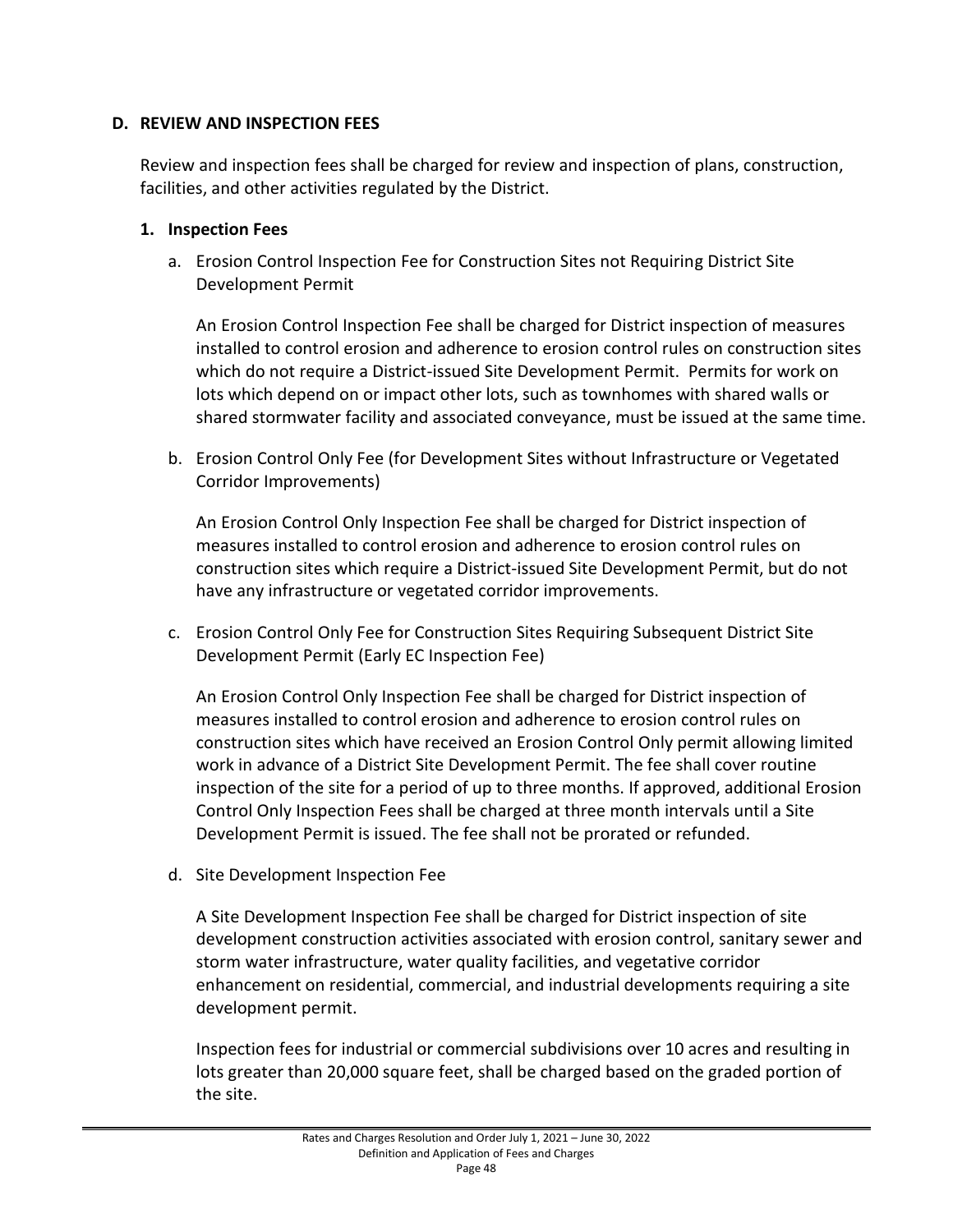#### **D. REVIEW AND INSPECTION FEES**

Review and inspection fees shall be charged for review and inspection of plans, construction, facilities, and other activities regulated by the District.

#### **1. Inspection Fees**

a. Erosion Control Inspection Fee for Construction Sites not Requiring District Site Development Permit

An Erosion Control Inspection Fee shall be charged for District inspection of measures installed to control erosion and adherence to erosion control rules on construction sites which do not require a District-issued Site Development Permit. Permits for work on lots which depend on or impact other lots, such as townhomes with shared walls or shared stormwater facility and associated conveyance, must be issued at the same time.

b. Erosion Control Only Fee (for Development Sites without Infrastructure or Vegetated Corridor Improvements)

An Erosion Control Only Inspection Fee shall be charged for District inspection of measures installed to control erosion and adherence to erosion control rules on construction sites which require a District-issued Site Development Permit, but do not have any infrastructure or vegetated corridor improvements.

c. Erosion Control Only Fee for Construction Sites Requiring Subsequent District Site Development Permit (Early EC Inspection Fee)

An Erosion Control Only Inspection Fee shall be charged for District inspection of measures installed to control erosion and adherence to erosion control rules on construction sites which have received an Erosion Control Only permit allowing limited work in advance of a District Site Development Permit. The fee shall cover routine inspection of the site for a period of up to three months. If approved, additional Erosion Control Only Inspection Fees shall be charged at three month intervals until a Site Development Permit is issued. The fee shall not be prorated or refunded.

d. Site Development Inspection Fee

A Site Development Inspection Fee shall be charged for District inspection of site development construction activities associated with erosion control, sanitary sewer and storm water infrastructure, water quality facilities, and vegetative corridor enhancement on residential, commercial, and industrial developments requiring a site development permit.

Inspection fees for industrial or commercial subdivisions over 10 acres and resulting in lots greater than 20,000 square feet, shall be charged based on the graded portion of the site.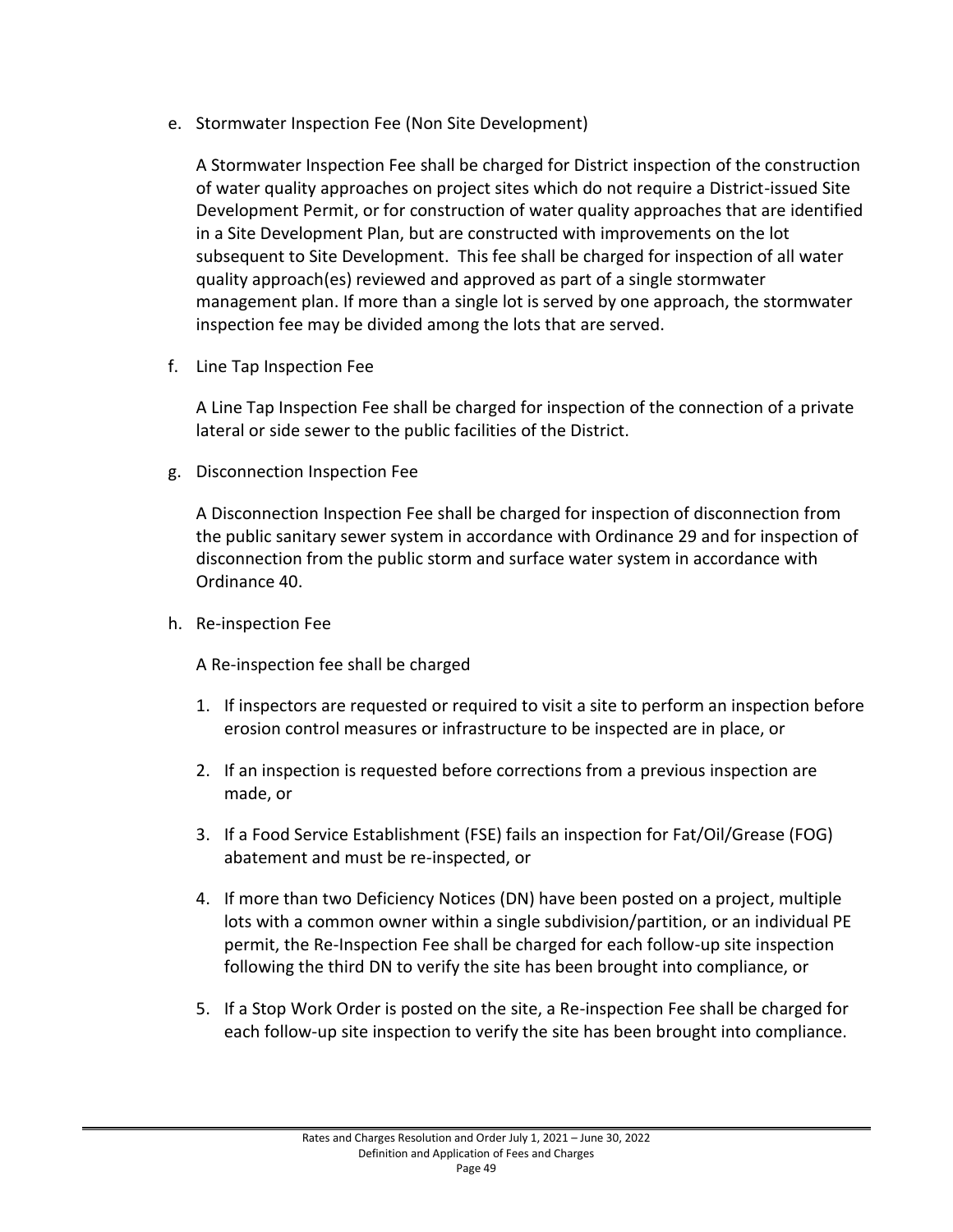e. Stormwater Inspection Fee (Non Site Development)

A Stormwater Inspection Fee shall be charged for District inspection of the construction of water quality approaches on project sites which do not require a District-issued Site Development Permit, or for construction of water quality approaches that are identified in a Site Development Plan, but are constructed with improvements on the lot subsequent to Site Development. This fee shall be charged for inspection of all water quality approach(es) reviewed and approved as part of a single stormwater management plan. If more than a single lot is served by one approach, the stormwater inspection fee may be divided among the lots that are served.

f. Line Tap Inspection Fee

A Line Tap Inspection Fee shall be charged for inspection of the connection of a private lateral or side sewer to the public facilities of the District.

g. Disconnection Inspection Fee

A Disconnection Inspection Fee shall be charged for inspection of disconnection from the public sanitary sewer system in accordance with Ordinance 29 and for inspection of disconnection from the public storm and surface water system in accordance with Ordinance 40.

h. Re-inspection Fee

A Re-inspection fee shall be charged

- 1. If inspectors are requested or required to visit a site to perform an inspection before erosion control measures or infrastructure to be inspected are in place, or
- 2. If an inspection is requested before corrections from a previous inspection are made, or
- 3. If a Food Service Establishment (FSE) fails an inspection for Fat/Oil/Grease (FOG) abatement and must be re-inspected, or
- 4. If more than two Deficiency Notices (DN) have been posted on a project, multiple lots with a common owner within a single subdivision/partition, or an individual PE permit, the Re-Inspection Fee shall be charged for each follow-up site inspection following the third DN to verify the site has been brought into compliance, or
- 5. If a Stop Work Order is posted on the site, a Re-inspection Fee shall be charged for each follow-up site inspection to verify the site has been brought into compliance.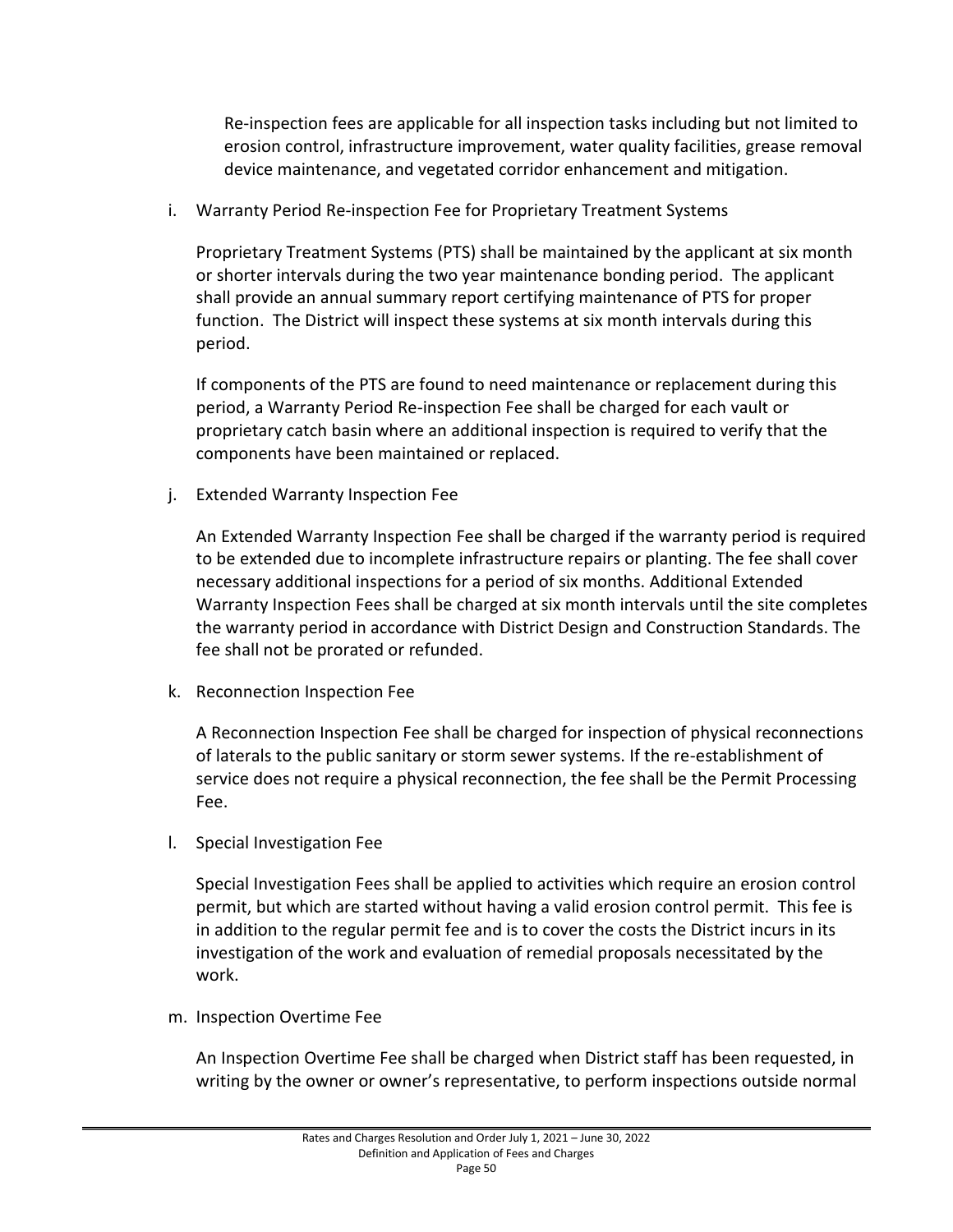Re-inspection fees are applicable for all inspection tasks including but not limited to erosion control, infrastructure improvement, water quality facilities, grease removal device maintenance, and vegetated corridor enhancement and mitigation.

i. Warranty Period Re-inspection Fee for Proprietary Treatment Systems

Proprietary Treatment Systems (PTS) shall be maintained by the applicant at six month or shorter intervals during the two year maintenance bonding period. The applicant shall provide an annual summary report certifying maintenance of PTS for proper function. The District will inspect these systems at six month intervals during this period.

If components of the PTS are found to need maintenance or replacement during this period, a Warranty Period Re-inspection Fee shall be charged for each vault or proprietary catch basin where an additional inspection is required to verify that the components have been maintained or replaced.

j. Extended Warranty Inspection Fee

An Extended Warranty Inspection Fee shall be charged if the warranty period is required to be extended due to incomplete infrastructure repairs or planting. The fee shall cover necessary additional inspections for a period of six months. Additional Extended Warranty Inspection Fees shall be charged at six month intervals until the site completes the warranty period in accordance with District Design and Construction Standards. The fee shall not be prorated or refunded.

k. Reconnection Inspection Fee

A Reconnection Inspection Fee shall be charged for inspection of physical reconnections of laterals to the public sanitary or storm sewer systems. If the re-establishment of service does not require a physical reconnection, the fee shall be the Permit Processing Fee.

l. Special Investigation Fee

Special Investigation Fees shall be applied to activities which require an erosion control permit, but which are started without having a valid erosion control permit. This fee is in addition to the regular permit fee and is to cover the costs the District incurs in its investigation of the work and evaluation of remedial proposals necessitated by the work.

m. Inspection Overtime Fee

An Inspection Overtime Fee shall be charged when District staff has been requested, in writing by the owner or owner's representative, to perform inspections outside normal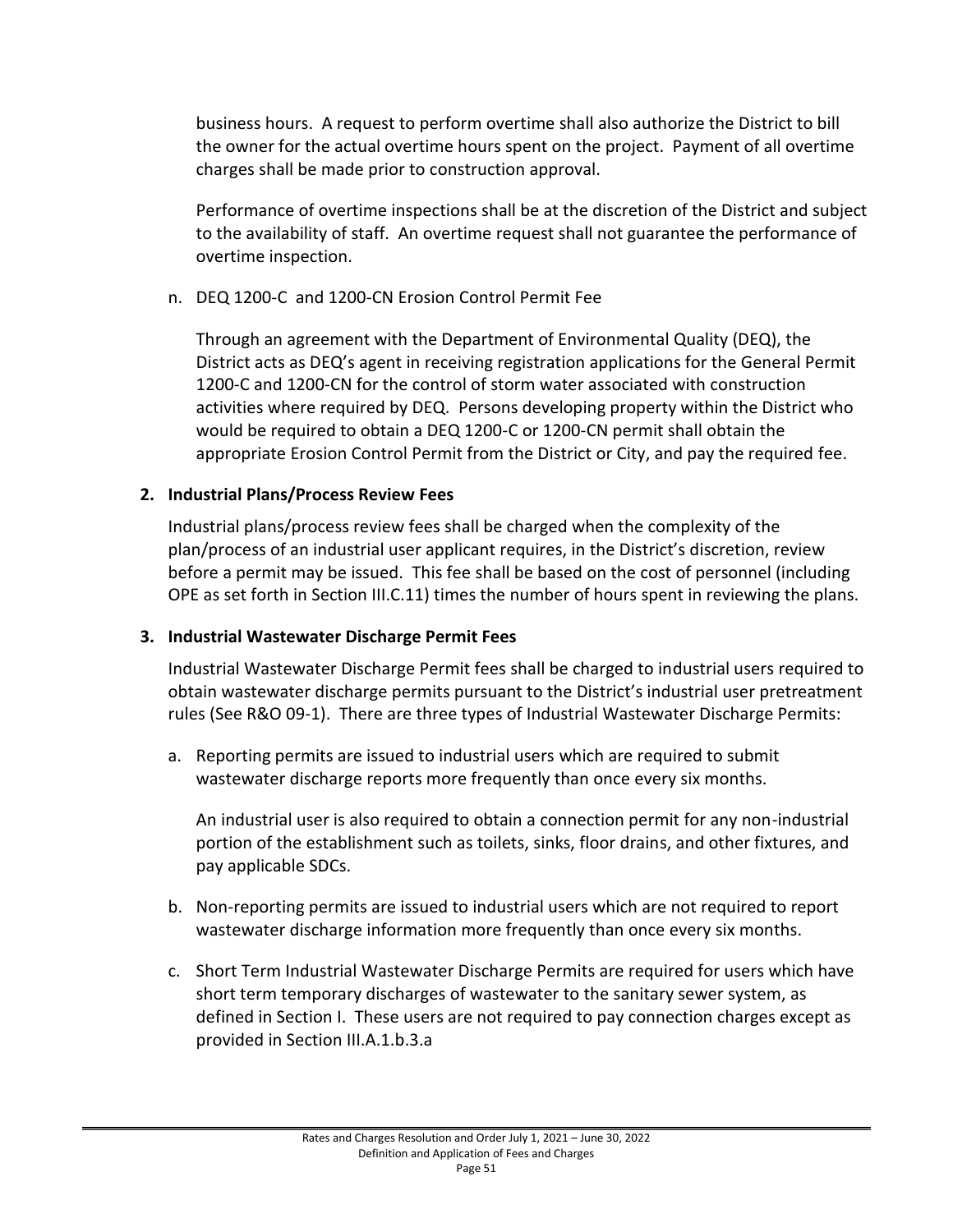business hours. A request to perform overtime shall also authorize the District to bill the owner for the actual overtime hours spent on the project. Payment of all overtime charges shall be made prior to construction approval.

Performance of overtime inspections shall be at the discretion of the District and subject to the availability of staff. An overtime request shall not guarantee the performance of overtime inspection.

## n. DEQ 1200-C and 1200-CN Erosion Control Permit Fee

Through an agreement with the Department of Environmental Quality (DEQ), the District acts as DEQ's agent in receiving registration applications for the General Permit 1200-C and 1200-CN for the control of storm water associated with construction activities where required by DEQ. Persons developing property within the District who would be required to obtain a DEQ 1200-C or 1200-CN permit shall obtain the appropriate Erosion Control Permit from the District or City, and pay the required fee.

## **2. Industrial Plans/Process Review Fees**

Industrial plans/process review fees shall be charged when the complexity of the plan/process of an industrial user applicant requires, in the District's discretion, review before a permit may be issued. This fee shall be based on the cost of personnel (including OPE as set forth in Section III.C.11) times the number of hours spent in reviewing the plans.

#### **3. Industrial Wastewater Discharge Permit Fees**

Industrial Wastewater Discharge Permit fees shall be charged to industrial users required to obtain wastewater discharge permits pursuant to the District's industrial user pretreatment rules (See R&O 09-1). There are three types of Industrial Wastewater Discharge Permits:

a. Reporting permits are issued to industrial users which are required to submit wastewater discharge reports more frequently than once every six months.

An industrial user is also required to obtain a connection permit for any non-industrial portion of the establishment such as toilets, sinks, floor drains, and other fixtures, and pay applicable SDCs.

- b. Non-reporting permits are issued to industrial users which are not required to report wastewater discharge information more frequently than once every six months.
- c. Short Term Industrial Wastewater Discharge Permits are required for users which have short term temporary discharges of wastewater to the sanitary sewer system, as defined in Section I. These users are not required to pay connection charges except as provided in Section III.A.1.b.3.a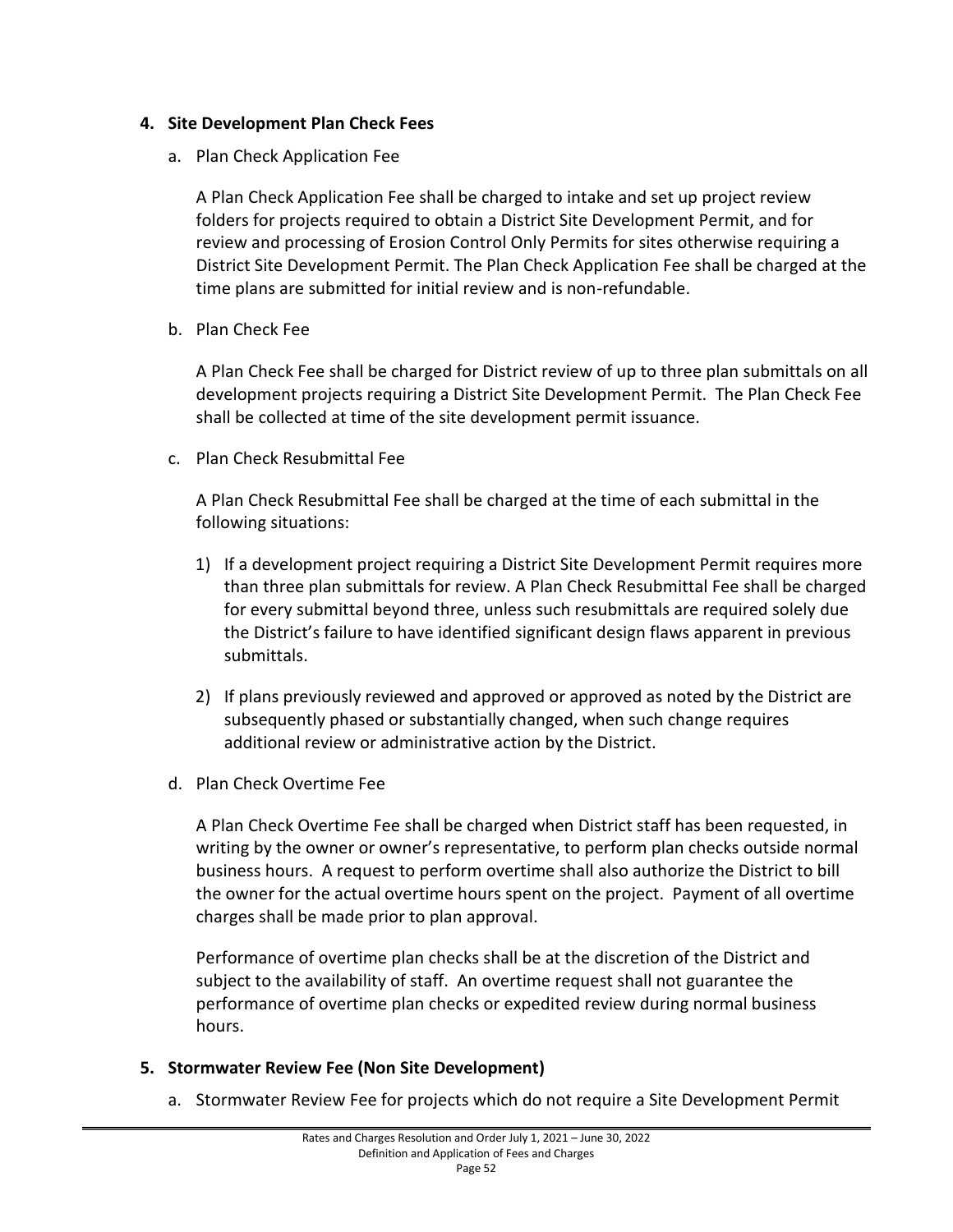#### **4. Site Development Plan Check Fees**

a. Plan Check Application Fee

A Plan Check Application Fee shall be charged to intake and set up project review folders for projects required to obtain a District Site Development Permit, and for review and processing of Erosion Control Only Permits for sites otherwise requiring a District Site Development Permit. The Plan Check Application Fee shall be charged at the time plans are submitted for initial review and is non-refundable.

b. Plan Check Fee

A Plan Check Fee shall be charged for District review of up to three plan submittals on all development projects requiring a District Site Development Permit. The Plan Check Fee shall be collected at time of the site development permit issuance.

c. Plan Check Resubmittal Fee

A Plan Check Resubmittal Fee shall be charged at the time of each submittal in the following situations:

- 1) If a development project requiring a District Site Development Permit requires more than three plan submittals for review. A Plan Check Resubmittal Fee shall be charged for every submittal beyond three, unless such resubmittals are required solely due the District's failure to have identified significant design flaws apparent in previous submittals.
- 2) If plans previously reviewed and approved or approved as noted by the District are subsequently phased or substantially changed, when such change requires additional review or administrative action by the District.
- d. Plan Check Overtime Fee

A Plan Check Overtime Fee shall be charged when District staff has been requested, in writing by the owner or owner's representative, to perform plan checks outside normal business hours. A request to perform overtime shall also authorize the District to bill the owner for the actual overtime hours spent on the project. Payment of all overtime charges shall be made prior to plan approval.

Performance of overtime plan checks shall be at the discretion of the District and subject to the availability of staff. An overtime request shall not guarantee the performance of overtime plan checks or expedited review during normal business hours.

#### **5. Stormwater Review Fee (Non Site Development)**

a. Stormwater Review Fee for projects which do not require a Site Development Permit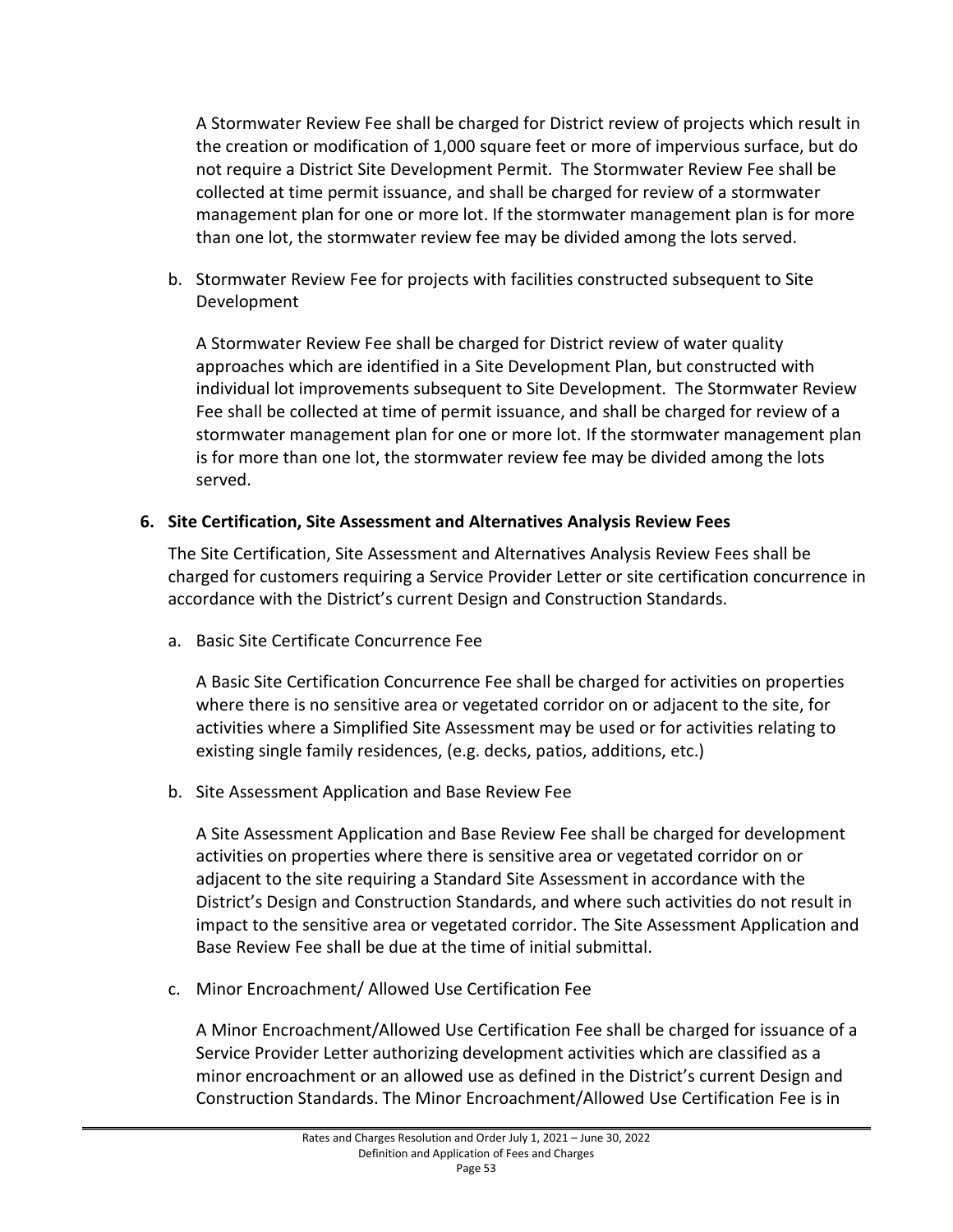A Stormwater Review Fee shall be charged for District review of projects which result in the creation or modification of 1,000 square feet or more of impervious surface, but do not require a District Site Development Permit. The Stormwater Review Fee shall be collected at time permit issuance, and shall be charged for review of a stormwater management plan for one or more lot. If the stormwater management plan is for more than one lot, the stormwater review fee may be divided among the lots served.

b. Stormwater Review Fee for projects with facilities constructed subsequent to Site Development

A Stormwater Review Fee shall be charged for District review of water quality approaches which are identified in a Site Development Plan, but constructed with individual lot improvements subsequent to Site Development. The Stormwater Review Fee shall be collected at time of permit issuance, and shall be charged for review of a stormwater management plan for one or more lot. If the stormwater management plan is for more than one lot, the stormwater review fee may be divided among the lots served.

## **6. Site Certification, Site Assessment and Alternatives Analysis Review Fees**

The Site Certification, Site Assessment and Alternatives Analysis Review Fees shall be charged for customers requiring a Service Provider Letter or site certification concurrence in accordance with the District's current Design and Construction Standards.

a. Basic Site Certificate Concurrence Fee

A Basic Site Certification Concurrence Fee shall be charged for activities on properties where there is no sensitive area or vegetated corridor on or adjacent to the site, for activities where a Simplified Site Assessment may be used or for activities relating to existing single family residences, (e.g. decks, patios, additions, etc.)

b. Site Assessment Application and Base Review Fee

A Site Assessment Application and Base Review Fee shall be charged for development activities on properties where there is sensitive area or vegetated corridor on or adjacent to the site requiring a Standard Site Assessment in accordance with the District's Design and Construction Standards, and where such activities do not result in impact to the sensitive area or vegetated corridor. The Site Assessment Application and Base Review Fee shall be due at the time of initial submittal.

c. Minor Encroachment/ Allowed Use Certification Fee

A Minor Encroachment/Allowed Use Certification Fee shall be charged for issuance of a Service Provider Letter authorizing development activities which are classified as a minor encroachment or an allowed use as defined in the District's current Design and Construction Standards. The Minor Encroachment/Allowed Use Certification Fee is in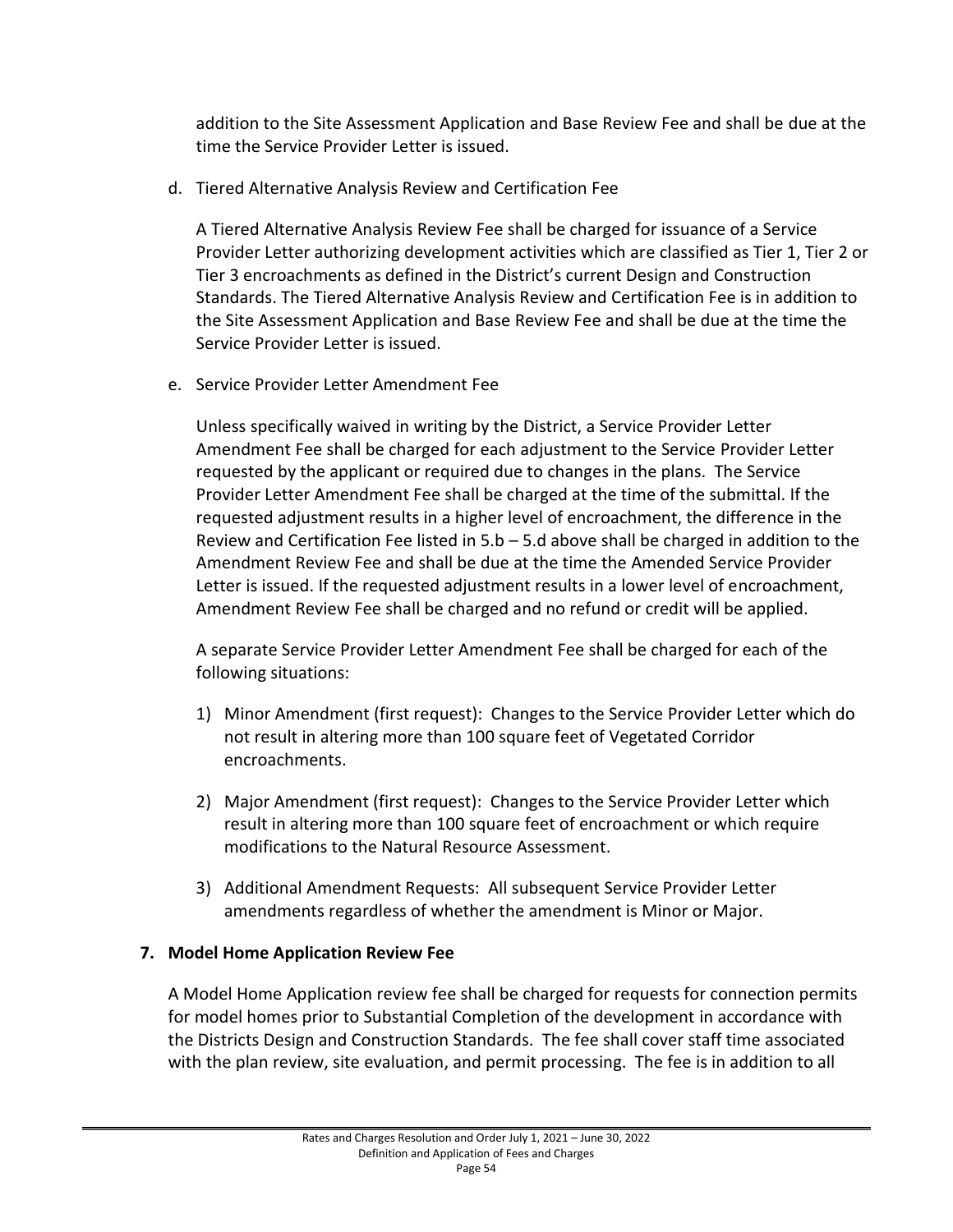addition to the Site Assessment Application and Base Review Fee and shall be due at the time the Service Provider Letter is issued.

d. Tiered Alternative Analysis Review and Certification Fee

A Tiered Alternative Analysis Review Fee shall be charged for issuance of a Service Provider Letter authorizing development activities which are classified as Tier 1, Tier 2 or Tier 3 encroachments as defined in the District's current Design and Construction Standards. The Tiered Alternative Analysis Review and Certification Fee is in addition to the Site Assessment Application and Base Review Fee and shall be due at the time the Service Provider Letter is issued.

e. Service Provider Letter Amendment Fee

Unless specifically waived in writing by the District, a Service Provider Letter Amendment Fee shall be charged for each adjustment to the Service Provider Letter requested by the applicant or required due to changes in the plans. The Service Provider Letter Amendment Fee shall be charged at the time of the submittal. If the requested adjustment results in a higher level of encroachment, the difference in the Review and Certification Fee listed in  $5.b - 5.d$  above shall be charged in addition to the Amendment Review Fee and shall be due at the time the Amended Service Provider Letter is issued. If the requested adjustment results in a lower level of encroachment, Amendment Review Fee shall be charged and no refund or credit will be applied.

A separate Service Provider Letter Amendment Fee shall be charged for each of the following situations:

- 1) Minor Amendment (first request): Changes to the Service Provider Letter which do not result in altering more than 100 square feet of Vegetated Corridor encroachments.
- 2) Major Amendment (first request): Changes to the Service Provider Letter which result in altering more than 100 square feet of encroachment or which require modifications to the Natural Resource Assessment.
- 3) Additional Amendment Requests: All subsequent Service Provider Letter amendments regardless of whether the amendment is Minor or Major.

# **7. Model Home Application Review Fee**

A Model Home Application review fee shall be charged for requests for connection permits for model homes prior to Substantial Completion of the development in accordance with the Districts Design and Construction Standards. The fee shall cover staff time associated with the plan review, site evaluation, and permit processing. The fee is in addition to all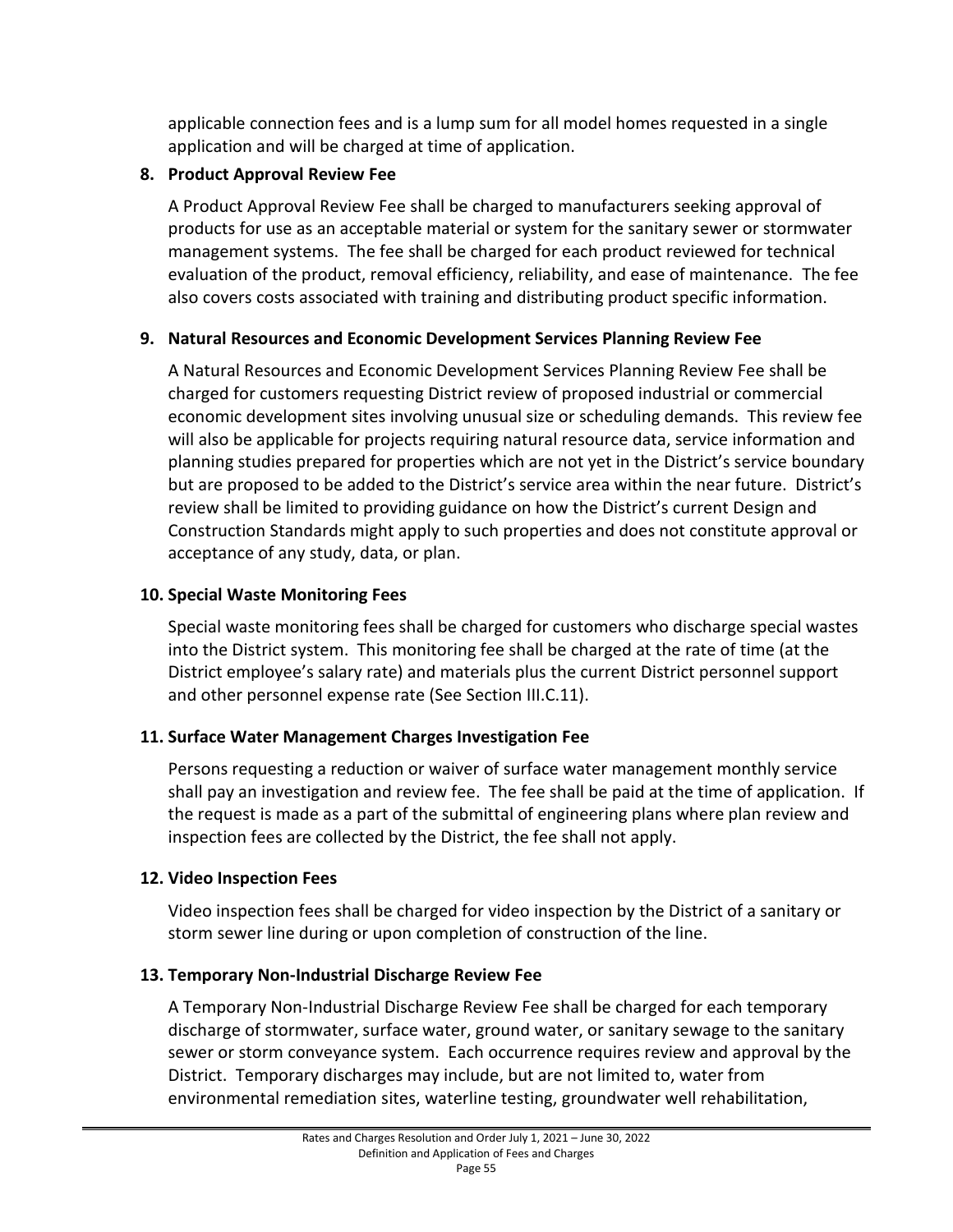applicable connection fees and is a lump sum for all model homes requested in a single application and will be charged at time of application.

## **8. Product Approval Review Fee**

A Product Approval Review Fee shall be charged to manufacturers seeking approval of products for use as an acceptable material or system for the sanitary sewer or stormwater management systems. The fee shall be charged for each product reviewed for technical evaluation of the product, removal efficiency, reliability, and ease of maintenance. The fee also covers costs associated with training and distributing product specific information.

## **9. Natural Resources and Economic Development Services Planning Review Fee**

A Natural Resources and Economic Development Services Planning Review Fee shall be charged for customers requesting District review of proposed industrial or commercial economic development sites involving unusual size or scheduling demands. This review fee will also be applicable for projects requiring natural resource data, service information and planning studies prepared for properties which are not yet in the District's service boundary but are proposed to be added to the District's service area within the near future. District's review shall be limited to providing guidance on how the District's current Design and Construction Standards might apply to such properties and does not constitute approval or acceptance of any study, data, or plan.

## **10. Special Waste Monitoring Fees**

Special waste monitoring fees shall be charged for customers who discharge special wastes into the District system. This monitoring fee shall be charged at the rate of time (at the District employee's salary rate) and materials plus the current District personnel support and other personnel expense rate (See Section III.C.11).

# **11. Surface Water Management Charges Investigation Fee**

Persons requesting a reduction or waiver of surface water management monthly service shall pay an investigation and review fee. The fee shall be paid at the time of application. If the request is made as a part of the submittal of engineering plans where plan review and inspection fees are collected by the District, the fee shall not apply.

#### **12. Video Inspection Fees**

Video inspection fees shall be charged for video inspection by the District of a sanitary or storm sewer line during or upon completion of construction of the line.

# **13. Temporary Non-Industrial Discharge Review Fee**

A Temporary Non-Industrial Discharge Review Fee shall be charged for each temporary discharge of stormwater, surface water, ground water, or sanitary sewage to the sanitary sewer or storm conveyance system. Each occurrence requires review and approval by the District. Temporary discharges may include, but are not limited to, water from environmental remediation sites, waterline testing, groundwater well rehabilitation,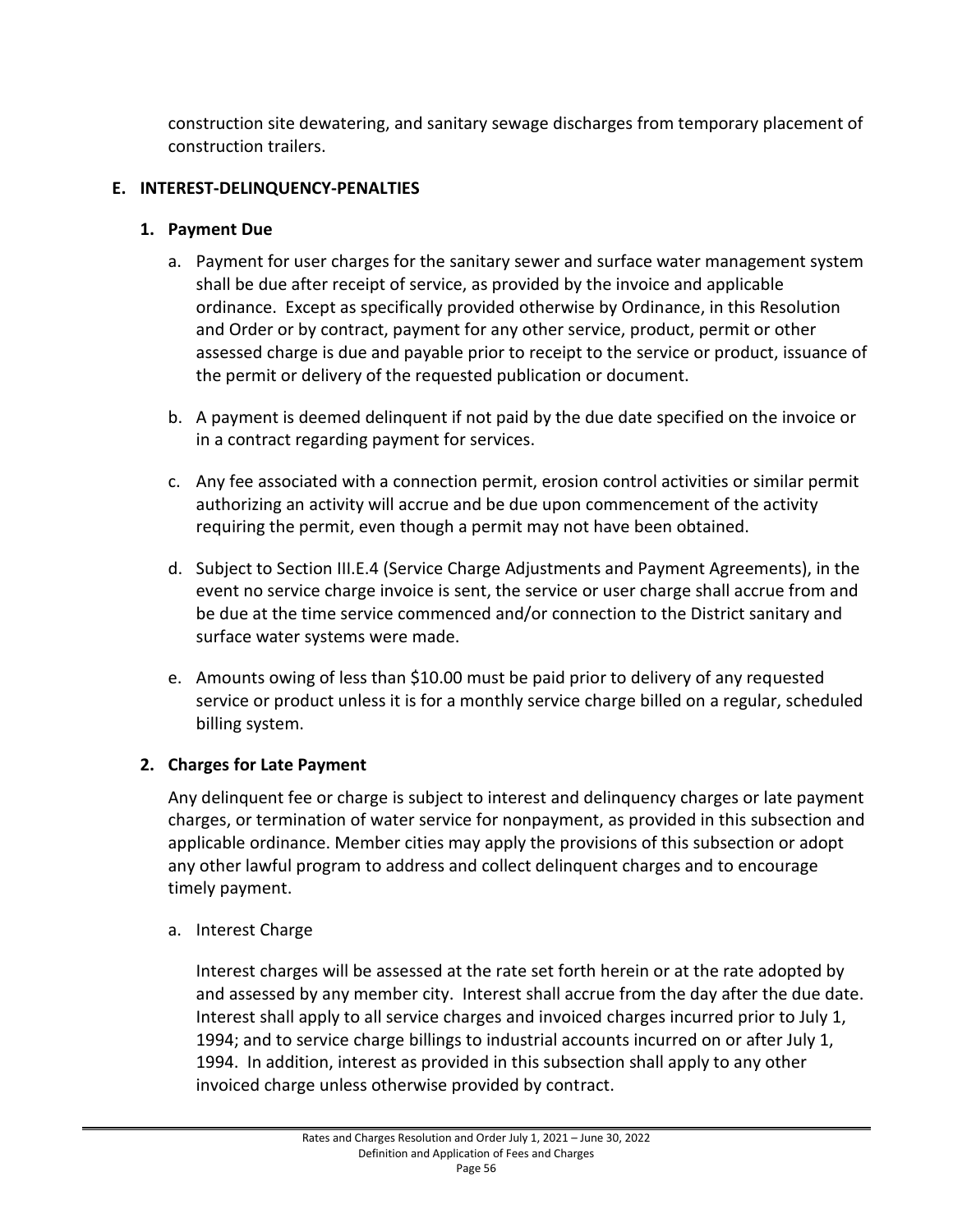construction site dewatering, and sanitary sewage discharges from temporary placement of construction trailers.

#### **E. INTEREST-DELINQUENCY-PENALTIES**

## **1. Payment Due**

- a. Payment for user charges for the sanitary sewer and surface water management system shall be due after receipt of service, as provided by the invoice and applicable ordinance. Except as specifically provided otherwise by Ordinance, in this Resolution and Order or by contract, payment for any other service, product, permit or other assessed charge is due and payable prior to receipt to the service or product, issuance of the permit or delivery of the requested publication or document.
- b. A payment is deemed delinquent if not paid by the due date specified on the invoice or in a contract regarding payment for services.
- c. Any fee associated with a connection permit, erosion control activities or similar permit authorizing an activity will accrue and be due upon commencement of the activity requiring the permit, even though a permit may not have been obtained.
- d. Subject to Section III.E.4 (Service Charge Adjustments and Payment Agreements), in the event no service charge invoice is sent, the service or user charge shall accrue from and be due at the time service commenced and/or connection to the District sanitary and surface water systems were made.
- e. Amounts owing of less than \$10.00 must be paid prior to delivery of any requested service or product unless it is for a monthly service charge billed on a regular, scheduled billing system.

# **2. Charges for Late Payment**

Any delinquent fee or charge is subject to interest and delinquency charges or late payment charges, or termination of water service for nonpayment, as provided in this subsection and applicable ordinance. Member cities may apply the provisions of this subsection or adopt any other lawful program to address and collect delinquent charges and to encourage timely payment.

a. Interest Charge

Interest charges will be assessed at the rate set forth herein or at the rate adopted by and assessed by any member city. Interest shall accrue from the day after the due date. Interest shall apply to all service charges and invoiced charges incurred prior to July 1, 1994; and to service charge billings to industrial accounts incurred on or after July 1, 1994. In addition, interest as provided in this subsection shall apply to any other invoiced charge unless otherwise provided by contract.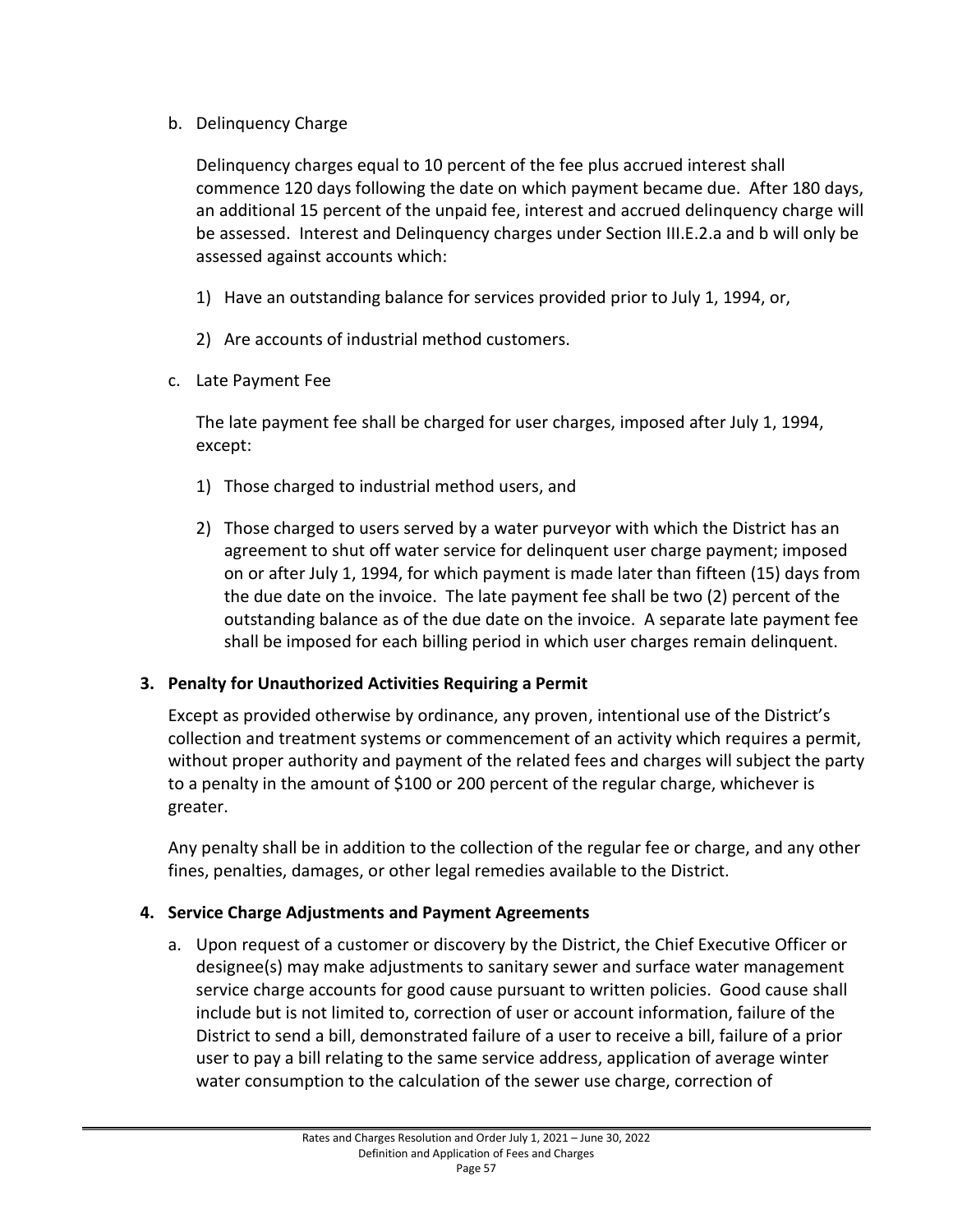b. Delinquency Charge

Delinquency charges equal to 10 percent of the fee plus accrued interest shall commence 120 days following the date on which payment became due. After 180 days, an additional 15 percent of the unpaid fee, interest and accrued delinquency charge will be assessed. Interest and Delinquency charges under Section III.E.2.a and b will only be assessed against accounts which:

- 1) Have an outstanding balance for services provided prior to July 1, 1994, or,
- 2) Are accounts of industrial method customers.
- c. Late Payment Fee

The late payment fee shall be charged for user charges, imposed after July 1, 1994, except:

- 1) Those charged to industrial method users, and
- 2) Those charged to users served by a water purveyor with which the District has an agreement to shut off water service for delinquent user charge payment; imposed on or after July 1, 1994, for which payment is made later than fifteen (15) days from the due date on the invoice. The late payment fee shall be two (2) percent of the outstanding balance as of the due date on the invoice. A separate late payment fee shall be imposed for each billing period in which user charges remain delinquent.

#### **3. Penalty for Unauthorized Activities Requiring a Permit**

Except as provided otherwise by ordinance, any proven, intentional use of the District's collection and treatment systems or commencement of an activity which requires a permit, without proper authority and payment of the related fees and charges will subject the party to a penalty in the amount of \$100 or 200 percent of the regular charge, whichever is greater.

Any penalty shall be in addition to the collection of the regular fee or charge, and any other fines, penalties, damages, or other legal remedies available to the District.

#### **4. Service Charge Adjustments and Payment Agreements**

a. Upon request of a customer or discovery by the District, the Chief Executive Officer or designee(s) may make adjustments to sanitary sewer and surface water management service charge accounts for good cause pursuant to written policies. Good cause shall include but is not limited to, correction of user or account information, failure of the District to send a bill, demonstrated failure of a user to receive a bill, failure of a prior user to pay a bill relating to the same service address, application of average winter water consumption to the calculation of the sewer use charge, correction of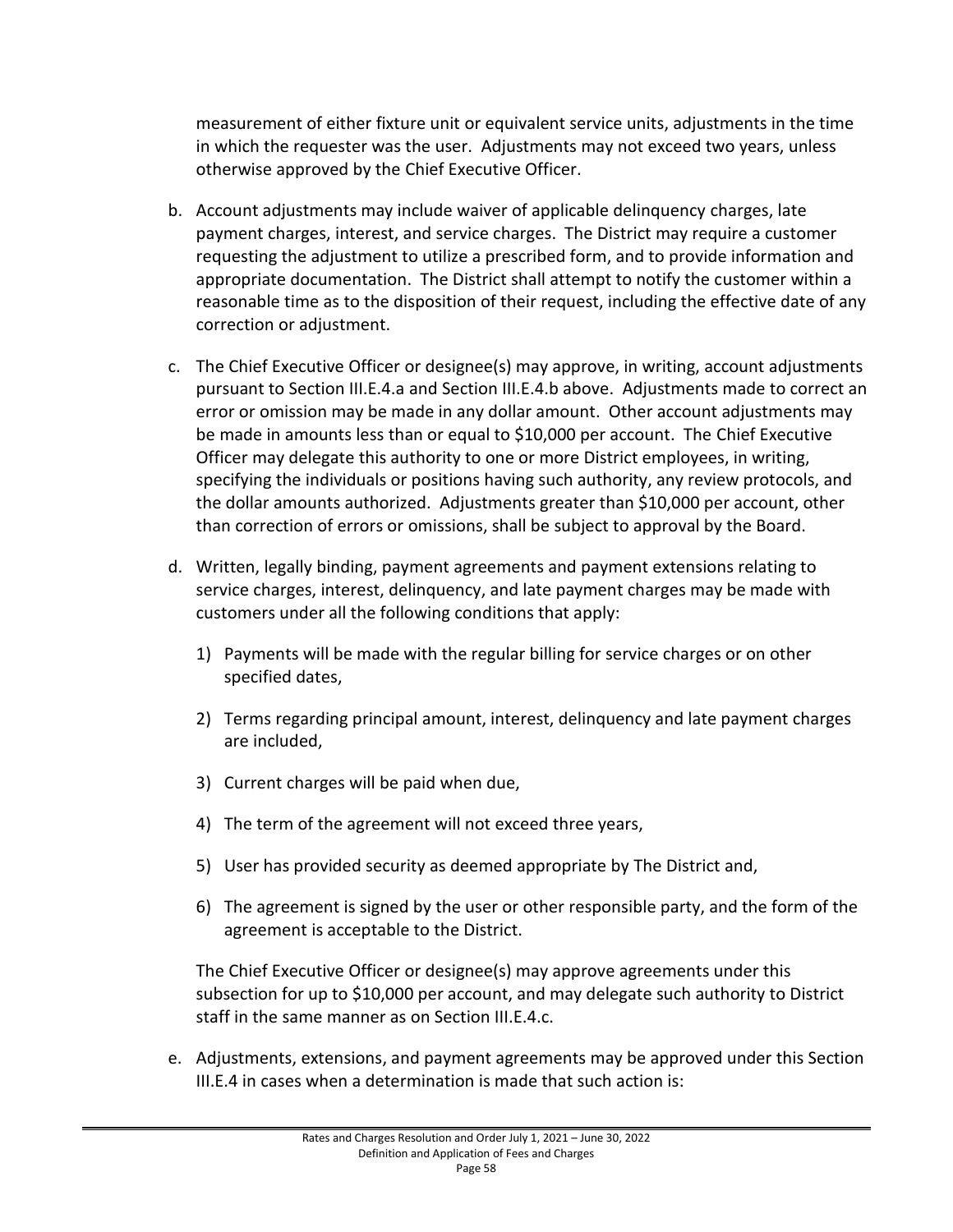measurement of either fixture unit or equivalent service units, adjustments in the time in which the requester was the user. Adjustments may not exceed two years, unless otherwise approved by the Chief Executive Officer.

- b. Account adjustments may include waiver of applicable delinquency charges, late payment charges, interest, and service charges. The District may require a customer requesting the adjustment to utilize a prescribed form, and to provide information and appropriate documentation. The District shall attempt to notify the customer within a reasonable time as to the disposition of their request, including the effective date of any correction or adjustment.
- c. The Chief Executive Officer or designee(s) may approve, in writing, account adjustments pursuant to Section III.E.4.a and Section III.E.4.b above. Adjustments made to correct an error or omission may be made in any dollar amount. Other account adjustments may be made in amounts less than or equal to \$10,000 per account. The Chief Executive Officer may delegate this authority to one or more District employees, in writing, specifying the individuals or positions having such authority, any review protocols, and the dollar amounts authorized. Adjustments greater than \$10,000 per account, other than correction of errors or omissions, shall be subject to approval by the Board.
- d. Written, legally binding, payment agreements and payment extensions relating to service charges, interest, delinquency, and late payment charges may be made with customers under all the following conditions that apply:
	- 1) Payments will be made with the regular billing for service charges or on other specified dates,
	- 2) Terms regarding principal amount, interest, delinquency and late payment charges are included,
	- 3) Current charges will be paid when due,
	- 4) The term of the agreement will not exceed three years,
	- 5) User has provided security as deemed appropriate by The District and,
	- 6) The agreement is signed by the user or other responsible party, and the form of the agreement is acceptable to the District.

The Chief Executive Officer or designee(s) may approve agreements under this subsection for up to \$10,000 per account, and may delegate such authority to District staff in the same manner as on Section III.E.4.c.

e. Adjustments, extensions, and payment agreements may be approved under this Section III.E.4 in cases when a determination is made that such action is: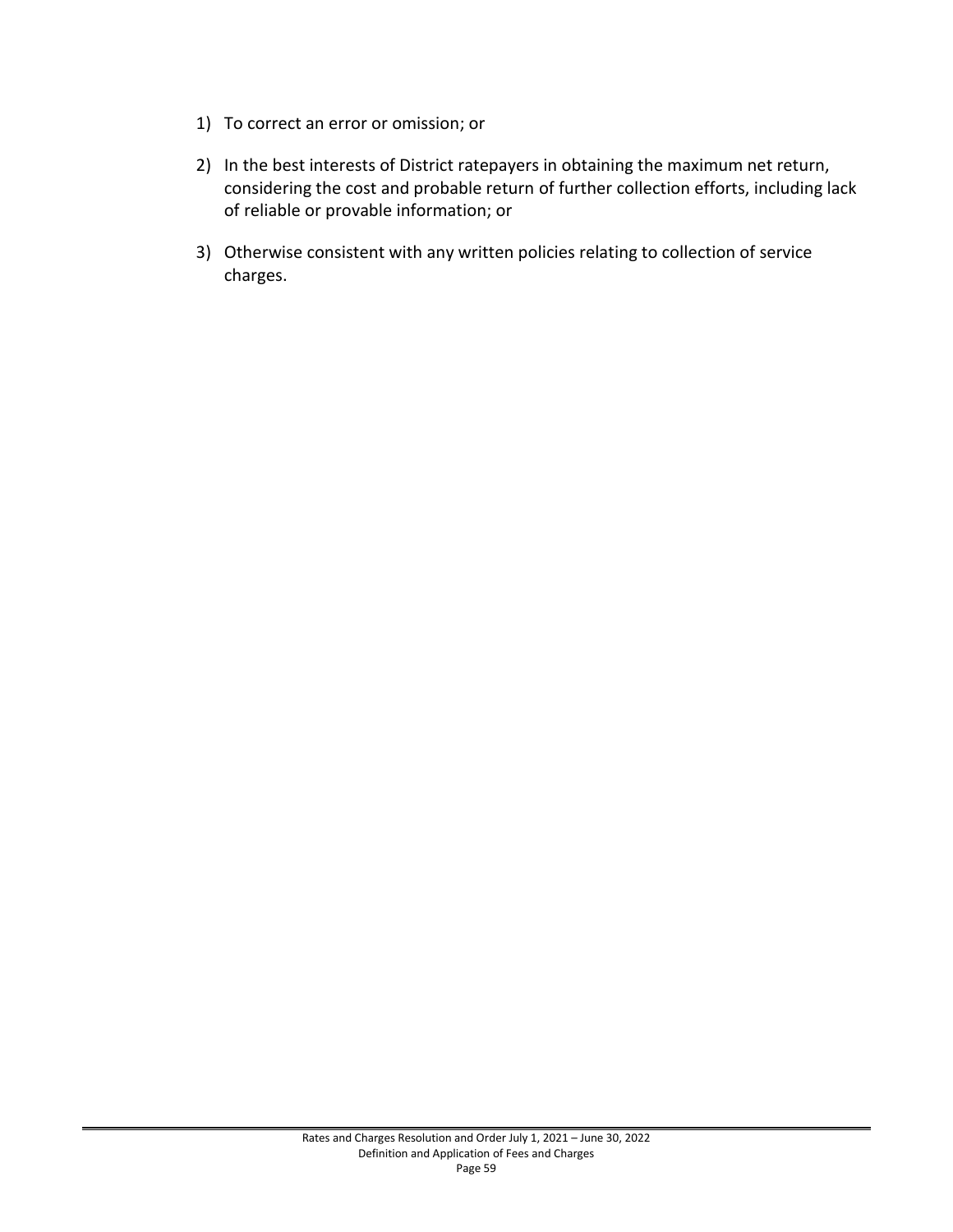- 1) To correct an error or omission; or
- 2) In the best interests of District ratepayers in obtaining the maximum net return, considering the cost and probable return of further collection efforts, including lack of reliable or provable information; or
- 3) Otherwise consistent with any written policies relating to collection of service charges.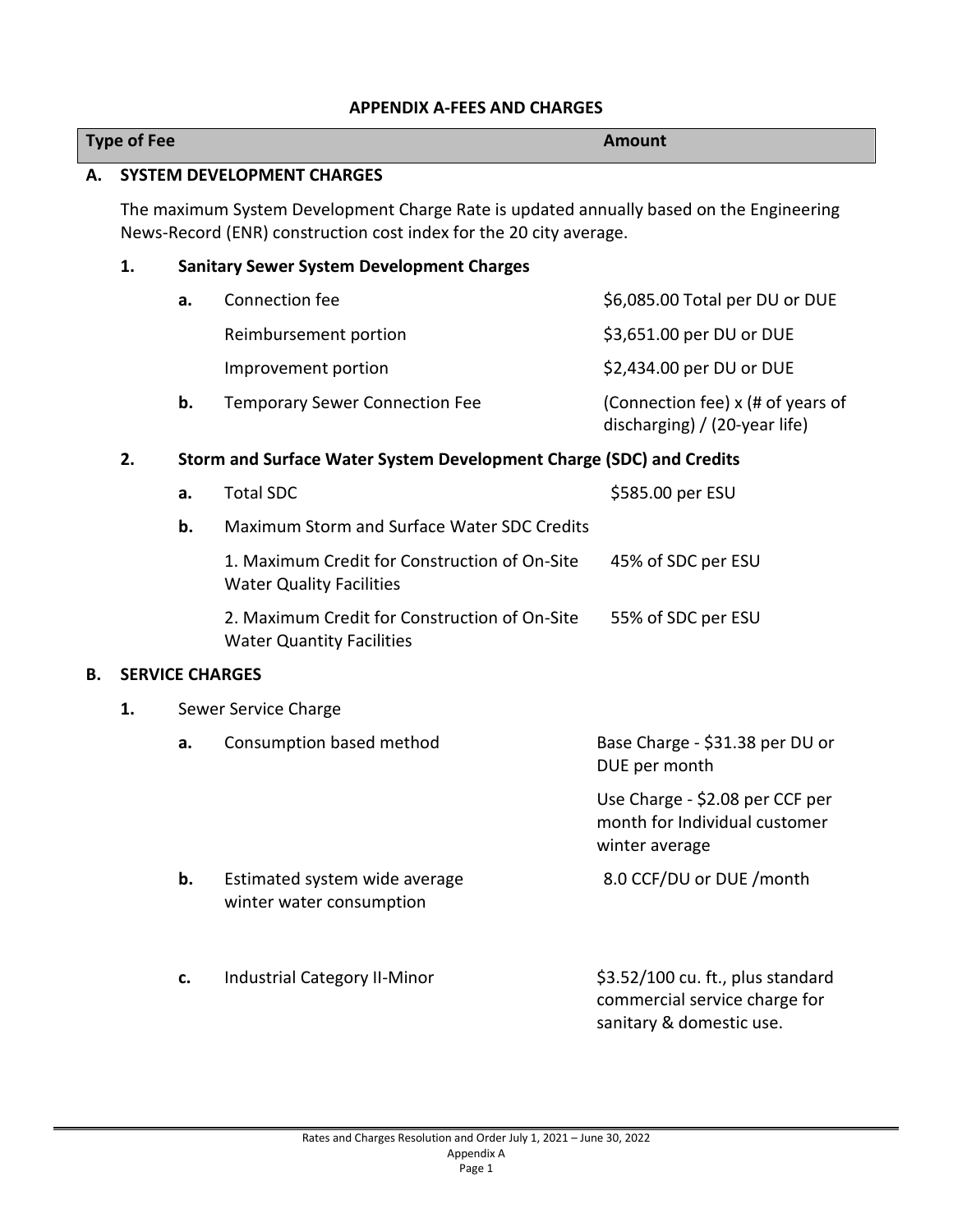#### **APPENDIX A-FEES AND CHARGES**

|    | <b>Type of Fee</b>                |    |                                                                                                                                                               | <b>Amount</b>                                                                                  |  |
|----|-----------------------------------|----|---------------------------------------------------------------------------------------------------------------------------------------------------------------|------------------------------------------------------------------------------------------------|--|
| Α. | <b>SYSTEM DEVELOPMENT CHARGES</b> |    |                                                                                                                                                               |                                                                                                |  |
|    |                                   |    | The maximum System Development Charge Rate is updated annually based on the Engineering<br>News-Record (ENR) construction cost index for the 20 city average. |                                                                                                |  |
|    | 1.                                |    | <b>Sanitary Sewer System Development Charges</b>                                                                                                              |                                                                                                |  |
|    |                                   | a. | Connection fee                                                                                                                                                | \$6,085.00 Total per DU or DUE                                                                 |  |
|    |                                   |    | Reimbursement portion                                                                                                                                         | \$3,651.00 per DU or DUE                                                                       |  |
|    |                                   |    | Improvement portion                                                                                                                                           | \$2,434.00 per DU or DUE                                                                       |  |
|    |                                   | b. | <b>Temporary Sewer Connection Fee</b>                                                                                                                         | (Connection fee) x (# of years of<br>discharging) / (20-year life)                             |  |
|    | 2.                                |    | Storm and Surface Water System Development Charge (SDC) and Credits                                                                                           |                                                                                                |  |
|    |                                   | a. | <b>Total SDC</b>                                                                                                                                              | \$585.00 per ESU                                                                               |  |
|    |                                   | b. | Maximum Storm and Surface Water SDC Credits                                                                                                                   |                                                                                                |  |
|    |                                   |    | 1. Maximum Credit for Construction of On-Site<br><b>Water Quality Facilities</b>                                                                              | 45% of SDC per ESU                                                                             |  |
|    |                                   |    | 2. Maximum Credit for Construction of On-Site<br><b>Water Quantity Facilities</b>                                                                             | 55% of SDC per ESU                                                                             |  |
| В. | <b>SERVICE CHARGES</b>            |    |                                                                                                                                                               |                                                                                                |  |
|    | 1.                                |    | Sewer Service Charge                                                                                                                                          |                                                                                                |  |
|    |                                   | a. | Consumption based method                                                                                                                                      | Base Charge - \$31.38 per DU or<br>DUE per month                                               |  |
|    |                                   |    |                                                                                                                                                               | Use Charge - \$2.08 per CCF per<br>month for Individual customer<br>winter average             |  |
|    |                                   | b. | Estimated system wide average<br>winter water consumption                                                                                                     | 8.0 CCF/DU or DUE / month                                                                      |  |
|    |                                   | c. | <b>Industrial Category II-Minor</b>                                                                                                                           | \$3.52/100 cu. ft., plus standard<br>commercial service charge for<br>sanitary & domestic use. |  |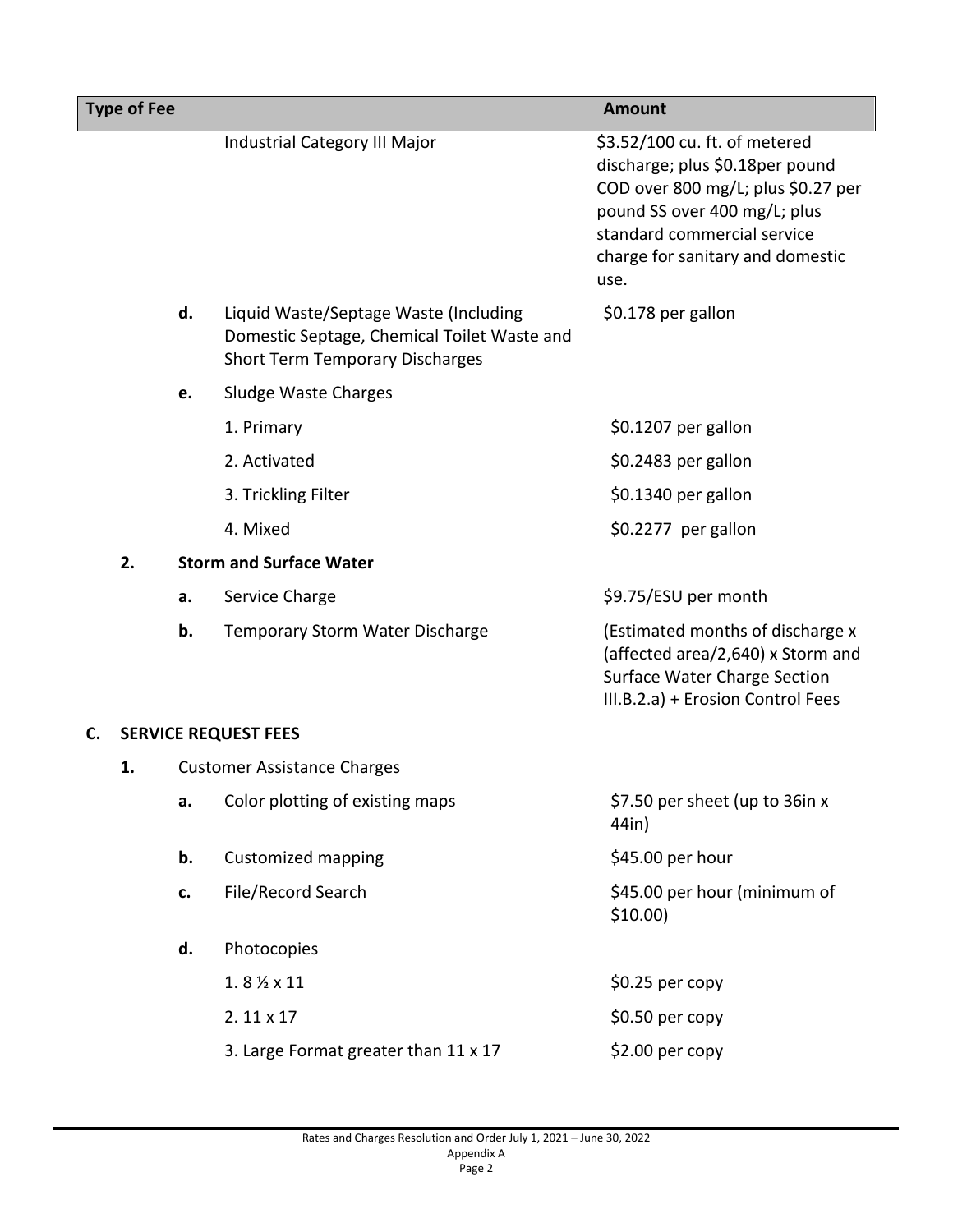|    | <b>Type of Fee</b> |    |                                                                                                                                | <b>Amount</b>                                                                                                                                                                                                     |
|----|--------------------|----|--------------------------------------------------------------------------------------------------------------------------------|-------------------------------------------------------------------------------------------------------------------------------------------------------------------------------------------------------------------|
|    |                    |    | Industrial Category III Major                                                                                                  | \$3.52/100 cu. ft. of metered<br>discharge; plus \$0.18per pound<br>COD over 800 mg/L; plus \$0.27 per<br>pound SS over 400 mg/L; plus<br>standard commercial service<br>charge for sanitary and domestic<br>use. |
|    |                    | d. | Liquid Waste/Septage Waste (Including<br>Domestic Septage, Chemical Toilet Waste and<br><b>Short Term Temporary Discharges</b> | \$0.178 per gallon                                                                                                                                                                                                |
|    |                    | e. | Sludge Waste Charges                                                                                                           |                                                                                                                                                                                                                   |
|    |                    |    | 1. Primary                                                                                                                     | \$0.1207 per gallon                                                                                                                                                                                               |
|    |                    |    | 2. Activated                                                                                                                   | \$0.2483 per gallon                                                                                                                                                                                               |
|    |                    |    | 3. Trickling Filter                                                                                                            | \$0.1340 per gallon                                                                                                                                                                                               |
|    |                    |    | 4. Mixed                                                                                                                       | \$0.2277 per gallon                                                                                                                                                                                               |
|    | 2.                 |    | <b>Storm and Surface Water</b>                                                                                                 |                                                                                                                                                                                                                   |
|    |                    | a. | Service Charge                                                                                                                 | \$9.75/ESU per month                                                                                                                                                                                              |
|    |                    | b. | <b>Temporary Storm Water Discharge</b>                                                                                         | (Estimated months of discharge x<br>(affected area/2,640) x Storm and<br><b>Surface Water Charge Section</b><br>III.B.2.a) + Erosion Control Fees                                                                 |
| C. |                    |    | <b>SERVICE REQUEST FEES</b>                                                                                                    |                                                                                                                                                                                                                   |
|    | 1.                 |    | <b>Customer Assistance Charges</b>                                                                                             |                                                                                                                                                                                                                   |
|    |                    | a. | Color plotting of existing maps                                                                                                | \$7.50 per sheet (up to 36in x<br>44in)                                                                                                                                                                           |
|    |                    | b. | <b>Customized mapping</b>                                                                                                      | \$45.00 per hour                                                                                                                                                                                                  |
|    |                    | c. | File/Record Search                                                                                                             | \$45.00 per hour (minimum of<br>$$10.00$ )                                                                                                                                                                        |
|    |                    | d. | Photocopies                                                                                                                    |                                                                                                                                                                                                                   |
|    |                    |    | $1.8\% \times 11$                                                                                                              | \$0.25 per copy                                                                                                                                                                                                   |
|    |                    |    | $2.11 \times 17$                                                                                                               | $$0.50$ per copy                                                                                                                                                                                                  |
|    |                    |    | 3. Large Format greater than 11 x 17                                                                                           | \$2.00 per copy                                                                                                                                                                                                   |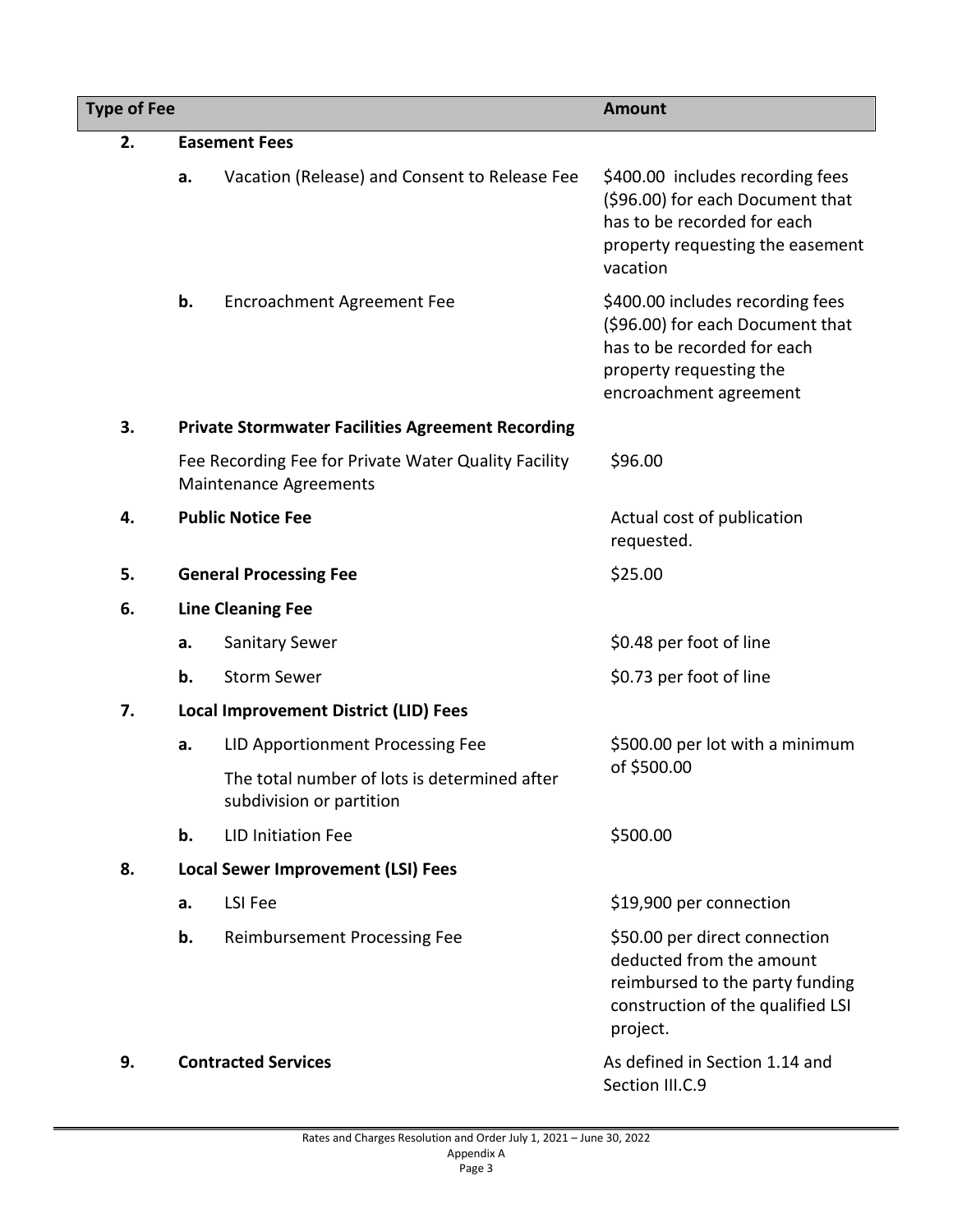| <b>Type of Fee</b> |                                              |                                                                                       | <b>Amount</b>                                                                                                                                            |  |  |
|--------------------|----------------------------------------------|---------------------------------------------------------------------------------------|----------------------------------------------------------------------------------------------------------------------------------------------------------|--|--|
| 2.                 |                                              | <b>Easement Fees</b>                                                                  |                                                                                                                                                          |  |  |
|                    | a.                                           | Vacation (Release) and Consent to Release Fee                                         | \$400.00 includes recording fees<br>(\$96.00) for each Document that<br>has to be recorded for each<br>property requesting the easement<br>vacation      |  |  |
|                    | b.                                           | <b>Encroachment Agreement Fee</b>                                                     | \$400.00 includes recording fees<br>(\$96.00) for each Document that<br>has to be recorded for each<br>property requesting the<br>encroachment agreement |  |  |
| 3.                 |                                              | <b>Private Stormwater Facilities Agreement Recording</b>                              |                                                                                                                                                          |  |  |
|                    |                                              | Fee Recording Fee for Private Water Quality Facility<br><b>Maintenance Agreements</b> | \$96.00                                                                                                                                                  |  |  |
| 4.                 |                                              | <b>Public Notice Fee</b>                                                              | Actual cost of publication<br>requested.                                                                                                                 |  |  |
| 5.                 |                                              | <b>General Processing Fee</b>                                                         | \$25.00                                                                                                                                                  |  |  |
| 6.                 |                                              | <b>Line Cleaning Fee</b>                                                              |                                                                                                                                                          |  |  |
|                    | a.                                           | <b>Sanitary Sewer</b>                                                                 | \$0.48 per foot of line                                                                                                                                  |  |  |
|                    | b.                                           | <b>Storm Sewer</b>                                                                    | \$0.73 per foot of line                                                                                                                                  |  |  |
| 7.                 | <b>Local Improvement District (LID) Fees</b> |                                                                                       |                                                                                                                                                          |  |  |
|                    | a.                                           | LID Apportionment Processing Fee                                                      | \$500.00 per lot with a minimum                                                                                                                          |  |  |
|                    |                                              | The total number of lots is determined after<br>subdivision or partition              | of \$500.00                                                                                                                                              |  |  |
|                    | b.                                           | <b>LID Initiation Fee</b>                                                             | \$500.00                                                                                                                                                 |  |  |
| 8.                 |                                              | <b>Local Sewer Improvement (LSI) Fees</b>                                             |                                                                                                                                                          |  |  |
|                    | a.                                           | LSI Fee                                                                               | \$19,900 per connection                                                                                                                                  |  |  |
|                    | b.                                           | <b>Reimbursement Processing Fee</b>                                                   | \$50.00 per direct connection<br>deducted from the amount<br>reimbursed to the party funding<br>construction of the qualified LSI<br>project.            |  |  |
| 9.                 |                                              | <b>Contracted Services</b>                                                            | As defined in Section 1.14 and<br>Section III.C.9                                                                                                        |  |  |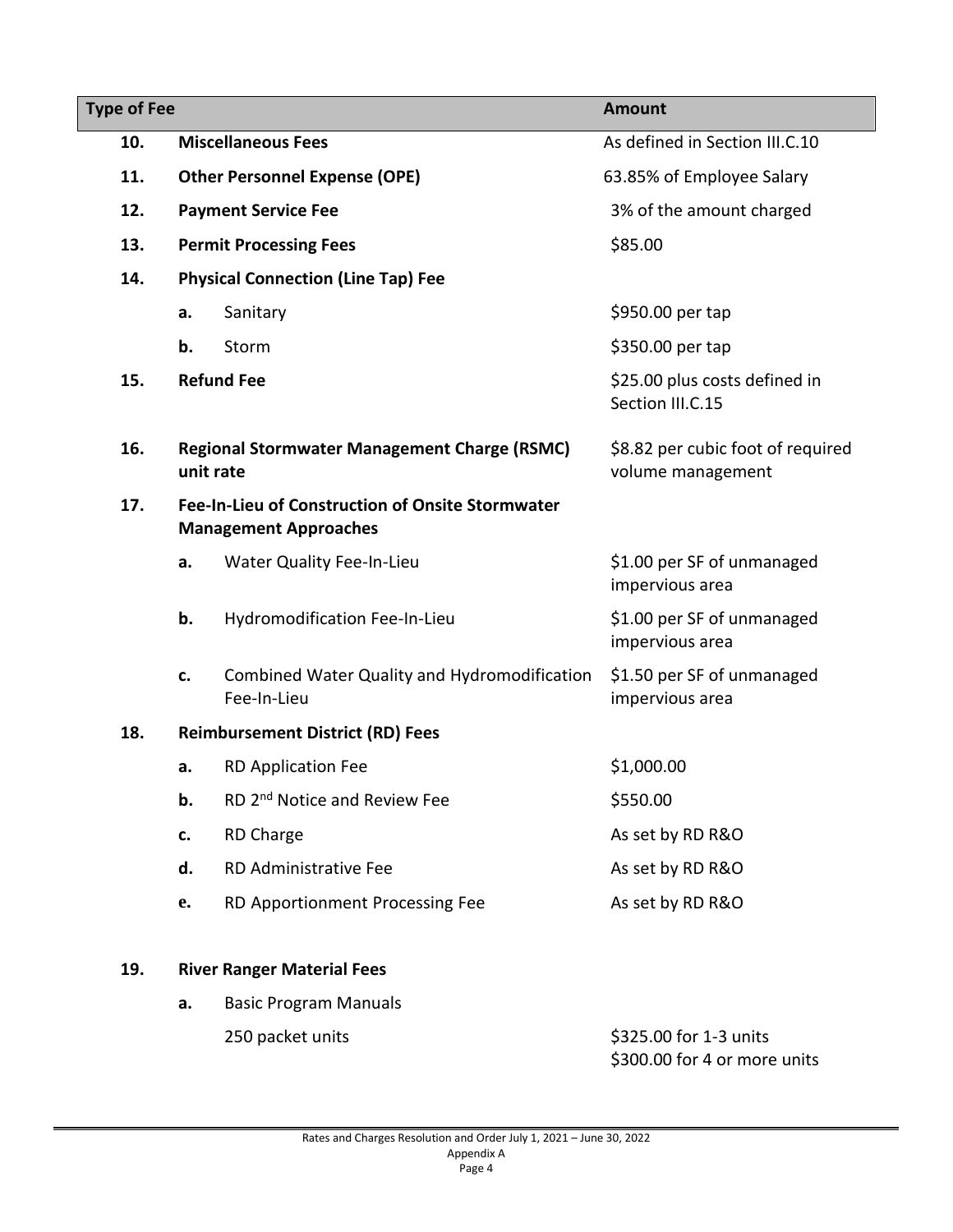| <b>Type of Fee</b> |                                                                                  | <b>Amount</b>                                               |                                                        |
|--------------------|----------------------------------------------------------------------------------|-------------------------------------------------------------|--------------------------------------------------------|
| 10.                |                                                                                  | <b>Miscellaneous Fees</b>                                   | As defined in Section III.C.10                         |
| 11.                |                                                                                  | <b>Other Personnel Expense (OPE)</b>                        | 63.85% of Employee Salary                              |
| 12.                |                                                                                  | <b>Payment Service Fee</b>                                  | 3% of the amount charged                               |
| 13.                |                                                                                  | <b>Permit Processing Fees</b>                               | \$85.00                                                |
| 14.                |                                                                                  | <b>Physical Connection (Line Tap) Fee</b>                   |                                                        |
|                    | a.                                                                               | Sanitary                                                    | \$950.00 per tap                                       |
|                    | b.                                                                               | Storm                                                       | \$350.00 per tap                                       |
| 15.                |                                                                                  | <b>Refund Fee</b>                                           | \$25.00 plus costs defined in<br>Section III.C.15      |
| 16.                | unit rate                                                                        | <b>Regional Stormwater Management Charge (RSMC)</b>         | \$8.82 per cubic foot of required<br>volume management |
| 17.                | Fee-In-Lieu of Construction of Onsite Stormwater<br><b>Management Approaches</b> |                                                             |                                                        |
|                    | a.                                                                               | <b>Water Quality Fee-In-Lieu</b>                            | \$1.00 per SF of unmanaged<br>impervious area          |
|                    | b.                                                                               | Hydromodification Fee-In-Lieu                               | \$1.00 per SF of unmanaged<br>impervious area          |
|                    | c.                                                                               | Combined Water Quality and Hydromodification<br>Fee-In-Lieu | \$1.50 per SF of unmanaged<br>impervious area          |
| 18.                |                                                                                  | <b>Reimbursement District (RD) Fees</b>                     |                                                        |
|                    | a.                                                                               | <b>RD Application Fee</b>                                   | \$1,000.00                                             |
|                    | b.                                                                               | RD 2 <sup>nd</sup> Notice and Review Fee                    | \$550.00                                               |
|                    | c.                                                                               | <b>RD Charge</b>                                            | As set by RD R&O                                       |
|                    | d.                                                                               | RD Administrative Fee                                       | As set by RD R&O                                       |
|                    | e.                                                                               | RD Apportionment Processing Fee                             | As set by RD R&O                                       |
| 19.                |                                                                                  | <b>River Ranger Material Fees</b>                           |                                                        |

**a.** Basic Program Manuals 250 packet units **\$325.00 for 1-3 units** \$300.00 for 4 or more units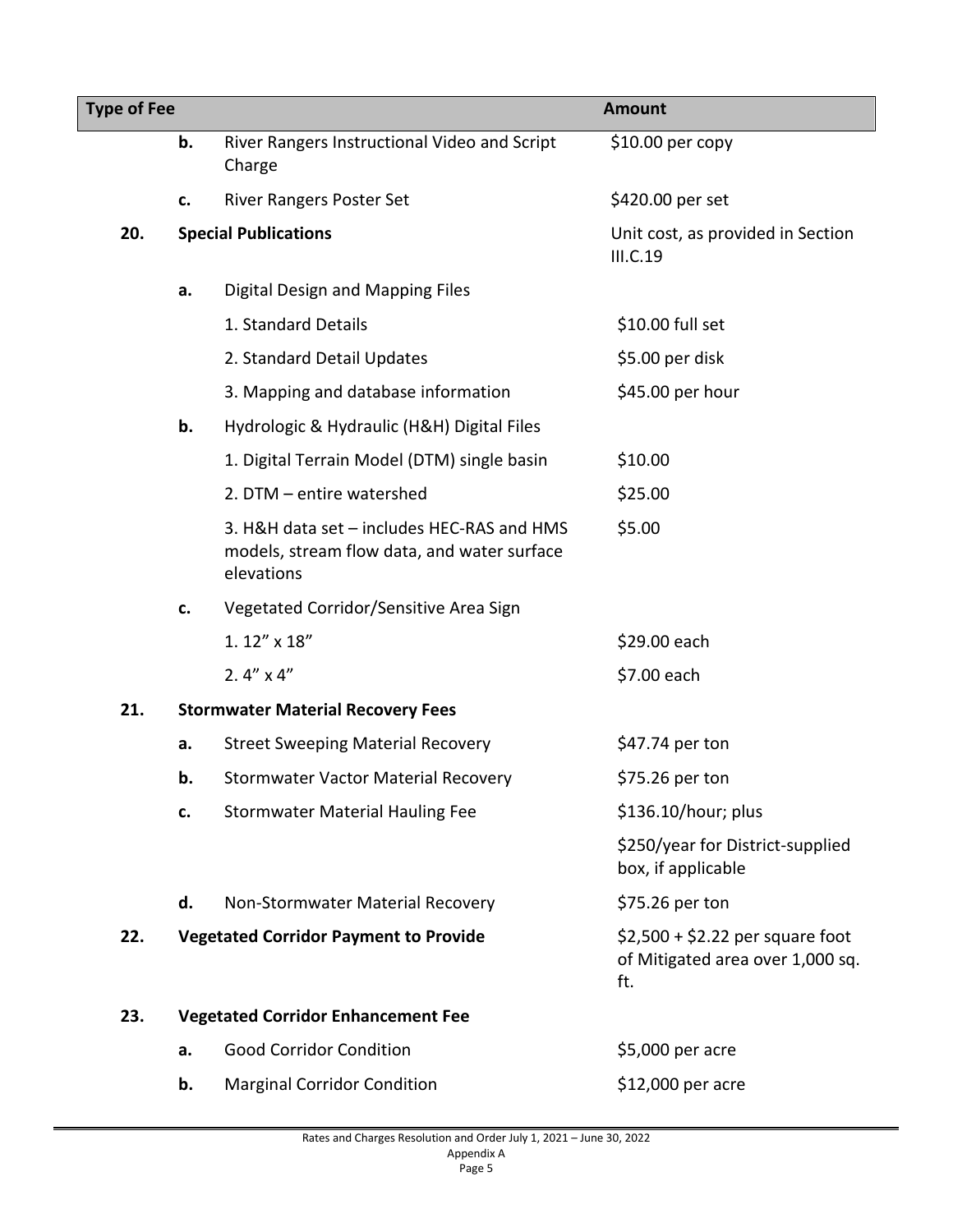| <b>Type of Fee</b> |    |                                                                                                         | <b>Amount</b>                                                               |  |
|--------------------|----|---------------------------------------------------------------------------------------------------------|-----------------------------------------------------------------------------|--|
|                    | b. | River Rangers Instructional Video and Script<br>Charge                                                  | $$10.00$ per copy                                                           |  |
|                    | c. | <b>River Rangers Poster Set</b>                                                                         | \$420.00 per set                                                            |  |
| 20.                |    | <b>Special Publications</b>                                                                             | Unit cost, as provided in Section<br>III.C.19                               |  |
|                    | а. | Digital Design and Mapping Files                                                                        |                                                                             |  |
|                    |    | 1. Standard Details                                                                                     | \$10.00 full set                                                            |  |
|                    |    | 2. Standard Detail Updates                                                                              | \$5.00 per disk                                                             |  |
|                    |    | 3. Mapping and database information                                                                     | \$45.00 per hour                                                            |  |
|                    | b. | Hydrologic & Hydraulic (H&H) Digital Files                                                              |                                                                             |  |
|                    |    | 1. Digital Terrain Model (DTM) single basin                                                             | \$10.00                                                                     |  |
|                    |    | 2. DTM - entire watershed                                                                               | \$25.00                                                                     |  |
|                    |    | 3. H&H data set - includes HEC-RAS and HMS<br>models, stream flow data, and water surface<br>elevations | \$5.00                                                                      |  |
|                    | c. | Vegetated Corridor/Sensitive Area Sign                                                                  |                                                                             |  |
|                    |    | 1.12" x 18"                                                                                             | \$29.00 each                                                                |  |
|                    |    | 2. $4'' \times 4''$                                                                                     | \$7.00 each                                                                 |  |
| 21.                |    | <b>Stormwater Material Recovery Fees</b>                                                                |                                                                             |  |
|                    | a. | <b>Street Sweeping Material Recovery</b>                                                                | \$47.74 per ton                                                             |  |
|                    | b. | <b>Stormwater Vactor Material Recovery</b>                                                              | \$75.26 per ton                                                             |  |
|                    | c. | <b>Stormwater Material Hauling Fee</b>                                                                  | \$136.10/hour; plus                                                         |  |
|                    |    |                                                                                                         | \$250/year for District-supplied<br>box, if applicable                      |  |
|                    | d. | Non-Stormwater Material Recovery                                                                        | \$75.26 per ton                                                             |  |
| 22.                |    | <b>Vegetated Corridor Payment to Provide</b>                                                            | $$2,500 + $2.22$ per square foot<br>of Mitigated area over 1,000 sq.<br>ft. |  |
| 23.                |    | <b>Vegetated Corridor Enhancement Fee</b>                                                               |                                                                             |  |
|                    | a. | <b>Good Corridor Condition</b>                                                                          | \$5,000 per acre                                                            |  |
|                    | b. | <b>Marginal Corridor Condition</b>                                                                      | \$12,000 per acre                                                           |  |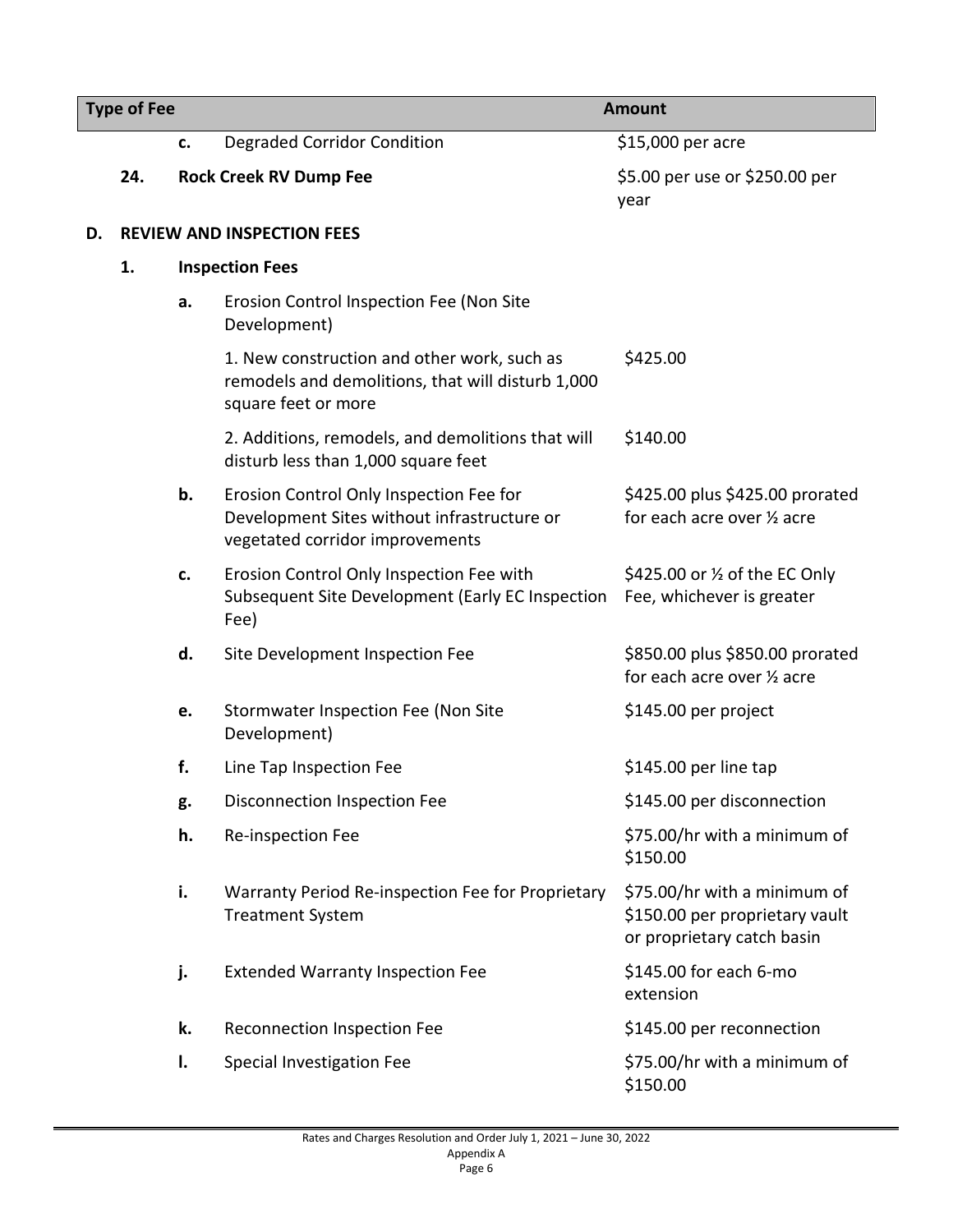| <b>Type of Fee</b> |     |    |                                                                                                                           | <b>Amount</b>                                                                                |
|--------------------|-----|----|---------------------------------------------------------------------------------------------------------------------------|----------------------------------------------------------------------------------------------|
|                    |     | c. | <b>Degraded Corridor Condition</b>                                                                                        | \$15,000 per acre                                                                            |
|                    | 24. |    | <b>Rock Creek RV Dump Fee</b>                                                                                             | \$5.00 per use or \$250.00 per<br>year                                                       |
| D.                 |     |    | <b>REVIEW AND INSPECTION FEES</b>                                                                                         |                                                                                              |
|                    | 1.  |    | <b>Inspection Fees</b>                                                                                                    |                                                                                              |
|                    |     | a. | Erosion Control Inspection Fee (Non Site<br>Development)                                                                  |                                                                                              |
|                    |     |    | 1. New construction and other work, such as<br>remodels and demolitions, that will disturb 1,000<br>square feet or more   | \$425.00                                                                                     |
|                    |     |    | 2. Additions, remodels, and demolitions that will<br>disturb less than 1,000 square feet                                  | \$140.00                                                                                     |
|                    |     | b. | Erosion Control Only Inspection Fee for<br>Development Sites without infrastructure or<br>vegetated corridor improvements | \$425.00 plus \$425.00 prorated<br>for each acre over 1/2 acre                               |
|                    |     | c. | Erosion Control Only Inspection Fee with<br>Subsequent Site Development (Early EC Inspection<br>Fee)                      | \$425.00 or 1/2 of the EC Only<br>Fee, whichever is greater                                  |
|                    |     | d. | Site Development Inspection Fee                                                                                           | \$850.00 plus \$850.00 prorated<br>for each acre over 1/2 acre                               |
|                    |     | e. | Stormwater Inspection Fee (Non Site<br>Development)                                                                       | \$145.00 per project                                                                         |
|                    |     | f. | Line Tap Inspection Fee                                                                                                   | \$145.00 per line tap                                                                        |
|                    |     | g. | Disconnection Inspection Fee                                                                                              | \$145.00 per disconnection                                                                   |
|                    |     | h. | Re-inspection Fee                                                                                                         | \$75.00/hr with a minimum of<br>\$150.00                                                     |
|                    |     | i. | Warranty Period Re-inspection Fee for Proprietary<br><b>Treatment System</b>                                              | \$75.00/hr with a minimum of<br>\$150.00 per proprietary vault<br>or proprietary catch basin |
|                    |     | j. | <b>Extended Warranty Inspection Fee</b>                                                                                   | \$145.00 for each 6-mo<br>extension                                                          |
|                    |     | k. | Reconnection Inspection Fee                                                                                               | \$145.00 per reconnection                                                                    |
|                    |     | I. | Special Investigation Fee                                                                                                 | \$75.00/hr with a minimum of<br>\$150.00                                                     |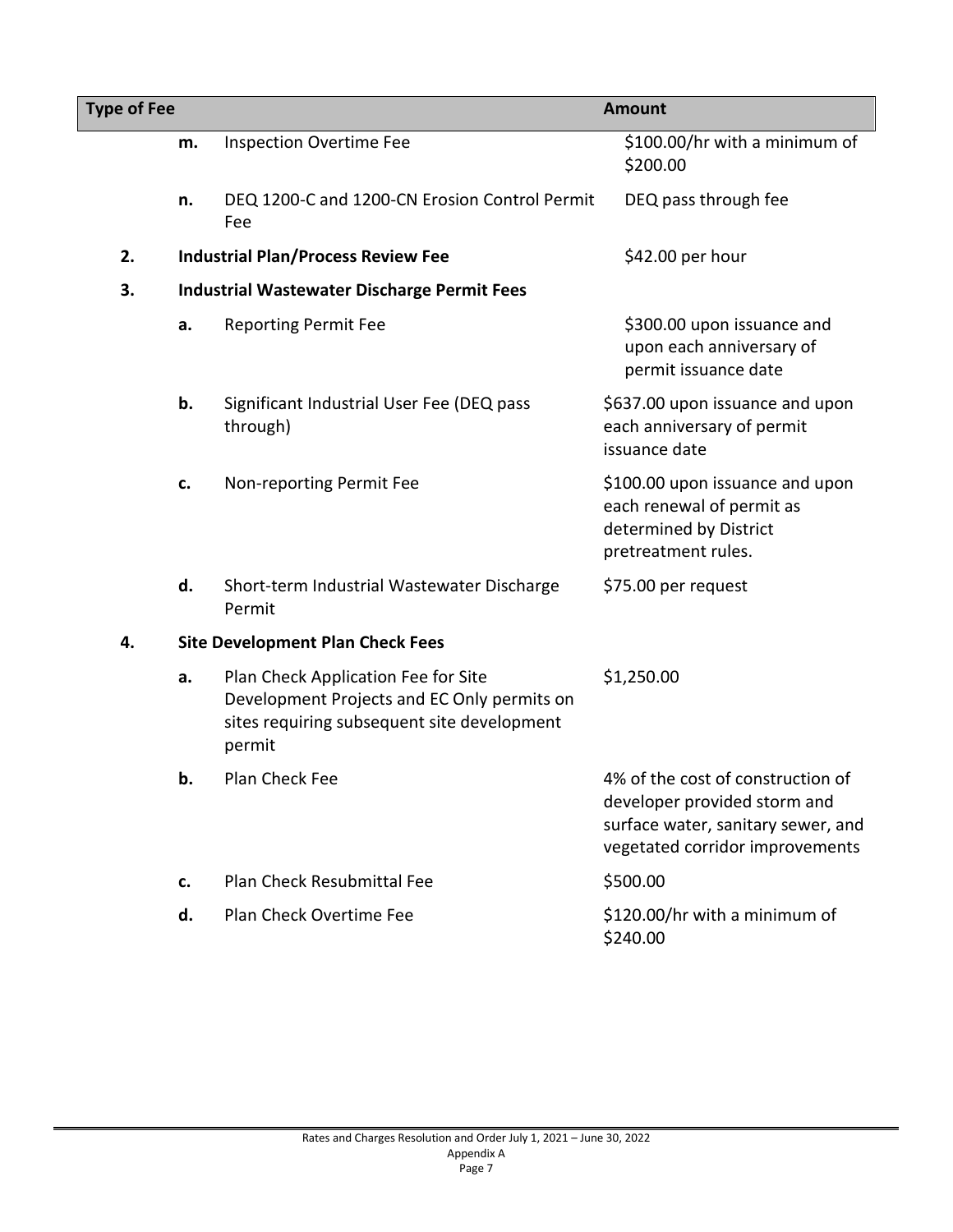| <b>Type of Fee</b> |    |                                                                                                                                             | <b>Amount</b>                                                                                                                              |  |
|--------------------|----|---------------------------------------------------------------------------------------------------------------------------------------------|--------------------------------------------------------------------------------------------------------------------------------------------|--|
|                    | m. | <b>Inspection Overtime Fee</b>                                                                                                              | \$100.00/hr with a minimum of<br>\$200.00                                                                                                  |  |
|                    | n. | DEQ 1200-C and 1200-CN Erosion Control Permit<br>Fee                                                                                        | DEQ pass through fee                                                                                                                       |  |
| 2.                 |    | <b>Industrial Plan/Process Review Fee</b>                                                                                                   | \$42.00 per hour                                                                                                                           |  |
| 3.                 |    | <b>Industrial Wastewater Discharge Permit Fees</b>                                                                                          |                                                                                                                                            |  |
|                    | a. | <b>Reporting Permit Fee</b>                                                                                                                 | \$300.00 upon issuance and<br>upon each anniversary of<br>permit issuance date                                                             |  |
|                    | b. | Significant Industrial User Fee (DEQ pass<br>through)                                                                                       | \$637.00 upon issuance and upon<br>each anniversary of permit<br>issuance date                                                             |  |
|                    | c. | Non-reporting Permit Fee                                                                                                                    | \$100.00 upon issuance and upon<br>each renewal of permit as<br>determined by District<br>pretreatment rules.                              |  |
|                    | d. | Short-term Industrial Wastewater Discharge<br>Permit                                                                                        | \$75.00 per request                                                                                                                        |  |
| 4.                 |    | <b>Site Development Plan Check Fees</b>                                                                                                     |                                                                                                                                            |  |
|                    | a. | Plan Check Application Fee for Site<br>Development Projects and EC Only permits on<br>sites requiring subsequent site development<br>permit | \$1,250.00                                                                                                                                 |  |
|                    | b. | Plan Check Fee                                                                                                                              | 4% of the cost of construction of<br>developer provided storm and<br>surface water, sanitary sewer, and<br>vegetated corridor improvements |  |
|                    | c. | <b>Plan Check Resubmittal Fee</b>                                                                                                           | \$500.00                                                                                                                                   |  |
|                    | d. | Plan Check Overtime Fee                                                                                                                     | \$120.00/hr with a minimum of<br>\$240.00                                                                                                  |  |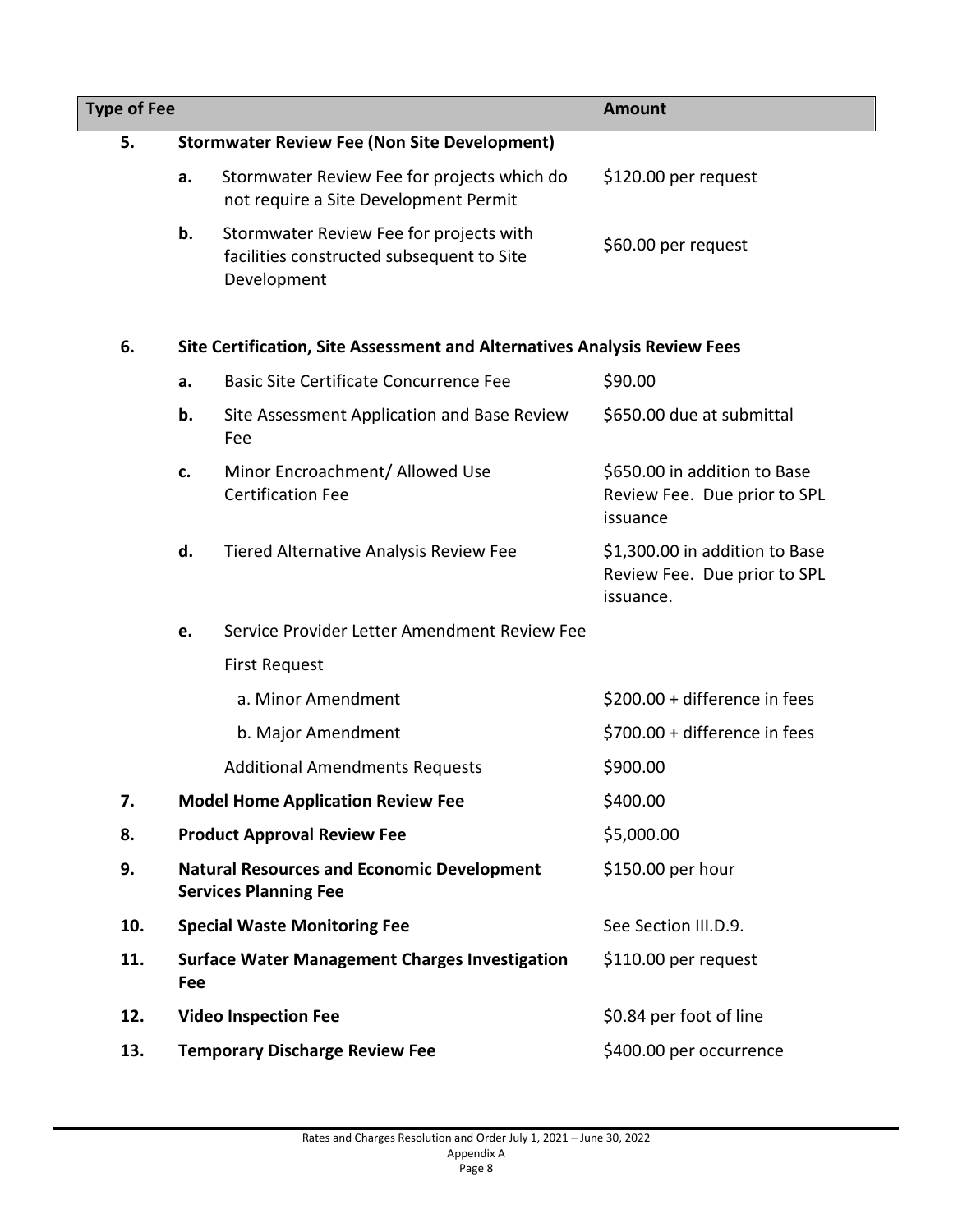| <b>Type of Fee</b> |     |                                                                                                     | <b>Amount</b>                                                               |
|--------------------|-----|-----------------------------------------------------------------------------------------------------|-----------------------------------------------------------------------------|
| 5.                 |     | <b>Stormwater Review Fee (Non Site Development)</b>                                                 |                                                                             |
|                    | a.  | Stormwater Review Fee for projects which do<br>not require a Site Development Permit                | \$120.00 per request                                                        |
|                    | b.  | Stormwater Review Fee for projects with<br>facilities constructed subsequent to Site<br>Development | \$60.00 per request                                                         |
| 6.                 |     | Site Certification, Site Assessment and Alternatives Analysis Review Fees                           |                                                                             |
|                    | a.  | <b>Basic Site Certificate Concurrence Fee</b>                                                       | \$90.00                                                                     |
|                    | b.  | Site Assessment Application and Base Review<br>Fee                                                  | \$650.00 due at submittal                                                   |
|                    | c.  | Minor Encroachment/ Allowed Use<br><b>Certification Fee</b>                                         | \$650.00 in addition to Base<br>Review Fee. Due prior to SPL<br>issuance    |
|                    | d.  | Tiered Alternative Analysis Review Fee                                                              | \$1,300.00 in addition to Base<br>Review Fee. Due prior to SPL<br>issuance. |
|                    | e.  | Service Provider Letter Amendment Review Fee                                                        |                                                                             |
|                    |     | <b>First Request</b>                                                                                |                                                                             |
|                    |     | a. Minor Amendment                                                                                  | \$200.00 + difference in fees                                               |
|                    |     | b. Major Amendment                                                                                  | \$700.00 + difference in fees                                               |
|                    |     | <b>Additional Amendments Requests</b>                                                               | \$900.00                                                                    |
| 7.                 |     | <b>Model Home Application Review Fee</b>                                                            | \$400.00                                                                    |
| 8.                 |     | <b>Product Approval Review Fee</b>                                                                  | \$5,000.00                                                                  |
| 9.                 |     | <b>Natural Resources and Economic Development</b><br><b>Services Planning Fee</b>                   | \$150.00 per hour                                                           |
| 10.                |     | <b>Special Waste Monitoring Fee</b>                                                                 | See Section III.D.9.                                                        |
| 11.                | Fee | <b>Surface Water Management Charges Investigation</b>                                               | \$110.00 per request                                                        |
| 12.                |     | <b>Video Inspection Fee</b>                                                                         | \$0.84 per foot of line                                                     |
| 13.                |     | <b>Temporary Discharge Review Fee</b>                                                               | \$400.00 per occurrence                                                     |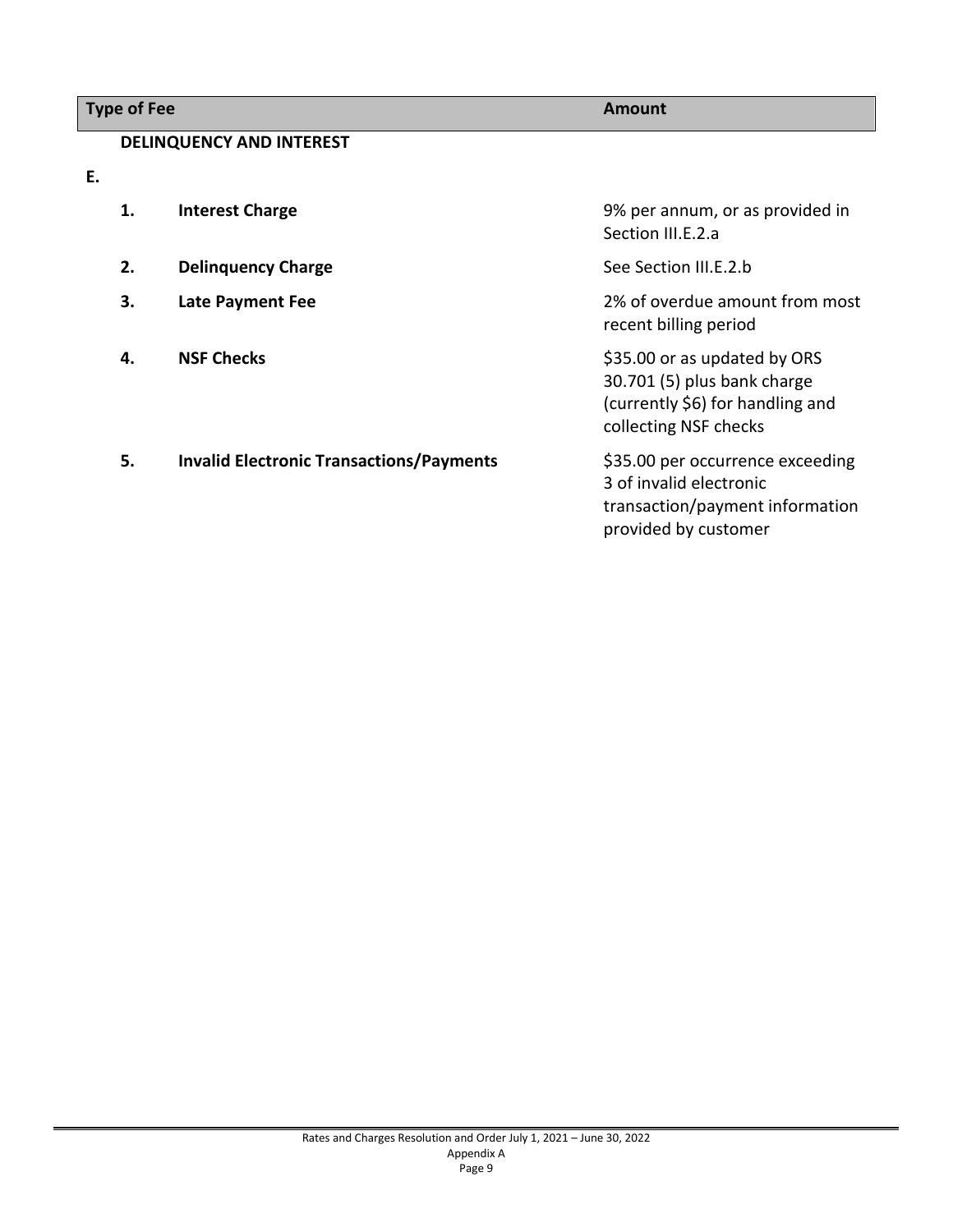# **Type of Fee Amount**

# **DELINQUENCY AND INTEREST**

**E.**

| 1. | <b>Interest Charge</b>                          | 9% per annum, or as provided in<br>Section III.E.2.a                                                                     |
|----|-------------------------------------------------|--------------------------------------------------------------------------------------------------------------------------|
| 2. | <b>Delinguency Charge</b>                       | See Section III.E.2.b                                                                                                    |
| 3. | <b>Late Payment Fee</b>                         | 2% of overdue amount from most<br>recent billing period                                                                  |
| 4. | <b>NSF Checks</b>                               | \$35.00 or as updated by ORS<br>30.701 (5) plus bank charge<br>(currently \$6) for handling and<br>collecting NSF checks |
| 5. | <b>Invalid Electronic Transactions/Payments</b> | \$35.00 per occurrence exceeding<br>3 of invalid electronic<br>transaction/payment information<br>provided by customer   |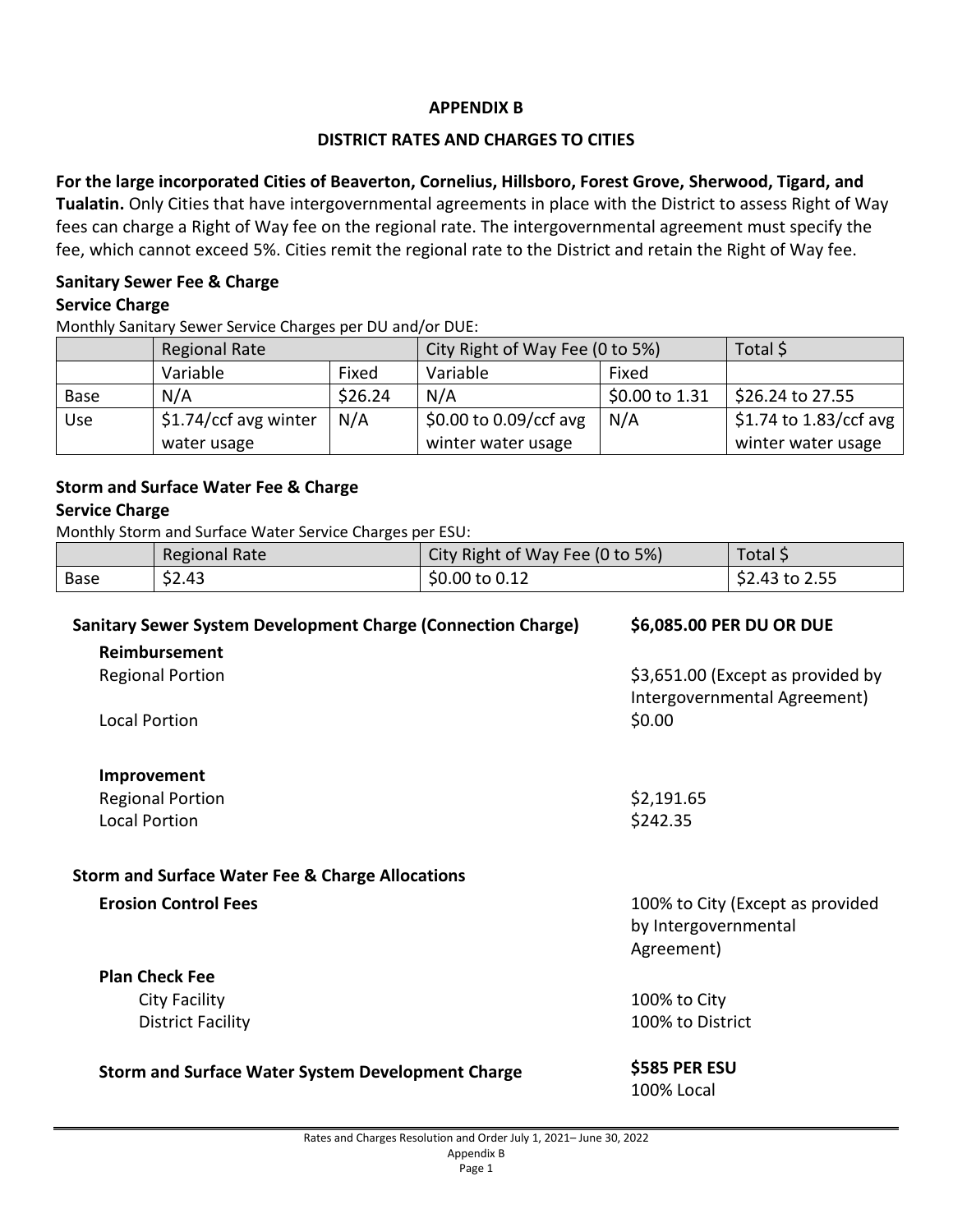### **APPENDIX B**

### **DISTRICT RATES AND CHARGES TO CITIES**

**For the large incorporated Cities of Beaverton, Cornelius, Hillsboro, Forest Grove, Sherwood, Tigard, and Tualatin.** Only Cities that have intergovernmental agreements in place with the District to assess Right of Way fees can charge a Right of Way fee on the regional rate. The intergovernmental agreement must specify the fee, which cannot exceed 5%. Cities remit the regional rate to the District and retain the Right of Way fee.

## **Sanitary Sewer Fee & Charge Service Charge**

Monthly Sanitary Sewer Service Charges per DU and/or DUE:

|            | Regional Rate          |         | City Right of Way Fee (0 to 5%) |                  | Total \$                       |
|------------|------------------------|---------|---------------------------------|------------------|--------------------------------|
|            | Variable               | Fixed   | Variable                        | Fixed            |                                |
| Base       | N/A                    | \$26.24 | N/A                             | \$0.00 to $1.31$ | S26.24 to 27.55                |
| <b>Use</b> | $$1.74/ccf$ avg winter | N/A     | $$0.00$ to $0.09$ /ccf avg      | N/A              | $\vert$ \$1.74 to 1.83/ccf avg |
|            | water usage            |         | winter water usage              |                  | winter water usage             |

# **Storm and Surface Water Fee & Charge**

# **Service Charge**

Monthly Storm and Surface Water Service Charges per ESU:

|      | Regional Rate | City Right of Way Fee (0 to 5%) | Total \$        |
|------|---------------|---------------------------------|-----------------|
| Base | \$2.43        | $$0.00 \text{ to } 0.12$$       | $$2.43$ to 2.55 |

| <b>Sanitary Sewer System Development Charge (Connection Charge)</b> | \$6,085.00 PER DU OR DUE                                          |  |
|---------------------------------------------------------------------|-------------------------------------------------------------------|--|
| Reimbursement                                                       |                                                                   |  |
| <b>Regional Portion</b>                                             | \$3,651.00 (Except as provided by<br>Intergovernmental Agreement) |  |
| <b>Local Portion</b>                                                | \$0.00                                                            |  |
| Improvement                                                         |                                                                   |  |
| <b>Regional Portion</b>                                             | \$2,191.65                                                        |  |
| <b>Local Portion</b>                                                | \$242.35                                                          |  |
| <b>Storm and Surface Water Fee &amp; Charge Allocations</b>         |                                                                   |  |
| <b>Erosion Control Fees</b>                                         | 100% to City (Except as provided                                  |  |
|                                                                     | by Intergovernmental                                              |  |
|                                                                     | Agreement)                                                        |  |
| <b>Plan Check Fee</b>                                               |                                                                   |  |
| City Facility                                                       | 100% to City                                                      |  |
| <b>District Facility</b>                                            | 100% to District                                                  |  |
| <b>Storm and Surface Water System Development Charge</b>            | \$585 PER ESU                                                     |  |
|                                                                     | 100% Local                                                        |  |